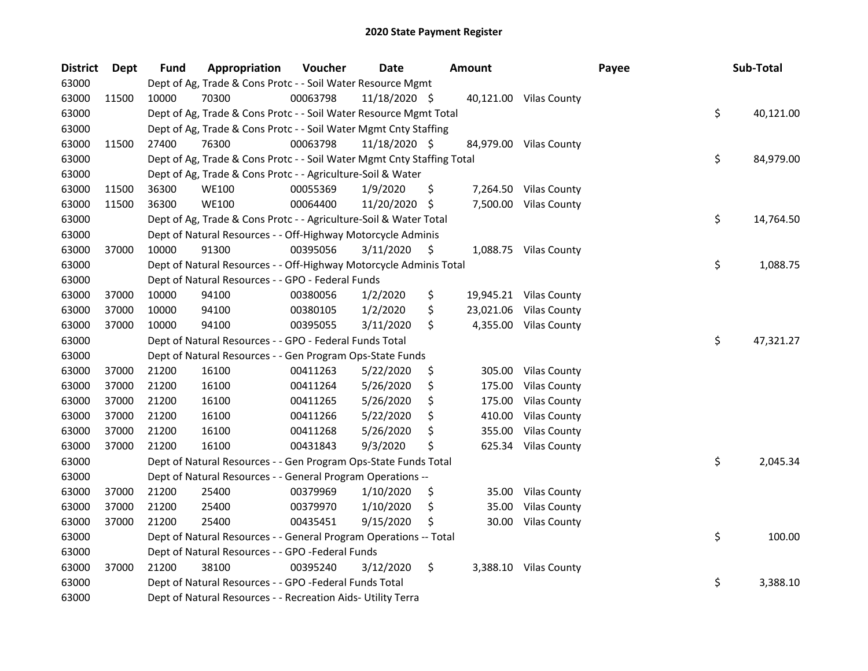| <b>District</b> | <b>Dept</b> | <b>Fund</b> | Appropriation                                                          | Voucher  | <b>Date</b>   |     | <b>Amount</b> |                        | Payee | Sub-Total       |
|-----------------|-------------|-------------|------------------------------------------------------------------------|----------|---------------|-----|---------------|------------------------|-------|-----------------|
| 63000           |             |             | Dept of Ag, Trade & Cons Protc - - Soil Water Resource Mgmt            |          |               |     |               |                        |       |                 |
| 63000           | 11500       | 10000       | 70300                                                                  | 00063798 | 11/18/2020 \$ |     |               | 40,121.00 Vilas County |       |                 |
| 63000           |             |             | Dept of Ag, Trade & Cons Protc - - Soil Water Resource Mgmt Total      |          |               |     |               |                        |       | \$<br>40,121.00 |
| 63000           |             |             | Dept of Ag, Trade & Cons Protc - - Soil Water Mgmt Cnty Staffing       |          |               |     |               |                        |       |                 |
| 63000           | 11500       | 27400       | 76300                                                                  | 00063798 | 11/18/2020 \$ |     |               | 84,979.00 Vilas County |       |                 |
| 63000           |             |             | Dept of Ag, Trade & Cons Protc - - Soil Water Mgmt Cnty Staffing Total |          |               |     |               |                        |       | \$<br>84,979.00 |
| 63000           |             |             | Dept of Ag, Trade & Cons Protc - - Agriculture-Soil & Water            |          |               |     |               |                        |       |                 |
| 63000           | 11500       | 36300       | <b>WE100</b>                                                           | 00055369 | 1/9/2020      | \$  |               | 7,264.50 Vilas County  |       |                 |
| 63000           | 11500       | 36300       | <b>WE100</b>                                                           | 00064400 | 11/20/2020    | -\$ |               | 7,500.00 Vilas County  |       |                 |
| 63000           |             |             | Dept of Ag, Trade & Cons Protc - - Agriculture-Soil & Water Total      |          |               |     |               |                        |       | \$<br>14,764.50 |
| 63000           |             |             | Dept of Natural Resources - - Off-Highway Motorcycle Adminis           |          |               |     |               |                        |       |                 |
| 63000           | 37000       | 10000       | 91300                                                                  | 00395056 | 3/11/2020     | \$  |               | 1,088.75 Vilas County  |       |                 |
| 63000           |             |             | Dept of Natural Resources - - Off-Highway Motorcycle Adminis Total     |          |               |     |               |                        |       | \$<br>1,088.75  |
| 63000           |             |             | Dept of Natural Resources - - GPO - Federal Funds                      |          |               |     |               |                        |       |                 |
| 63000           | 37000       | 10000       | 94100                                                                  | 00380056 | 1/2/2020      | \$  |               | 19,945.21 Vilas County |       |                 |
| 63000           | 37000       | 10000       | 94100                                                                  | 00380105 | 1/2/2020      | \$  |               | 23,021.06 Vilas County |       |                 |
| 63000           | 37000       | 10000       | 94100                                                                  | 00395055 | 3/11/2020     | \$  | 4,355.00      | <b>Vilas County</b>    |       |                 |
| 63000           |             |             | Dept of Natural Resources - - GPO - Federal Funds Total                |          |               |     |               |                        |       | \$<br>47,321.27 |
| 63000           |             |             | Dept of Natural Resources - - Gen Program Ops-State Funds              |          |               |     |               |                        |       |                 |
| 63000           | 37000       | 21200       | 16100                                                                  | 00411263 | 5/22/2020     | \$  | 305.00        | <b>Vilas County</b>    |       |                 |
| 63000           | 37000       | 21200       | 16100                                                                  | 00411264 | 5/26/2020     | \$  | 175.00        | <b>Vilas County</b>    |       |                 |
| 63000           | 37000       | 21200       | 16100                                                                  | 00411265 | 5/26/2020     | \$  | 175.00        | <b>Vilas County</b>    |       |                 |
| 63000           | 37000       | 21200       | 16100                                                                  | 00411266 | 5/22/2020     | \$  | 410.00        | <b>Vilas County</b>    |       |                 |
| 63000           | 37000       | 21200       | 16100                                                                  | 00411268 | 5/26/2020     | \$  | 355.00        | <b>Vilas County</b>    |       |                 |
| 63000           | 37000       | 21200       | 16100                                                                  | 00431843 | 9/3/2020      | Ś   | 625.34        | <b>Vilas County</b>    |       |                 |
| 63000           |             |             | Dept of Natural Resources - - Gen Program Ops-State Funds Total        |          |               |     |               |                        |       | \$<br>2,045.34  |
| 63000           |             |             | Dept of Natural Resources - - General Program Operations --            |          |               |     |               |                        |       |                 |
| 63000           | 37000       | 21200       | 25400                                                                  | 00379969 | 1/10/2020     | \$  | 35.00         | <b>Vilas County</b>    |       |                 |
| 63000           | 37000       | 21200       | 25400                                                                  | 00379970 | 1/10/2020     | \$  | 35.00         | <b>Vilas County</b>    |       |                 |
| 63000           | 37000       | 21200       | 25400                                                                  | 00435451 | 9/15/2020     | \$  | 30.00         | <b>Vilas County</b>    |       |                 |
| 63000           |             |             | Dept of Natural Resources - - General Program Operations -- Total      |          |               |     |               |                        |       | \$<br>100.00    |
| 63000           |             |             | Dept of Natural Resources - - GPO -Federal Funds                       |          |               |     |               |                        |       |                 |
| 63000           | 37000       | 21200       | 38100                                                                  | 00395240 | 3/12/2020     | \$  |               | 3,388.10 Vilas County  |       |                 |
| 63000           |             |             | Dept of Natural Resources - - GPO -Federal Funds Total                 |          |               |     |               |                        |       | \$<br>3,388.10  |
| 63000           |             |             | Dept of Natural Resources - - Recreation Aids- Utility Terra           |          |               |     |               |                        |       |                 |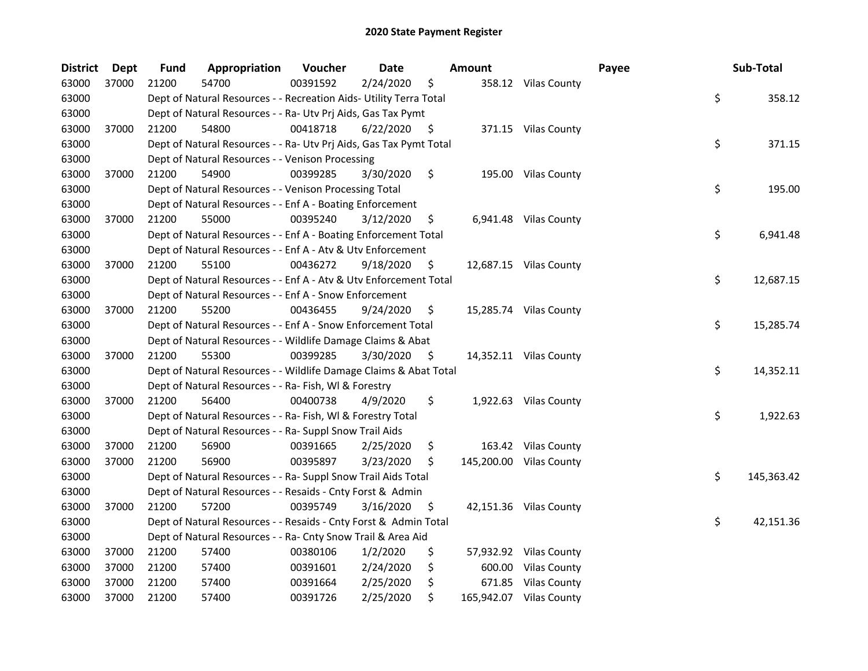| <b>District</b> | Dept  | <b>Fund</b> | Appropriation                                                      | Voucher  | <b>Date</b> |     | <b>Amount</b> |                         | Payee | Sub-Total        |
|-----------------|-------|-------------|--------------------------------------------------------------------|----------|-------------|-----|---------------|-------------------------|-------|------------------|
| 63000           | 37000 | 21200       | 54700                                                              | 00391592 | 2/24/2020   | \$  |               | 358.12 Vilas County     |       |                  |
| 63000           |       |             | Dept of Natural Resources - - Recreation Aids- Utility Terra Total |          |             |     |               |                         |       | \$<br>358.12     |
| 63000           |       |             | Dept of Natural Resources - - Ra- Utv Prj Aids, Gas Tax Pymt       |          |             |     |               |                         |       |                  |
| 63000           | 37000 | 21200       | 54800                                                              | 00418718 | 6/22/2020   | \$  |               | 371.15 Vilas County     |       |                  |
| 63000           |       |             | Dept of Natural Resources - - Ra- Utv Prj Aids, Gas Tax Pymt Total |          |             |     |               |                         |       | \$<br>371.15     |
| 63000           |       |             | Dept of Natural Resources - - Venison Processing                   |          |             |     |               |                         |       |                  |
| 63000           | 37000 | 21200       | 54900                                                              | 00399285 | 3/30/2020   | \$  |               | 195.00 Vilas County     |       |                  |
| 63000           |       |             | Dept of Natural Resources - - Venison Processing Total             |          |             |     |               |                         |       | \$<br>195.00     |
| 63000           |       |             | Dept of Natural Resources - - Enf A - Boating Enforcement          |          |             |     |               |                         |       |                  |
| 63000           | 37000 | 21200       | 55000                                                              | 00395240 | 3/12/2020   | \$  |               | 6,941.48 Vilas County   |       |                  |
| 63000           |       |             | Dept of Natural Resources - - Enf A - Boating Enforcement Total    |          |             |     |               |                         |       | \$<br>6,941.48   |
| 63000           |       |             | Dept of Natural Resources - - Enf A - Atv & Utv Enforcement        |          |             |     |               |                         |       |                  |
| 63000           | 37000 | 21200       | 55100                                                              | 00436272 | 9/18/2020   | \$  |               | 12,687.15 Vilas County  |       |                  |
| 63000           |       |             | Dept of Natural Resources - - Enf A - Atv & Utv Enforcement Total  |          |             |     |               |                         |       | \$<br>12,687.15  |
| 63000           |       |             | Dept of Natural Resources - - Enf A - Snow Enforcement             |          |             |     |               |                         |       |                  |
| 63000           | 37000 | 21200       | 55200                                                              | 00436455 | 9/24/2020   | \$. |               | 15,285.74 Vilas County  |       |                  |
| 63000           |       |             | Dept of Natural Resources - - Enf A - Snow Enforcement Total       |          |             |     |               |                         |       | \$<br>15,285.74  |
| 63000           |       |             | Dept of Natural Resources - - Wildlife Damage Claims & Abat        |          |             |     |               |                         |       |                  |
| 63000           | 37000 | 21200       | 55300                                                              | 00399285 | 3/30/2020   | \$  |               | 14,352.11 Vilas County  |       |                  |
| 63000           |       |             | Dept of Natural Resources - - Wildlife Damage Claims & Abat Total  |          |             |     |               |                         |       | \$<br>14,352.11  |
| 63000           |       |             | Dept of Natural Resources - - Ra- Fish, WI & Forestry              |          |             |     |               |                         |       |                  |
| 63000           | 37000 | 21200       | 56400                                                              | 00400738 | 4/9/2020    | \$  |               | 1,922.63 Vilas County   |       |                  |
| 63000           |       |             | Dept of Natural Resources - - Ra- Fish, WI & Forestry Total        |          |             |     |               |                         |       | \$<br>1,922.63   |
| 63000           |       |             | Dept of Natural Resources - - Ra- Suppl Snow Trail Aids            |          |             |     |               |                         |       |                  |
| 63000           | 37000 | 21200       | 56900                                                              | 00391665 | 2/25/2020   | \$  |               | 163.42 Vilas County     |       |                  |
| 63000           | 37000 | 21200       | 56900                                                              | 00395897 | 3/23/2020   | S.  |               | 145,200.00 Vilas County |       |                  |
| 63000           |       |             | Dept of Natural Resources - - Ra- Suppl Snow Trail Aids Total      |          |             |     |               |                         |       | \$<br>145,363.42 |
| 63000           |       |             | Dept of Natural Resources - - Resaids - Cnty Forst & Admin         |          |             |     |               |                         |       |                  |
| 63000           | 37000 | 21200       | 57200                                                              | 00395749 | 3/16/2020   | \$  |               | 42,151.36 Vilas County  |       |                  |
| 63000           |       |             | Dept of Natural Resources - - Resaids - Cnty Forst & Admin Total   |          |             |     |               |                         |       | \$<br>42,151.36  |
| 63000           |       |             | Dept of Natural Resources - - Ra- Cnty Snow Trail & Area Aid       |          |             |     |               |                         |       |                  |
| 63000           | 37000 | 21200       | 57400                                                              | 00380106 | 1/2/2020    | \$  |               | 57,932.92 Vilas County  |       |                  |
| 63000           | 37000 | 21200       | 57400                                                              | 00391601 | 2/24/2020   | \$  |               | 600.00 Vilas County     |       |                  |
| 63000           | 37000 | 21200       | 57400                                                              | 00391664 | 2/25/2020   | \$  |               | 671.85 Vilas County     |       |                  |
| 63000           | 37000 | 21200       | 57400                                                              | 00391726 | 2/25/2020   | \$  |               | 165,942.07 Vilas County |       |                  |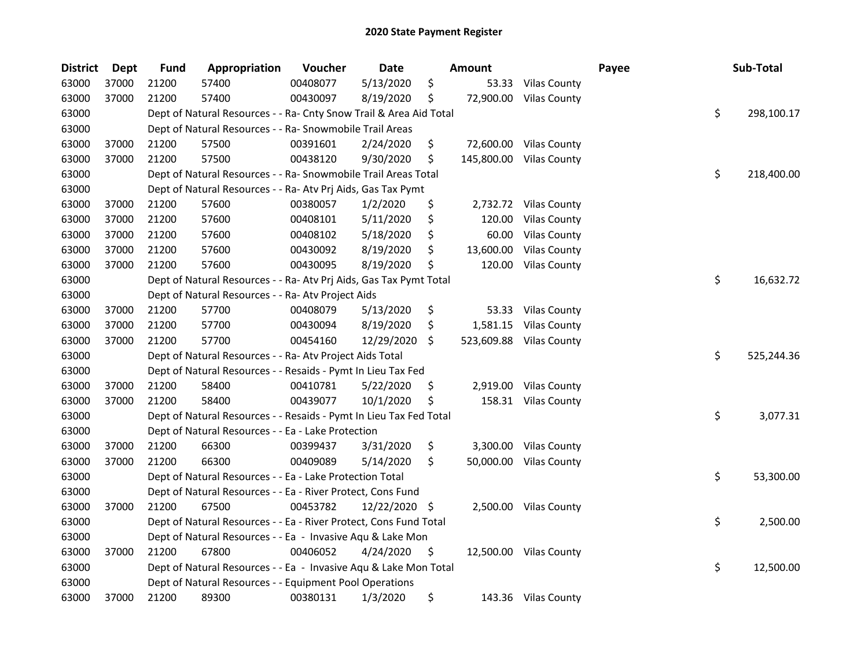| <b>District</b> | <b>Dept</b> | <b>Fund</b> | Appropriation                                                      | Voucher  | Date          |     | <b>Amount</b> |                        | Payee | Sub-Total        |
|-----------------|-------------|-------------|--------------------------------------------------------------------|----------|---------------|-----|---------------|------------------------|-------|------------------|
| 63000           | 37000       | 21200       | 57400                                                              | 00408077 | 5/13/2020     | \$  | 53.33         | <b>Vilas County</b>    |       |                  |
| 63000           | 37000       | 21200       | 57400                                                              | 00430097 | 8/19/2020     | \$  | 72,900.00     | <b>Vilas County</b>    |       |                  |
| 63000           |             |             | Dept of Natural Resources - - Ra- Cnty Snow Trail & Area Aid Total |          |               |     |               |                        |       | \$<br>298,100.17 |
| 63000           |             |             | Dept of Natural Resources - - Ra- Snowmobile Trail Areas           |          |               |     |               |                        |       |                  |
| 63000           | 37000       | 21200       | 57500                                                              | 00391601 | 2/24/2020     | \$  | 72,600.00     | <b>Vilas County</b>    |       |                  |
| 63000           | 37000       | 21200       | 57500                                                              | 00438120 | 9/30/2020     | \$  | 145,800.00    | <b>Vilas County</b>    |       |                  |
| 63000           |             |             | Dept of Natural Resources - - Ra- Snowmobile Trail Areas Total     |          |               |     |               |                        |       | \$<br>218,400.00 |
| 63000           |             |             | Dept of Natural Resources - - Ra- Atv Prj Aids, Gas Tax Pymt       |          |               |     |               |                        |       |                  |
| 63000           | 37000       | 21200       | 57600                                                              | 00380057 | 1/2/2020      | \$  |               | 2,732.72 Vilas County  |       |                  |
| 63000           | 37000       | 21200       | 57600                                                              | 00408101 | 5/11/2020     | \$  | 120.00        | <b>Vilas County</b>    |       |                  |
| 63000           | 37000       | 21200       | 57600                                                              | 00408102 | 5/18/2020     | \$  | 60.00         | <b>Vilas County</b>    |       |                  |
| 63000           | 37000       | 21200       | 57600                                                              | 00430092 | 8/19/2020     | \$  | 13,600.00     | <b>Vilas County</b>    |       |                  |
| 63000           | 37000       | 21200       | 57600                                                              | 00430095 | 8/19/2020     | \$  | 120.00        | <b>Vilas County</b>    |       |                  |
| 63000           |             |             | Dept of Natural Resources - - Ra- Atv Prj Aids, Gas Tax Pymt Total |          |               |     |               |                        |       | \$<br>16,632.72  |
| 63000           |             |             | Dept of Natural Resources - - Ra- Atv Project Aids                 |          |               |     |               |                        |       |                  |
| 63000           | 37000       | 21200       | 57700                                                              | 00408079 | 5/13/2020     | \$  | 53.33         | <b>Vilas County</b>    |       |                  |
| 63000           | 37000       | 21200       | 57700                                                              | 00430094 | 8/19/2020     | \$. | 1,581.15      | <b>Vilas County</b>    |       |                  |
| 63000           | 37000       | 21200       | 57700                                                              | 00454160 | 12/29/2020    | \$. | 523,609.88    | <b>Vilas County</b>    |       |                  |
| 63000           |             |             | Dept of Natural Resources - - Ra- Atv Project Aids Total           |          |               |     |               |                        |       | \$<br>525,244.36 |
| 63000           |             |             | Dept of Natural Resources - - Resaids - Pymt In Lieu Tax Fed       |          |               |     |               |                        |       |                  |
| 63000           | 37000       | 21200       | 58400                                                              | 00410781 | 5/22/2020     | \$  | 2,919.00      | <b>Vilas County</b>    |       |                  |
| 63000           | 37000       | 21200       | 58400                                                              | 00439077 | 10/1/2020     | \$  |               | 158.31 Vilas County    |       |                  |
| 63000           |             |             | Dept of Natural Resources - - Resaids - Pymt In Lieu Tax Fed Total |          |               |     |               |                        |       | \$<br>3,077.31   |
| 63000           |             |             | Dept of Natural Resources - - Ea - Lake Protection                 |          |               |     |               |                        |       |                  |
| 63000           | 37000       | 21200       | 66300                                                              | 00399437 | 3/31/2020     | \$  | 3,300.00      | <b>Vilas County</b>    |       |                  |
| 63000           | 37000       | 21200       | 66300                                                              | 00409089 | 5/14/2020     | \$  | 50,000.00     | <b>Vilas County</b>    |       |                  |
| 63000           |             |             | Dept of Natural Resources - - Ea - Lake Protection Total           |          |               |     |               |                        |       | \$<br>53,300.00  |
| 63000           |             |             | Dept of Natural Resources - - Ea - River Protect, Cons Fund        |          |               |     |               |                        |       |                  |
| 63000           | 37000       | 21200       | 67500                                                              | 00453782 | 12/22/2020 \$ |     |               | 2,500.00 Vilas County  |       |                  |
| 63000           |             |             | Dept of Natural Resources - - Ea - River Protect, Cons Fund Total  |          |               |     |               |                        |       | \$<br>2,500.00   |
| 63000           |             |             | Dept of Natural Resources - - Ea - Invasive Aqu & Lake Mon         |          |               |     |               |                        |       |                  |
| 63000           | 37000       | 21200       | 67800                                                              | 00406052 | 4/24/2020     | \$  |               | 12,500.00 Vilas County |       |                  |
| 63000           |             |             | Dept of Natural Resources - - Ea - Invasive Aqu & Lake Mon Total   |          |               |     |               |                        |       | \$<br>12,500.00  |
| 63000           |             |             | Dept of Natural Resources - - Equipment Pool Operations            |          |               |     |               |                        |       |                  |
| 63000           | 37000       | 21200       | 89300                                                              | 00380131 | 1/3/2020      | \$  |               | 143.36 Vilas County    |       |                  |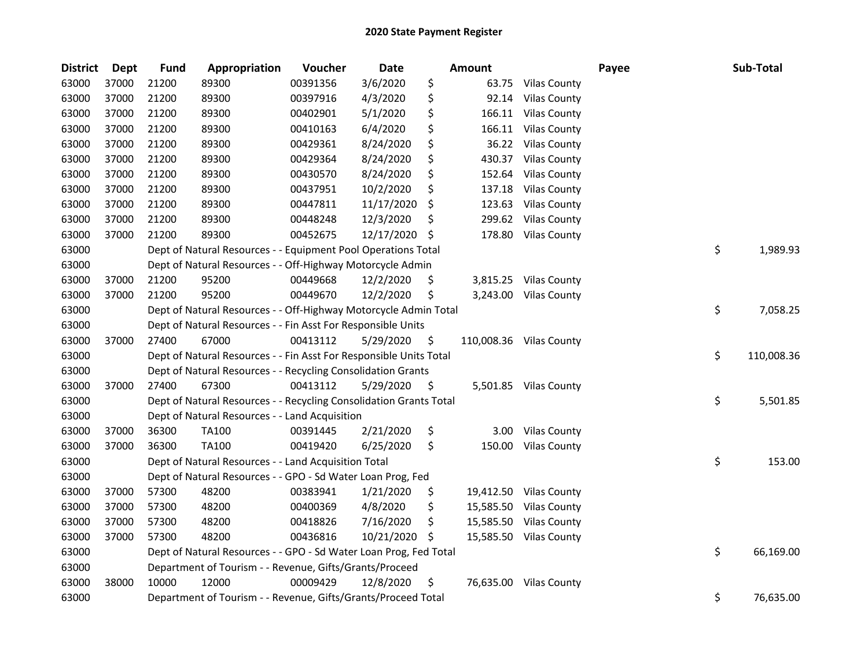| <b>District</b> | <b>Dept</b> | <b>Fund</b> | Appropriation                                                      | Voucher  | <b>Date</b> |     | Amount     |                        | Payee | Sub-Total        |
|-----------------|-------------|-------------|--------------------------------------------------------------------|----------|-------------|-----|------------|------------------------|-------|------------------|
| 63000           | 37000       | 21200       | 89300                                                              | 00391356 | 3/6/2020    | \$  | 63.75      | <b>Vilas County</b>    |       |                  |
| 63000           | 37000       | 21200       | 89300                                                              | 00397916 | 4/3/2020    | \$  | 92.14      | <b>Vilas County</b>    |       |                  |
| 63000           | 37000       | 21200       | 89300                                                              | 00402901 | 5/1/2020    | \$  | 166.11     | <b>Vilas County</b>    |       |                  |
| 63000           | 37000       | 21200       | 89300                                                              | 00410163 | 6/4/2020    | \$  | 166.11     | <b>Vilas County</b>    |       |                  |
| 63000           | 37000       | 21200       | 89300                                                              | 00429361 | 8/24/2020   | \$  | 36.22      | <b>Vilas County</b>    |       |                  |
| 63000           | 37000       | 21200       | 89300                                                              | 00429364 | 8/24/2020   | \$  | 430.37     | <b>Vilas County</b>    |       |                  |
| 63000           | 37000       | 21200       | 89300                                                              | 00430570 | 8/24/2020   | \$  | 152.64     | <b>Vilas County</b>    |       |                  |
| 63000           | 37000       | 21200       | 89300                                                              | 00437951 | 10/2/2020   | \$  | 137.18     | <b>Vilas County</b>    |       |                  |
| 63000           | 37000       | 21200       | 89300                                                              | 00447811 | 11/17/2020  | \$  | 123.63     | <b>Vilas County</b>    |       |                  |
| 63000           | 37000       | 21200       | 89300                                                              | 00448248 | 12/3/2020   | \$  | 299.62     | <b>Vilas County</b>    |       |                  |
| 63000           | 37000       | 21200       | 89300                                                              | 00452675 | 12/17/2020  | S   | 178.80     | <b>Vilas County</b>    |       |                  |
| 63000           |             |             | Dept of Natural Resources - - Equipment Pool Operations Total      |          |             |     |            |                        |       | \$<br>1,989.93   |
| 63000           |             |             | Dept of Natural Resources - - Off-Highway Motorcycle Admin         |          |             |     |            |                        |       |                  |
| 63000           | 37000       | 21200       | 95200                                                              | 00449668 | 12/2/2020   | \$. | 3,815.25   | <b>Vilas County</b>    |       |                  |
| 63000           | 37000       | 21200       | 95200                                                              | 00449670 | 12/2/2020   | \$  | 3,243.00   | <b>Vilas County</b>    |       |                  |
| 63000           |             |             | Dept of Natural Resources - - Off-Highway Motorcycle Admin Total   |          |             |     |            |                        |       | \$<br>7,058.25   |
| 63000           |             |             | Dept of Natural Resources - - Fin Asst For Responsible Units       |          |             |     |            |                        |       |                  |
| 63000           | 37000       | 27400       | 67000                                                              | 00413112 | 5/29/2020   | \$  | 110,008.36 | <b>Vilas County</b>    |       |                  |
| 63000           |             |             | Dept of Natural Resources - - Fin Asst For Responsible Units Total |          |             |     |            |                        |       | \$<br>110,008.36 |
| 63000           |             |             | Dept of Natural Resources - - Recycling Consolidation Grants       |          |             |     |            |                        |       |                  |
| 63000           | 37000       | 27400       | 67300                                                              | 00413112 | 5/29/2020   | \$  |            | 5,501.85 Vilas County  |       |                  |
| 63000           |             |             | Dept of Natural Resources - - Recycling Consolidation Grants Total |          |             |     |            |                        |       | \$<br>5,501.85   |
| 63000           |             |             | Dept of Natural Resources - - Land Acquisition                     |          |             |     |            |                        |       |                  |
| 63000           | 37000       | 36300       | <b>TA100</b>                                                       | 00391445 | 2/21/2020   | \$  | 3.00       | <b>Vilas County</b>    |       |                  |
| 63000           | 37000       | 36300       | <b>TA100</b>                                                       | 00419420 | 6/25/2020   | \$  | 150.00     | <b>Vilas County</b>    |       |                  |
| 63000           |             |             | Dept of Natural Resources - - Land Acquisition Total               |          |             |     |            |                        |       | \$<br>153.00     |
| 63000           |             |             | Dept of Natural Resources - - GPO - Sd Water Loan Prog, Fed        |          |             |     |            |                        |       |                  |
| 63000           | 37000       | 57300       | 48200                                                              | 00383941 | 1/21/2020   | \$  |            | 19,412.50 Vilas County |       |                  |
| 63000           | 37000       | 57300       | 48200                                                              | 00400369 | 4/8/2020    | \$  | 15,585.50  | <b>Vilas County</b>    |       |                  |
| 63000           | 37000       | 57300       | 48200                                                              | 00418826 | 7/16/2020   | \$  | 15,585.50  | <b>Vilas County</b>    |       |                  |
| 63000           | 37000       | 57300       | 48200                                                              | 00436816 | 10/21/2020  | \$. | 15,585.50  | <b>Vilas County</b>    |       |                  |
| 63000           |             |             | Dept of Natural Resources - - GPO - Sd Water Loan Prog, Fed Total  |          |             |     |            |                        |       | \$<br>66,169.00  |
| 63000           |             |             | Department of Tourism - - Revenue, Gifts/Grants/Proceed            |          |             |     |            |                        |       |                  |
| 63000           | 38000       | 10000       | 12000                                                              | 00009429 | 12/8/2020   | \$  |            | 76,635.00 Vilas County |       |                  |
| 63000           |             |             | Department of Tourism - - Revenue, Gifts/Grants/Proceed Total      |          |             |     |            |                        |       | \$<br>76,635.00  |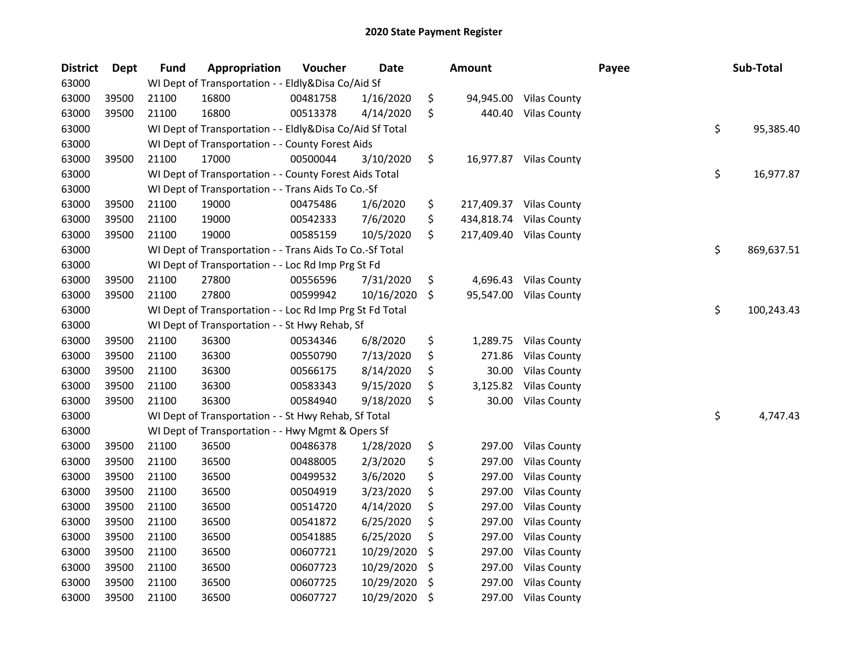| <b>District</b> | Dept  | <b>Fund</b> | <b>Appropriation</b>                                     | Voucher  | <b>Date</b> | <b>Amount</b>    |                         | Payee | Sub-Total        |
|-----------------|-------|-------------|----------------------------------------------------------|----------|-------------|------------------|-------------------------|-------|------------------|
| 63000           |       |             | WI Dept of Transportation - - Eldly&Disa Co/Aid Sf       |          |             |                  |                         |       |                  |
| 63000           | 39500 | 21100       | 16800                                                    | 00481758 | 1/16/2020   | \$<br>94,945.00  | <b>Vilas County</b>     |       |                  |
| 63000           | 39500 | 21100       | 16800                                                    | 00513378 | 4/14/2020   | \$<br>440.40     | <b>Vilas County</b>     |       |                  |
| 63000           |       |             | WI Dept of Transportation - - Eldly&Disa Co/Aid Sf Total |          |             |                  |                         |       | \$<br>95,385.40  |
| 63000           |       |             | WI Dept of Transportation - - County Forest Aids         |          |             |                  |                         |       |                  |
| 63000           | 39500 | 21100       | 17000                                                    | 00500044 | 3/10/2020   | \$               | 16,977.87 Vilas County  |       |                  |
| 63000           |       |             | WI Dept of Transportation - - County Forest Aids Total   |          |             |                  |                         |       | \$<br>16,977.87  |
| 63000           |       |             | WI Dept of Transportation - - Trans Aids To Co.-Sf       |          |             |                  |                         |       |                  |
| 63000           | 39500 | 21100       | 19000                                                    | 00475486 | 1/6/2020    | \$               | 217,409.37 Vilas County |       |                  |
| 63000           | 39500 | 21100       | 19000                                                    | 00542333 | 7/6/2020    | \$<br>434,818.74 | <b>Vilas County</b>     |       |                  |
| 63000           | 39500 | 21100       | 19000                                                    | 00585159 | 10/5/2020   | \$<br>217,409.40 | <b>Vilas County</b>     |       |                  |
| 63000           |       |             | WI Dept of Transportation - - Trans Aids To Co.-Sf Total |          |             |                  |                         |       | \$<br>869,637.51 |
| 63000           |       |             | WI Dept of Transportation - - Loc Rd Imp Prg St Fd       |          |             |                  |                         |       |                  |
| 63000           | 39500 | 21100       | 27800                                                    | 00556596 | 7/31/2020   | \$<br>4,696.43   | <b>Vilas County</b>     |       |                  |
| 63000           | 39500 | 21100       | 27800                                                    | 00599942 | 10/16/2020  | \$               | 95,547.00 Vilas County  |       |                  |
| 63000           |       |             | WI Dept of Transportation - - Loc Rd Imp Prg St Fd Total |          |             |                  |                         |       | \$<br>100,243.43 |
| 63000           |       |             | WI Dept of Transportation - - St Hwy Rehab, Sf           |          |             |                  |                         |       |                  |
| 63000           | 39500 | 21100       | 36300                                                    | 00534346 | 6/8/2020    | \$<br>1,289.75   | <b>Vilas County</b>     |       |                  |
| 63000           | 39500 | 21100       | 36300                                                    | 00550790 | 7/13/2020   | \$<br>271.86     | <b>Vilas County</b>     |       |                  |
| 63000           | 39500 | 21100       | 36300                                                    | 00566175 | 8/14/2020   | \$<br>30.00      | <b>Vilas County</b>     |       |                  |
| 63000           | 39500 | 21100       | 36300                                                    | 00583343 | 9/15/2020   | \$<br>3,125.82   | <b>Vilas County</b>     |       |                  |
| 63000           | 39500 | 21100       | 36300                                                    | 00584940 | 9/18/2020   | \$<br>30.00      | <b>Vilas County</b>     |       |                  |
| 63000           |       |             | WI Dept of Transportation - - St Hwy Rehab, Sf Total     |          |             |                  |                         |       | \$<br>4,747.43   |
| 63000           |       |             | WI Dept of Transportation - - Hwy Mgmt & Opers Sf        |          |             |                  |                         |       |                  |
| 63000           | 39500 | 21100       | 36500                                                    | 00486378 | 1/28/2020   | \$<br>297.00     | <b>Vilas County</b>     |       |                  |
| 63000           | 39500 | 21100       | 36500                                                    | 00488005 | 2/3/2020    | \$<br>297.00     | <b>Vilas County</b>     |       |                  |
| 63000           | 39500 | 21100       | 36500                                                    | 00499532 | 3/6/2020    | \$<br>297.00     | <b>Vilas County</b>     |       |                  |
| 63000           | 39500 | 21100       | 36500                                                    | 00504919 | 3/23/2020   | \$<br>297.00     | <b>Vilas County</b>     |       |                  |
| 63000           | 39500 | 21100       | 36500                                                    | 00514720 | 4/14/2020   | \$<br>297.00     | <b>Vilas County</b>     |       |                  |
| 63000           | 39500 | 21100       | 36500                                                    | 00541872 | 6/25/2020   | \$<br>297.00     | <b>Vilas County</b>     |       |                  |
| 63000           | 39500 | 21100       | 36500                                                    | 00541885 | 6/25/2020   | \$<br>297.00     | <b>Vilas County</b>     |       |                  |
| 63000           | 39500 | 21100       | 36500                                                    | 00607721 | 10/29/2020  | \$<br>297.00     | <b>Vilas County</b>     |       |                  |
| 63000           | 39500 | 21100       | 36500                                                    | 00607723 | 10/29/2020  | \$<br>297.00     | <b>Vilas County</b>     |       |                  |
| 63000           | 39500 | 21100       | 36500                                                    | 00607725 | 10/29/2020  | \$<br>297.00     | <b>Vilas County</b>     |       |                  |
| 63000           | 39500 | 21100       | 36500                                                    | 00607727 | 10/29/2020  | \$<br>297.00     | <b>Vilas County</b>     |       |                  |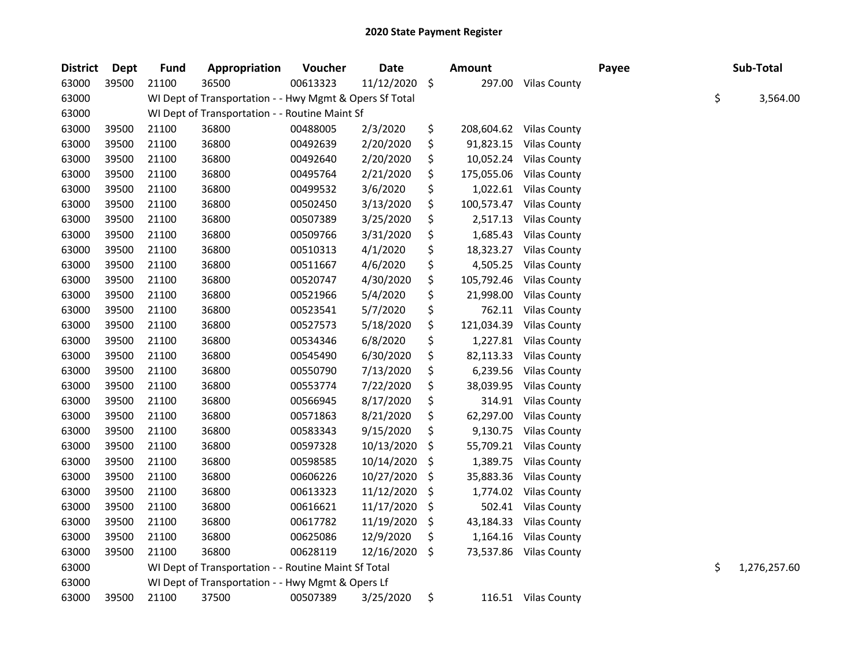| <b>District</b> | <b>Dept</b> | <b>Fund</b> | Appropriation                                           | Voucher  | <b>Date</b> |     | Amount     |                        | Payee | Sub-Total          |
|-----------------|-------------|-------------|---------------------------------------------------------|----------|-------------|-----|------------|------------------------|-------|--------------------|
| 63000           | 39500       | 21100       | 36500                                                   | 00613323 | 11/12/2020  | \$  | 297.00     | <b>Vilas County</b>    |       |                    |
| 63000           |             |             | WI Dept of Transportation - - Hwy Mgmt & Opers Sf Total |          |             |     |            |                        |       | \$<br>3,564.00     |
| 63000           |             |             | WI Dept of Transportation - - Routine Maint Sf          |          |             |     |            |                        |       |                    |
| 63000           | 39500       | 21100       | 36800                                                   | 00488005 | 2/3/2020    | \$  | 208,604.62 | <b>Vilas County</b>    |       |                    |
| 63000           | 39500       | 21100       | 36800                                                   | 00492639 | 2/20/2020   | \$  | 91,823.15  | <b>Vilas County</b>    |       |                    |
| 63000           | 39500       | 21100       | 36800                                                   | 00492640 | 2/20/2020   | \$  | 10,052.24  | <b>Vilas County</b>    |       |                    |
| 63000           | 39500       | 21100       | 36800                                                   | 00495764 | 2/21/2020   | \$  | 175,055.06 | <b>Vilas County</b>    |       |                    |
| 63000           | 39500       | 21100       | 36800                                                   | 00499532 | 3/6/2020    | \$  |            | 1,022.61 Vilas County  |       |                    |
| 63000           | 39500       | 21100       | 36800                                                   | 00502450 | 3/13/2020   | \$  | 100,573.47 | <b>Vilas County</b>    |       |                    |
| 63000           | 39500       | 21100       | 36800                                                   | 00507389 | 3/25/2020   | \$  | 2,517.13   | <b>Vilas County</b>    |       |                    |
| 63000           | 39500       | 21100       | 36800                                                   | 00509766 | 3/31/2020   | \$  | 1,685.43   | <b>Vilas County</b>    |       |                    |
| 63000           | 39500       | 21100       | 36800                                                   | 00510313 | 4/1/2020    | \$  | 18,323.27  | <b>Vilas County</b>    |       |                    |
| 63000           | 39500       | 21100       | 36800                                                   | 00511667 | 4/6/2020    | \$  | 4,505.25   | <b>Vilas County</b>    |       |                    |
| 63000           | 39500       | 21100       | 36800                                                   | 00520747 | 4/30/2020   | \$  | 105,792.46 | <b>Vilas County</b>    |       |                    |
| 63000           | 39500       | 21100       | 36800                                                   | 00521966 | 5/4/2020    | \$  | 21,998.00  | <b>Vilas County</b>    |       |                    |
| 63000           | 39500       | 21100       | 36800                                                   | 00523541 | 5/7/2020    | \$  | 762.11     | <b>Vilas County</b>    |       |                    |
| 63000           | 39500       | 21100       | 36800                                                   | 00527573 | 5/18/2020   | \$  | 121,034.39 | <b>Vilas County</b>    |       |                    |
| 63000           | 39500       | 21100       | 36800                                                   | 00534346 | 6/8/2020    | \$  | 1,227.81   | <b>Vilas County</b>    |       |                    |
| 63000           | 39500       | 21100       | 36800                                                   | 00545490 | 6/30/2020   | \$  | 82,113.33  | <b>Vilas County</b>    |       |                    |
| 63000           | 39500       | 21100       | 36800                                                   | 00550790 | 7/13/2020   | \$  | 6,239.56   | <b>Vilas County</b>    |       |                    |
| 63000           | 39500       | 21100       | 36800                                                   | 00553774 | 7/22/2020   | \$  | 38,039.95  | <b>Vilas County</b>    |       |                    |
| 63000           | 39500       | 21100       | 36800                                                   | 00566945 | 8/17/2020   | \$  | 314.91     | <b>Vilas County</b>    |       |                    |
| 63000           | 39500       | 21100       | 36800                                                   | 00571863 | 8/21/2020   | \$  | 62,297.00  | <b>Vilas County</b>    |       |                    |
| 63000           | 39500       | 21100       | 36800                                                   | 00583343 | 9/15/2020   | \$  | 9,130.75   | <b>Vilas County</b>    |       |                    |
| 63000           | 39500       | 21100       | 36800                                                   | 00597328 | 10/13/2020  | \$  | 55,709.21  | <b>Vilas County</b>    |       |                    |
| 63000           | 39500       | 21100       | 36800                                                   | 00598585 | 10/14/2020  | \$  | 1,389.75   | <b>Vilas County</b>    |       |                    |
| 63000           | 39500       | 21100       | 36800                                                   | 00606226 | 10/27/2020  | \$, | 35,883.36  | <b>Vilas County</b>    |       |                    |
| 63000           | 39500       | 21100       | 36800                                                   | 00613323 | 11/12/2020  | \$  | 1,774.02   | <b>Vilas County</b>    |       |                    |
| 63000           | 39500       | 21100       | 36800                                                   | 00616621 | 11/17/2020  | \$  | 502.41     | <b>Vilas County</b>    |       |                    |
| 63000           | 39500       | 21100       | 36800                                                   | 00617782 | 11/19/2020  | \$, | 43,184.33  | <b>Vilas County</b>    |       |                    |
| 63000           | 39500       | 21100       | 36800                                                   | 00625086 | 12/9/2020   | \$  | 1,164.16   | <b>Vilas County</b>    |       |                    |
| 63000           | 39500       | 21100       | 36800                                                   | 00628119 | 12/16/2020  | \$  |            | 73,537.86 Vilas County |       |                    |
| 63000           |             |             | WI Dept of Transportation - - Routine Maint Sf Total    |          |             |     |            |                        |       | \$<br>1,276,257.60 |
| 63000           |             |             | WI Dept of Transportation - - Hwy Mgmt & Opers Lf       |          |             |     |            |                        |       |                    |
| 63000           | 39500       | 21100       | 37500                                                   | 00507389 | 3/25/2020   | \$  |            | 116.51 Vilas County    |       |                    |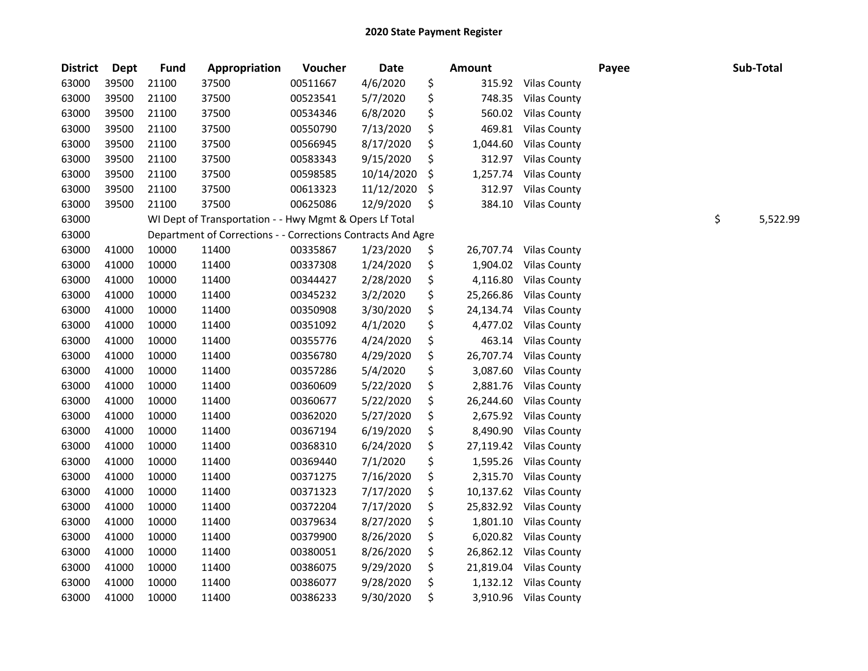| <b>District</b> | Dept  | <b>Fund</b> | Appropriation                                                | Voucher  | <b>Date</b> | <b>Amount</b>   |                       | Payee | Sub-Total      |
|-----------------|-------|-------------|--------------------------------------------------------------|----------|-------------|-----------------|-----------------------|-------|----------------|
| 63000           | 39500 | 21100       | 37500                                                        | 00511667 | 4/6/2020    | \$<br>315.92    | <b>Vilas County</b>   |       |                |
| 63000           | 39500 | 21100       | 37500                                                        | 00523541 | 5/7/2020    | \$<br>748.35    | <b>Vilas County</b>   |       |                |
| 63000           | 39500 | 21100       | 37500                                                        | 00534346 | 6/8/2020    | \$<br>560.02    | <b>Vilas County</b>   |       |                |
| 63000           | 39500 | 21100       | 37500                                                        | 00550790 | 7/13/2020   | \$<br>469.81    | <b>Vilas County</b>   |       |                |
| 63000           | 39500 | 21100       | 37500                                                        | 00566945 | 8/17/2020   | \$<br>1,044.60  | <b>Vilas County</b>   |       |                |
| 63000           | 39500 | 21100       | 37500                                                        | 00583343 | 9/15/2020   | \$<br>312.97    | <b>Vilas County</b>   |       |                |
| 63000           | 39500 | 21100       | 37500                                                        | 00598585 | 10/14/2020  | \$<br>1,257.74  | <b>Vilas County</b>   |       |                |
| 63000           | 39500 | 21100       | 37500                                                        | 00613323 | 11/12/2020  | \$<br>312.97    | <b>Vilas County</b>   |       |                |
| 63000           | 39500 | 21100       | 37500                                                        | 00625086 | 12/9/2020   | \$<br>384.10    | <b>Vilas County</b>   |       |                |
| 63000           |       |             | WI Dept of Transportation - - Hwy Mgmt & Opers Lf Total      |          |             |                 |                       |       | \$<br>5,522.99 |
| 63000           |       |             | Department of Corrections - - Corrections Contracts And Agre |          |             |                 |                       |       |                |
| 63000           | 41000 | 10000       | 11400                                                        | 00335867 | 1/23/2020   | \$<br>26,707.74 | <b>Vilas County</b>   |       |                |
| 63000           | 41000 | 10000       | 11400                                                        | 00337308 | 1/24/2020   | \$<br>1,904.02  | <b>Vilas County</b>   |       |                |
| 63000           | 41000 | 10000       | 11400                                                        | 00344427 | 2/28/2020   | \$<br>4,116.80  | <b>Vilas County</b>   |       |                |
| 63000           | 41000 | 10000       | 11400                                                        | 00345232 | 3/2/2020    | \$<br>25,266.86 | <b>Vilas County</b>   |       |                |
| 63000           | 41000 | 10000       | 11400                                                        | 00350908 | 3/30/2020   | \$<br>24,134.74 | <b>Vilas County</b>   |       |                |
| 63000           | 41000 | 10000       | 11400                                                        | 00351092 | 4/1/2020    | \$<br>4,477.02  | <b>Vilas County</b>   |       |                |
| 63000           | 41000 | 10000       | 11400                                                        | 00355776 | 4/24/2020   | \$<br>463.14    | <b>Vilas County</b>   |       |                |
| 63000           | 41000 | 10000       | 11400                                                        | 00356780 | 4/29/2020   | \$<br>26,707.74 | <b>Vilas County</b>   |       |                |
| 63000           | 41000 | 10000       | 11400                                                        | 00357286 | 5/4/2020    | \$<br>3,087.60  | <b>Vilas County</b>   |       |                |
| 63000           | 41000 | 10000       | 11400                                                        | 00360609 | 5/22/2020   | \$<br>2,881.76  | <b>Vilas County</b>   |       |                |
| 63000           | 41000 | 10000       | 11400                                                        | 00360677 | 5/22/2020   | \$<br>26,244.60 | <b>Vilas County</b>   |       |                |
| 63000           | 41000 | 10000       | 11400                                                        | 00362020 | 5/27/2020   | \$<br>2,675.92  | <b>Vilas County</b>   |       |                |
| 63000           | 41000 | 10000       | 11400                                                        | 00367194 | 6/19/2020   | \$<br>8,490.90  | <b>Vilas County</b>   |       |                |
| 63000           | 41000 | 10000       | 11400                                                        | 00368310 | 6/24/2020   | \$<br>27,119.42 | <b>Vilas County</b>   |       |                |
| 63000           | 41000 | 10000       | 11400                                                        | 00369440 | 7/1/2020    | \$<br>1,595.26  | <b>Vilas County</b>   |       |                |
| 63000           | 41000 | 10000       | 11400                                                        | 00371275 | 7/16/2020   | \$<br>2,315.70  | <b>Vilas County</b>   |       |                |
| 63000           | 41000 | 10000       | 11400                                                        | 00371323 | 7/17/2020   | \$<br>10,137.62 | <b>Vilas County</b>   |       |                |
| 63000           | 41000 | 10000       | 11400                                                        | 00372204 | 7/17/2020   | \$<br>25,832.92 | <b>Vilas County</b>   |       |                |
| 63000           | 41000 | 10000       | 11400                                                        | 00379634 | 8/27/2020   | \$<br>1,801.10  | <b>Vilas County</b>   |       |                |
| 63000           | 41000 | 10000       | 11400                                                        | 00379900 | 8/26/2020   | \$<br>6,020.82  | <b>Vilas County</b>   |       |                |
| 63000           | 41000 | 10000       | 11400                                                        | 00380051 | 8/26/2020   | \$<br>26,862.12 | <b>Vilas County</b>   |       |                |
| 63000           | 41000 | 10000       | 11400                                                        | 00386075 | 9/29/2020   | \$<br>21,819.04 | <b>Vilas County</b>   |       |                |
| 63000           | 41000 | 10000       | 11400                                                        | 00386077 | 9/28/2020   | \$<br>1,132.12  | <b>Vilas County</b>   |       |                |
| 63000           | 41000 | 10000       | 11400                                                        | 00386233 | 9/30/2020   | \$              | 3,910.96 Vilas County |       |                |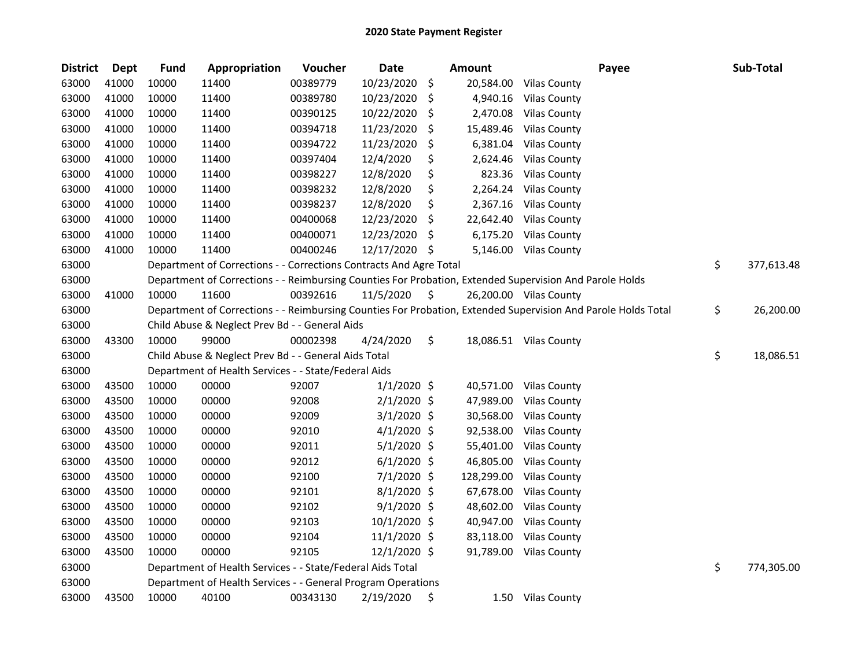| <b>District</b> | <b>Dept</b> | <b>Fund</b> | Appropriation                                                      | Voucher  | Date           |     | <b>Amount</b> | Payee                                                                                                         | Sub-Total        |
|-----------------|-------------|-------------|--------------------------------------------------------------------|----------|----------------|-----|---------------|---------------------------------------------------------------------------------------------------------------|------------------|
| 63000           | 41000       | 10000       | 11400                                                              | 00389779 | 10/23/2020     | \$  | 20,584.00     | <b>Vilas County</b>                                                                                           |                  |
| 63000           | 41000       | 10000       | 11400                                                              | 00389780 | 10/23/2020     | \$  | 4,940.16      | <b>Vilas County</b>                                                                                           |                  |
| 63000           | 41000       | 10000       | 11400                                                              | 00390125 | 10/22/2020     | \$  | 2,470.08      | <b>Vilas County</b>                                                                                           |                  |
| 63000           | 41000       | 10000       | 11400                                                              | 00394718 | 11/23/2020     | S   | 15,489.46     | <b>Vilas County</b>                                                                                           |                  |
| 63000           | 41000       | 10000       | 11400                                                              | 00394722 | 11/23/2020     | \$  | 6,381.04      | <b>Vilas County</b>                                                                                           |                  |
| 63000           | 41000       | 10000       | 11400                                                              | 00397404 | 12/4/2020      | \$  | 2,624.46      | <b>Vilas County</b>                                                                                           |                  |
| 63000           | 41000       | 10000       | 11400                                                              | 00398227 | 12/8/2020      | \$  | 823.36        | <b>Vilas County</b>                                                                                           |                  |
| 63000           | 41000       | 10000       | 11400                                                              | 00398232 | 12/8/2020      | \$  | 2,264.24      | <b>Vilas County</b>                                                                                           |                  |
| 63000           | 41000       | 10000       | 11400                                                              | 00398237 | 12/8/2020      | \$  | 2,367.16      | <b>Vilas County</b>                                                                                           |                  |
| 63000           | 41000       | 10000       | 11400                                                              | 00400068 | 12/23/2020     | \$  | 22,642.40     | <b>Vilas County</b>                                                                                           |                  |
| 63000           | 41000       | 10000       | 11400                                                              | 00400071 | 12/23/2020     | \$, | 6,175.20      | <b>Vilas County</b>                                                                                           |                  |
| 63000           | 41000       | 10000       | 11400                                                              | 00400246 | 12/17/2020     | \$  | 5,146.00      | <b>Vilas County</b>                                                                                           |                  |
| 63000           |             |             | Department of Corrections - - Corrections Contracts And Agre Total |          |                |     |               |                                                                                                               | \$<br>377,613.48 |
| 63000           |             |             |                                                                    |          |                |     |               | Department of Corrections - - Reimbursing Counties For Probation, Extended Supervision And Parole Holds       |                  |
| 63000           | 41000       | 10000       | 11600                                                              | 00392616 | 11/5/2020      | \$  |               | 26,200.00 Vilas County                                                                                        |                  |
| 63000           |             |             |                                                                    |          |                |     |               | Department of Corrections - - Reimbursing Counties For Probation, Extended Supervision And Parole Holds Total | \$<br>26,200.00  |
| 63000           |             |             | Child Abuse & Neglect Prev Bd - - General Aids                     |          |                |     |               |                                                                                                               |                  |
| 63000           | 43300       | 10000       | 99000                                                              | 00002398 | 4/24/2020      | \$  |               | 18,086.51 Vilas County                                                                                        |                  |
| 63000           |             |             | Child Abuse & Neglect Prev Bd - - General Aids Total               |          |                |     |               |                                                                                                               | \$<br>18,086.51  |
| 63000           |             |             | Department of Health Services - - State/Federal Aids               |          |                |     |               |                                                                                                               |                  |
| 63000           | 43500       | 10000       | 00000                                                              | 92007    | $1/1/2020$ \$  |     | 40,571.00     | <b>Vilas County</b>                                                                                           |                  |
| 63000           | 43500       | 10000       | 00000                                                              | 92008    | $2/1/2020$ \$  |     | 47,989.00     | <b>Vilas County</b>                                                                                           |                  |
| 63000           | 43500       | 10000       | 00000                                                              | 92009    | $3/1/2020$ \$  |     | 30,568.00     | <b>Vilas County</b>                                                                                           |                  |
| 63000           | 43500       | 10000       | 00000                                                              | 92010    | $4/1/2020$ \$  |     | 92,538.00     | <b>Vilas County</b>                                                                                           |                  |
| 63000           | 43500       | 10000       | 00000                                                              | 92011    | $5/1/2020$ \$  |     | 55,401.00     | <b>Vilas County</b>                                                                                           |                  |
| 63000           | 43500       | 10000       | 00000                                                              | 92012    | $6/1/2020$ \$  |     | 46,805.00     | <b>Vilas County</b>                                                                                           |                  |
| 63000           | 43500       | 10000       | 00000                                                              | 92100    | 7/1/2020 \$    |     | 128,299.00    | <b>Vilas County</b>                                                                                           |                  |
| 63000           | 43500       | 10000       | 00000                                                              | 92101    | 8/1/2020 \$    |     | 67,678.00     | <b>Vilas County</b>                                                                                           |                  |
| 63000           | 43500       | 10000       | 00000                                                              | 92102    | $9/1/2020$ \$  |     | 48,602.00     | <b>Vilas County</b>                                                                                           |                  |
| 63000           | 43500       | 10000       | 00000                                                              | 92103    | 10/1/2020 \$   |     | 40,947.00     | <b>Vilas County</b>                                                                                           |                  |
| 63000           | 43500       | 10000       | 00000                                                              | 92104    | $11/1/2020$ \$ |     | 83,118.00     | <b>Vilas County</b>                                                                                           |                  |
| 63000           | 43500       | 10000       | 00000                                                              | 92105    | 12/1/2020 \$   |     | 91,789.00     | <b>Vilas County</b>                                                                                           |                  |
| 63000           |             |             | Department of Health Services - - State/Federal Aids Total         |          |                |     |               |                                                                                                               | \$<br>774,305.00 |
| 63000           |             |             | Department of Health Services - - General Program Operations       |          |                |     |               |                                                                                                               |                  |
| 63000           | 43500       | 10000       | 40100                                                              | 00343130 | 2/19/2020      | \$  | 1.50          | Vilas County                                                                                                  |                  |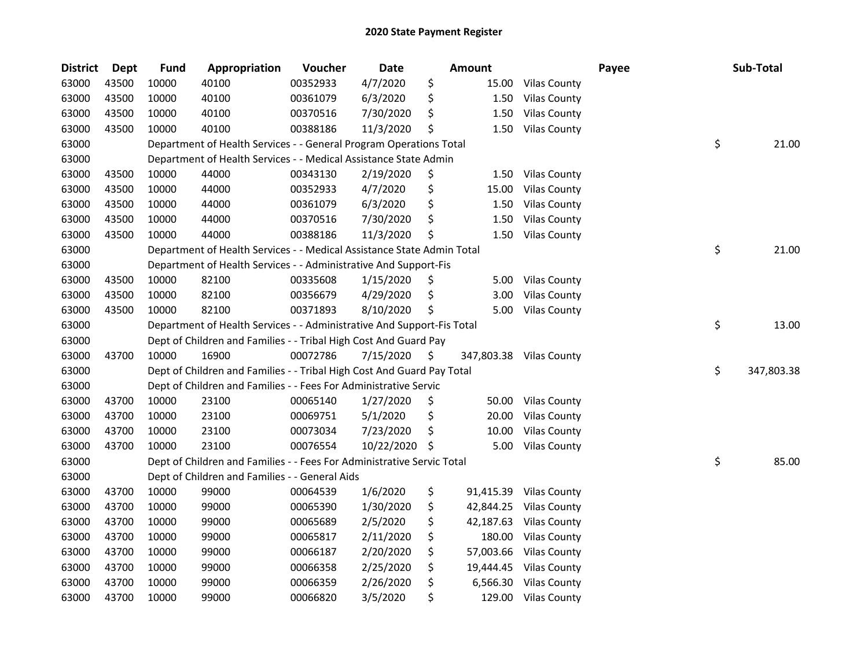| <b>District</b> | <b>Dept</b> | <b>Fund</b> | Appropriation                                                          | Voucher  | Date       | Amount          |                         | Payee | Sub-Total        |
|-----------------|-------------|-------------|------------------------------------------------------------------------|----------|------------|-----------------|-------------------------|-------|------------------|
| 63000           | 43500       | 10000       | 40100                                                                  | 00352933 | 4/7/2020   | \$<br>15.00     | Vilas County            |       |                  |
| 63000           | 43500       | 10000       | 40100                                                                  | 00361079 | 6/3/2020   | \$<br>1.50      | <b>Vilas County</b>     |       |                  |
| 63000           | 43500       | 10000       | 40100                                                                  | 00370516 | 7/30/2020  | \$<br>1.50      | <b>Vilas County</b>     |       |                  |
| 63000           | 43500       | 10000       | 40100                                                                  | 00388186 | 11/3/2020  | \$<br>1.50      | <b>Vilas County</b>     |       |                  |
| 63000           |             |             | Department of Health Services - - General Program Operations Total     |          |            |                 |                         |       | \$<br>21.00      |
| 63000           |             |             | Department of Health Services - - Medical Assistance State Admin       |          |            |                 |                         |       |                  |
| 63000           | 43500       | 10000       | 44000                                                                  | 00343130 | 2/19/2020  | \$<br>1.50      | <b>Vilas County</b>     |       |                  |
| 63000           | 43500       | 10000       | 44000                                                                  | 00352933 | 4/7/2020   | \$<br>15.00     | <b>Vilas County</b>     |       |                  |
| 63000           | 43500       | 10000       | 44000                                                                  | 00361079 | 6/3/2020   | \$<br>1.50      | <b>Vilas County</b>     |       |                  |
| 63000           | 43500       | 10000       | 44000                                                                  | 00370516 | 7/30/2020  | \$<br>1.50      | <b>Vilas County</b>     |       |                  |
| 63000           | 43500       | 10000       | 44000                                                                  | 00388186 | 11/3/2020  | \$<br>1.50      | <b>Vilas County</b>     |       |                  |
| 63000           |             |             | Department of Health Services - - Medical Assistance State Admin Total |          |            |                 |                         |       | \$<br>21.00      |
| 63000           |             |             | Department of Health Services - - Administrative And Support-Fis       |          |            |                 |                         |       |                  |
| 63000           | 43500       | 10000       | 82100                                                                  | 00335608 | 1/15/2020  | \$              | 5.00 Vilas County       |       |                  |
| 63000           | 43500       | 10000       | 82100                                                                  | 00356679 | 4/29/2020  | \$<br>3.00      | <b>Vilas County</b>     |       |                  |
| 63000           | 43500       | 10000       | 82100                                                                  | 00371893 | 8/10/2020  | \$<br>5.00      | <b>Vilas County</b>     |       |                  |
| 63000           |             |             | Department of Health Services - - Administrative And Support-Fis Total |          |            |                 |                         |       | \$<br>13.00      |
| 63000           |             |             | Dept of Children and Families - - Tribal High Cost And Guard Pay       |          |            |                 |                         |       |                  |
| 63000           | 43700       | 10000       | 16900                                                                  | 00072786 | 7/15/2020  | \$              | 347,803.38 Vilas County |       |                  |
| 63000           |             |             | Dept of Children and Families - - Tribal High Cost And Guard Pay Total |          |            |                 |                         |       | \$<br>347,803.38 |
| 63000           |             |             | Dept of Children and Families - - Fees For Administrative Servic       |          |            |                 |                         |       |                  |
| 63000           | 43700       | 10000       | 23100                                                                  | 00065140 | 1/27/2020  | \$<br>50.00     | <b>Vilas County</b>     |       |                  |
| 63000           | 43700       | 10000       | 23100                                                                  | 00069751 | 5/1/2020   | \$<br>20.00     | <b>Vilas County</b>     |       |                  |
| 63000           | 43700       | 10000       | 23100                                                                  | 00073034 | 7/23/2020  | \$<br>10.00     | <b>Vilas County</b>     |       |                  |
| 63000           | 43700       | 10000       | 23100                                                                  | 00076554 | 10/22/2020 | \$<br>5.00      | <b>Vilas County</b>     |       |                  |
| 63000           |             |             | Dept of Children and Families - - Fees For Administrative Servic Total |          |            |                 |                         |       | \$<br>85.00      |
| 63000           |             |             | Dept of Children and Families - - General Aids                         |          |            |                 |                         |       |                  |
| 63000           | 43700       | 10000       | 99000                                                                  | 00064539 | 1/6/2020   | \$<br>91,415.39 | <b>Vilas County</b>     |       |                  |
| 63000           | 43700       | 10000       | 99000                                                                  | 00065390 | 1/30/2020  | \$<br>42,844.25 | <b>Vilas County</b>     |       |                  |
| 63000           | 43700       | 10000       | 99000                                                                  | 00065689 | 2/5/2020   | \$<br>42,187.63 | <b>Vilas County</b>     |       |                  |
| 63000           | 43700       | 10000       | 99000                                                                  | 00065817 | 2/11/2020  | \$<br>180.00    | <b>Vilas County</b>     |       |                  |
| 63000           | 43700       | 10000       | 99000                                                                  | 00066187 | 2/20/2020  | \$<br>57,003.66 | <b>Vilas County</b>     |       |                  |
| 63000           | 43700       | 10000       | 99000                                                                  | 00066358 | 2/25/2020  | \$<br>19,444.45 | <b>Vilas County</b>     |       |                  |
| 63000           | 43700       | 10000       | 99000                                                                  | 00066359 | 2/26/2020  | \$<br>6,566.30  | <b>Vilas County</b>     |       |                  |
| 63000           | 43700       | 10000       | 99000                                                                  | 00066820 | 3/5/2020   | \$<br>129.00    | <b>Vilas County</b>     |       |                  |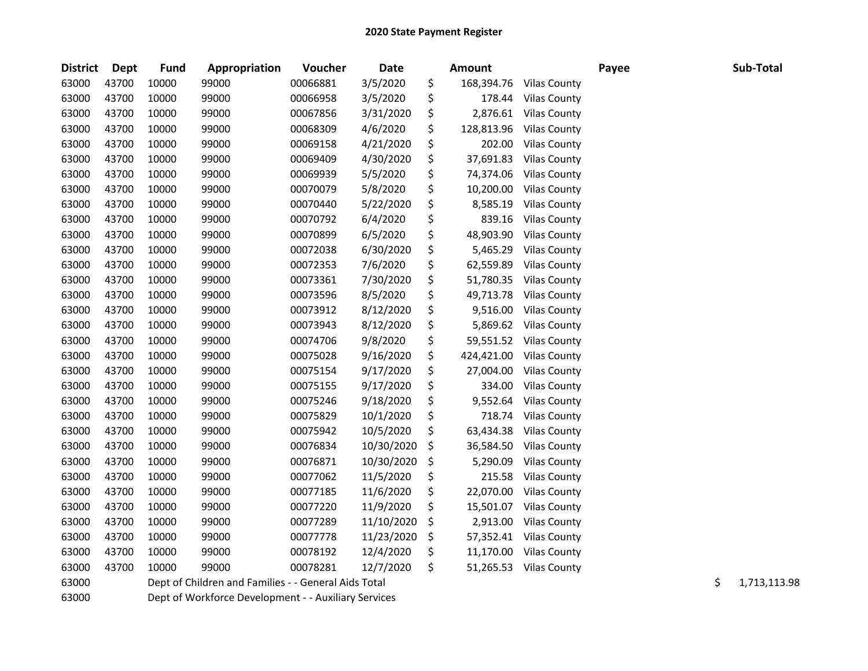| <b>District</b> | <b>Dept</b> | <b>Fund</b> | Appropriation                                        | Voucher  | <b>Date</b> | <b>Amount</b>    |                     | Payee | Sub-Total          |
|-----------------|-------------|-------------|------------------------------------------------------|----------|-------------|------------------|---------------------|-------|--------------------|
| 63000           | 43700       | 10000       | 99000                                                | 00066881 | 3/5/2020    | \$<br>168,394.76 | <b>Vilas County</b> |       |                    |
| 63000           | 43700       | 10000       | 99000                                                | 00066958 | 3/5/2020    | \$<br>178.44     | <b>Vilas County</b> |       |                    |
| 63000           | 43700       | 10000       | 99000                                                | 00067856 | 3/31/2020   | \$<br>2,876.61   | <b>Vilas County</b> |       |                    |
| 63000           | 43700       | 10000       | 99000                                                | 00068309 | 4/6/2020    | \$<br>128,813.96 | <b>Vilas County</b> |       |                    |
| 63000           | 43700       | 10000       | 99000                                                | 00069158 | 4/21/2020   | \$<br>202.00     | <b>Vilas County</b> |       |                    |
| 63000           | 43700       | 10000       | 99000                                                | 00069409 | 4/30/2020   | \$<br>37,691.83  | <b>Vilas County</b> |       |                    |
| 63000           | 43700       | 10000       | 99000                                                | 00069939 | 5/5/2020    | \$<br>74,374.06  | <b>Vilas County</b> |       |                    |
| 63000           | 43700       | 10000       | 99000                                                | 00070079 | 5/8/2020    | \$<br>10,200.00  | <b>Vilas County</b> |       |                    |
| 63000           | 43700       | 10000       | 99000                                                | 00070440 | 5/22/2020   | \$<br>8,585.19   | <b>Vilas County</b> |       |                    |
| 63000           | 43700       | 10000       | 99000                                                | 00070792 | 6/4/2020    | \$<br>839.16     | <b>Vilas County</b> |       |                    |
| 63000           | 43700       | 10000       | 99000                                                | 00070899 | 6/5/2020    | \$<br>48,903.90  | <b>Vilas County</b> |       |                    |
| 63000           | 43700       | 10000       | 99000                                                | 00072038 | 6/30/2020   | \$<br>5,465.29   | <b>Vilas County</b> |       |                    |
| 63000           | 43700       | 10000       | 99000                                                | 00072353 | 7/6/2020    | \$<br>62,559.89  | <b>Vilas County</b> |       |                    |
| 63000           | 43700       | 10000       | 99000                                                | 00073361 | 7/30/2020   | \$<br>51,780.35  | <b>Vilas County</b> |       |                    |
| 63000           | 43700       | 10000       | 99000                                                | 00073596 | 8/5/2020    | \$<br>49,713.78  | <b>Vilas County</b> |       |                    |
| 63000           | 43700       | 10000       | 99000                                                | 00073912 | 8/12/2020   | \$<br>9,516.00   | <b>Vilas County</b> |       |                    |
| 63000           | 43700       | 10000       | 99000                                                | 00073943 | 8/12/2020   | \$<br>5,869.62   | <b>Vilas County</b> |       |                    |
| 63000           | 43700       | 10000       | 99000                                                | 00074706 | 9/8/2020    | \$<br>59,551.52  | <b>Vilas County</b> |       |                    |
| 63000           | 43700       | 10000       | 99000                                                | 00075028 | 9/16/2020   | \$<br>424,421.00 | <b>Vilas County</b> |       |                    |
| 63000           | 43700       | 10000       | 99000                                                | 00075154 | 9/17/2020   | \$<br>27,004.00  | <b>Vilas County</b> |       |                    |
| 63000           | 43700       | 10000       | 99000                                                | 00075155 | 9/17/2020   | \$<br>334.00     | <b>Vilas County</b> |       |                    |
| 63000           | 43700       | 10000       | 99000                                                | 00075246 | 9/18/2020   | \$<br>9,552.64   | <b>Vilas County</b> |       |                    |
| 63000           | 43700       | 10000       | 99000                                                | 00075829 | 10/1/2020   | \$<br>718.74     | <b>Vilas County</b> |       |                    |
| 63000           | 43700       | 10000       | 99000                                                | 00075942 | 10/5/2020   | \$<br>63,434.38  | <b>Vilas County</b> |       |                    |
| 63000           | 43700       | 10000       | 99000                                                | 00076834 | 10/30/2020  | \$<br>36,584.50  | <b>Vilas County</b> |       |                    |
| 63000           | 43700       | 10000       | 99000                                                | 00076871 | 10/30/2020  | \$<br>5,290.09   | <b>Vilas County</b> |       |                    |
| 63000           | 43700       | 10000       | 99000                                                | 00077062 | 11/5/2020   | \$<br>215.58     | <b>Vilas County</b> |       |                    |
| 63000           | 43700       | 10000       | 99000                                                | 00077185 | 11/6/2020   | \$<br>22,070.00  | <b>Vilas County</b> |       |                    |
| 63000           | 43700       | 10000       | 99000                                                | 00077220 | 11/9/2020   | \$<br>15,501.07  | <b>Vilas County</b> |       |                    |
| 63000           | 43700       | 10000       | 99000                                                | 00077289 | 11/10/2020  | \$<br>2,913.00   | <b>Vilas County</b> |       |                    |
| 63000           | 43700       | 10000       | 99000                                                | 00077778 | 11/23/2020  | \$<br>57,352.41  | <b>Vilas County</b> |       |                    |
| 63000           | 43700       | 10000       | 99000                                                | 00078192 | 12/4/2020   | \$<br>11,170.00  | <b>Vilas County</b> |       |                    |
| 63000           | 43700       | 10000       | 99000                                                | 00078281 | 12/7/2020   | \$<br>51,265.53  | <b>Vilas County</b> |       |                    |
| 63000           |             |             | Dept of Children and Families - - General Aids Total |          |             |                  |                     |       | \$<br>1,713,113.98 |
| 63000           |             |             | Dept of Workforce Development - - Auxiliary Services |          |             |                  |                     |       |                    |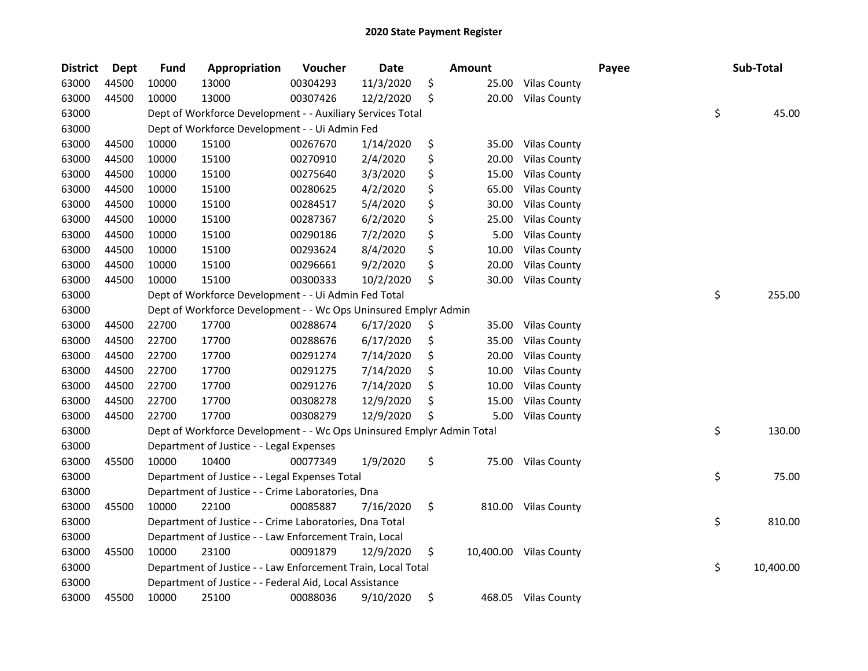| <b>District</b> | <b>Dept</b> | <b>Fund</b> | Appropriation                                                         | Voucher  | Date      | <b>Amount</b> |                        | Payee | Sub-Total       |
|-----------------|-------------|-------------|-----------------------------------------------------------------------|----------|-----------|---------------|------------------------|-------|-----------------|
| 63000           | 44500       | 10000       | 13000                                                                 | 00304293 | 11/3/2020 | \$<br>25.00   | <b>Vilas County</b>    |       |                 |
| 63000           | 44500       | 10000       | 13000                                                                 | 00307426 | 12/2/2020 | \$<br>20.00   | <b>Vilas County</b>    |       |                 |
| 63000           |             |             | Dept of Workforce Development - - Auxiliary Services Total            |          |           |               |                        |       | \$<br>45.00     |
| 63000           |             |             | Dept of Workforce Development - - Ui Admin Fed                        |          |           |               |                        |       |                 |
| 63000           | 44500       | 10000       | 15100                                                                 | 00267670 | 1/14/2020 | \$<br>35.00   | <b>Vilas County</b>    |       |                 |
| 63000           | 44500       | 10000       | 15100                                                                 | 00270910 | 2/4/2020  | \$<br>20.00   | <b>Vilas County</b>    |       |                 |
| 63000           | 44500       | 10000       | 15100                                                                 | 00275640 | 3/3/2020  | \$<br>15.00   | <b>Vilas County</b>    |       |                 |
| 63000           | 44500       | 10000       | 15100                                                                 | 00280625 | 4/2/2020  | \$<br>65.00   | <b>Vilas County</b>    |       |                 |
| 63000           | 44500       | 10000       | 15100                                                                 | 00284517 | 5/4/2020  | \$<br>30.00   | <b>Vilas County</b>    |       |                 |
| 63000           | 44500       | 10000       | 15100                                                                 | 00287367 | 6/2/2020  | \$<br>25.00   | <b>Vilas County</b>    |       |                 |
| 63000           | 44500       | 10000       | 15100                                                                 | 00290186 | 7/2/2020  | \$<br>5.00    | <b>Vilas County</b>    |       |                 |
| 63000           | 44500       | 10000       | 15100                                                                 | 00293624 | 8/4/2020  | \$<br>10.00   | <b>Vilas County</b>    |       |                 |
| 63000           | 44500       | 10000       | 15100                                                                 | 00296661 | 9/2/2020  | \$<br>20.00   | <b>Vilas County</b>    |       |                 |
| 63000           | 44500       | 10000       | 15100                                                                 | 00300333 | 10/2/2020 | \$<br>30.00   | <b>Vilas County</b>    |       |                 |
| 63000           |             |             | Dept of Workforce Development - - Ui Admin Fed Total                  |          |           |               |                        |       | \$<br>255.00    |
| 63000           |             |             | Dept of Workforce Development - - Wc Ops Uninsured Emplyr Admin       |          |           |               |                        |       |                 |
| 63000           | 44500       | 22700       | 17700                                                                 | 00288674 | 6/17/2020 | \$<br>35.00   | <b>Vilas County</b>    |       |                 |
| 63000           | 44500       | 22700       | 17700                                                                 | 00288676 | 6/17/2020 | \$<br>35.00   | <b>Vilas County</b>    |       |                 |
| 63000           | 44500       | 22700       | 17700                                                                 | 00291274 | 7/14/2020 | \$<br>20.00   | <b>Vilas County</b>    |       |                 |
| 63000           | 44500       | 22700       | 17700                                                                 | 00291275 | 7/14/2020 | \$<br>10.00   | <b>Vilas County</b>    |       |                 |
| 63000           | 44500       | 22700       | 17700                                                                 | 00291276 | 7/14/2020 | \$<br>10.00   | <b>Vilas County</b>    |       |                 |
| 63000           | 44500       | 22700       | 17700                                                                 | 00308278 | 12/9/2020 | \$<br>15.00   | <b>Vilas County</b>    |       |                 |
| 63000           | 44500       | 22700       | 17700                                                                 | 00308279 | 12/9/2020 | \$<br>5.00    | <b>Vilas County</b>    |       |                 |
| 63000           |             |             | Dept of Workforce Development - - Wc Ops Uninsured Emplyr Admin Total |          |           |               |                        |       | \$<br>130.00    |
| 63000           |             |             | Department of Justice - - Legal Expenses                              |          |           |               |                        |       |                 |
| 63000           | 45500       | 10000       | 10400                                                                 | 00077349 | 1/9/2020  | \$<br>75.00   | <b>Vilas County</b>    |       |                 |
| 63000           |             |             | Department of Justice - - Legal Expenses Total                        |          |           |               |                        |       | \$<br>75.00     |
| 63000           |             |             | Department of Justice - - Crime Laboratories, Dna                     |          |           |               |                        |       |                 |
| 63000           | 45500       | 10000       | 22100                                                                 | 00085887 | 7/16/2020 | \$            | 810.00 Vilas County    |       |                 |
| 63000           |             |             | Department of Justice - - Crime Laboratories, Dna Total               |          |           |               |                        |       | \$<br>810.00    |
| 63000           |             |             | Department of Justice - - Law Enforcement Train, Local                |          |           |               |                        |       |                 |
| 63000           | 45500       | 10000       | 23100                                                                 | 00091879 | 12/9/2020 | \$            | 10,400.00 Vilas County |       |                 |
| 63000           |             |             | Department of Justice - - Law Enforcement Train, Local Total          |          |           |               |                        |       | \$<br>10,400.00 |
| 63000           |             |             | Department of Justice - - Federal Aid, Local Assistance               |          |           |               |                        |       |                 |
| 63000           | 45500       | 10000       | 25100                                                                 | 00088036 | 9/10/2020 | \$            | 468.05 Vilas County    |       |                 |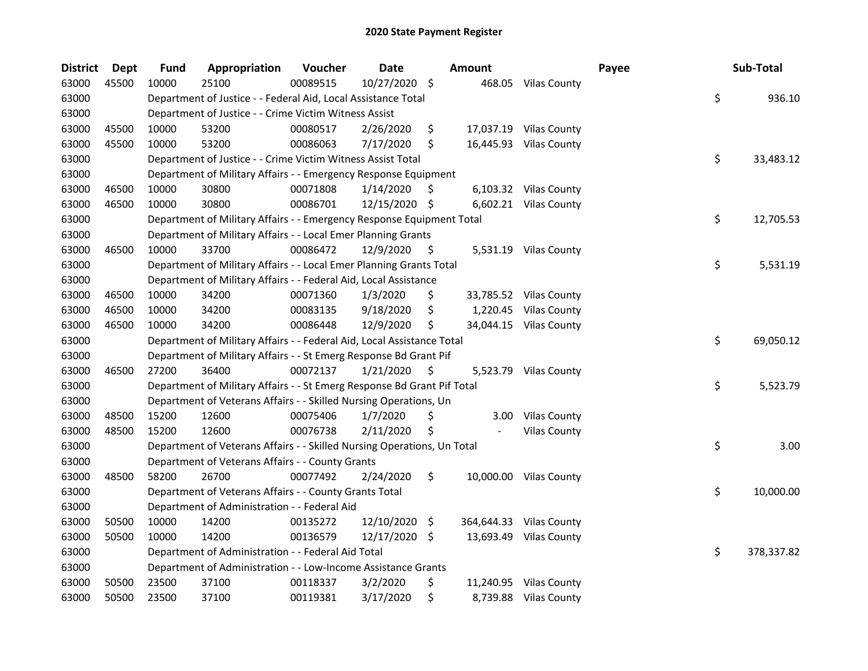| <b>District</b> | Dept  | Fund  | Appropriation                                                           | Voucher  | <b>Date</b>   |    | <b>Amount</b> |                         | Payee | Sub-Total        |
|-----------------|-------|-------|-------------------------------------------------------------------------|----------|---------------|----|---------------|-------------------------|-------|------------------|
| 63000           | 45500 | 10000 | 25100                                                                   | 00089515 | 10/27/2020 \$ |    |               | 468.05 Vilas County     |       |                  |
| 63000           |       |       | Department of Justice - - Federal Aid, Local Assistance Total           |          |               |    |               |                         |       | \$<br>936.10     |
| 63000           |       |       | Department of Justice - - Crime Victim Witness Assist                   |          |               |    |               |                         |       |                  |
| 63000           | 45500 | 10000 | 53200                                                                   | 00080517 | 2/26/2020     | \$ |               | 17,037.19 Vilas County  |       |                  |
| 63000           | 45500 | 10000 | 53200                                                                   | 00086063 | 7/17/2020     | \$ |               | 16,445.93 Vilas County  |       |                  |
| 63000           |       |       | Department of Justice - - Crime Victim Witness Assist Total             |          |               |    |               |                         |       | \$<br>33,483.12  |
| 63000           |       |       | Department of Military Affairs - - Emergency Response Equipment         |          |               |    |               |                         |       |                  |
| 63000           | 46500 | 10000 | 30800                                                                   | 00071808 | 1/14/2020     | \$ |               | 6,103.32 Vilas County   |       |                  |
| 63000           | 46500 | 10000 | 30800                                                                   | 00086701 | 12/15/2020 \$ |    |               | 6,602.21 Vilas County   |       |                  |
| 63000           |       |       | Department of Military Affairs - - Emergency Response Equipment Total   |          |               |    |               |                         |       | \$<br>12,705.53  |
| 63000           |       |       | Department of Military Affairs - - Local Emer Planning Grants           |          |               |    |               |                         |       |                  |
| 63000           | 46500 | 10000 | 33700                                                                   | 00086472 | 12/9/2020     | \$ |               | 5,531.19 Vilas County   |       |                  |
| 63000           |       |       | Department of Military Affairs - - Local Emer Planning Grants Total     |          |               |    |               |                         |       | \$<br>5,531.19   |
| 63000           |       |       | Department of Military Affairs - - Federal Aid, Local Assistance        |          |               |    |               |                         |       |                  |
| 63000           | 46500 | 10000 | 34200                                                                   | 00071360 | 1/3/2020      | \$ |               | 33,785.52 Vilas County  |       |                  |
| 63000           | 46500 | 10000 | 34200                                                                   | 00083135 | 9/18/2020     | \$ |               | 1,220.45 Vilas County   |       |                  |
| 63000           | 46500 | 10000 | 34200                                                                   | 00086448 | 12/9/2020     | Ś  |               | 34,044.15 Vilas County  |       |                  |
| 63000           |       |       | Department of Military Affairs - - Federal Aid, Local Assistance Total  |          |               |    |               |                         |       | \$<br>69,050.12  |
| 63000           |       |       | Department of Military Affairs - - St Emerg Response Bd Grant Pif       |          |               |    |               |                         |       |                  |
| 63000           | 46500 | 27200 | 36400                                                                   | 00072137 | 1/21/2020     | \$ |               | 5,523.79 Vilas County   |       |                  |
| 63000           |       |       | Department of Military Affairs - - St Emerg Response Bd Grant Pif Total |          |               |    |               |                         |       | \$<br>5,523.79   |
| 63000           |       |       | Department of Veterans Affairs - - Skilled Nursing Operations, Un       |          |               |    |               |                         |       |                  |
| 63000           | 48500 | 15200 | 12600                                                                   | 00075406 | 1/7/2020      | \$ | 3.00          | <b>Vilas County</b>     |       |                  |
| 63000           | 48500 | 15200 | 12600                                                                   | 00076738 | 2/11/2020     | \$ |               | <b>Vilas County</b>     |       |                  |
| 63000           |       |       | Department of Veterans Affairs - - Skilled Nursing Operations, Un Total |          |               |    |               |                         |       | \$<br>3.00       |
| 63000           |       |       | Department of Veterans Affairs - - County Grants                        |          |               |    |               |                         |       |                  |
| 63000           | 48500 | 58200 | 26700                                                                   | 00077492 | 2/24/2020     | \$ |               | 10,000.00 Vilas County  |       |                  |
| 63000           |       |       | Department of Veterans Affairs - - County Grants Total                  |          |               |    |               |                         |       | \$<br>10,000.00  |
| 63000           |       |       | Department of Administration - - Federal Aid                            |          |               |    |               |                         |       |                  |
| 63000           | 50500 | 10000 | 14200                                                                   | 00135272 | 12/10/2020 \$ |    |               | 364,644.33 Vilas County |       |                  |
| 63000           | 50500 | 10000 | 14200                                                                   | 00136579 | 12/17/2020 \$ |    |               | 13,693.49 Vilas County  |       |                  |
| 63000           |       |       | Department of Administration - - Federal Aid Total                      |          |               |    |               |                         |       | \$<br>378,337.82 |
| 63000           |       |       | Department of Administration - - Low-Income Assistance Grants           |          |               |    |               |                         |       |                  |
| 63000           | 50500 | 23500 | 37100                                                                   | 00118337 | 3/2/2020      | \$ |               | 11,240.95 Vilas County  |       |                  |
| 63000           | 50500 | 23500 | 37100                                                                   | 00119381 | 3/17/2020     | \$ |               | 8,739.88 Vilas County   |       |                  |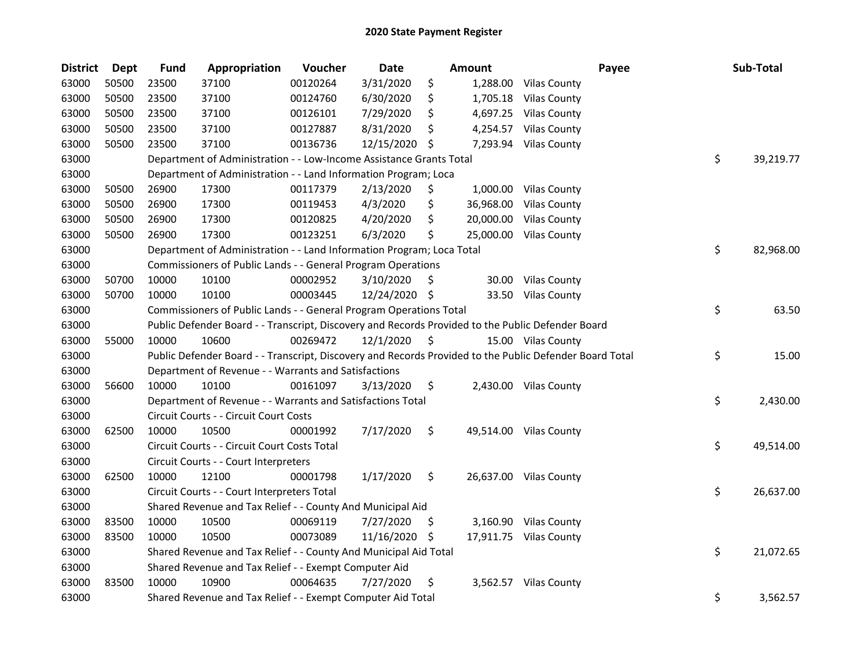| <b>District</b> | <b>Dept</b> | <b>Fund</b> | Appropriation                                                                                     | Voucher  | <b>Date</b>   |     | Amount    | Payee                                                                                                   | Sub-Total       |
|-----------------|-------------|-------------|---------------------------------------------------------------------------------------------------|----------|---------------|-----|-----------|---------------------------------------------------------------------------------------------------------|-----------------|
| 63000           | 50500       | 23500       | 37100                                                                                             | 00120264 | 3/31/2020     | \$  | 1,288.00  | <b>Vilas County</b>                                                                                     |                 |
| 63000           | 50500       | 23500       | 37100                                                                                             | 00124760 | 6/30/2020     | \$  | 1,705.18  | <b>Vilas County</b>                                                                                     |                 |
| 63000           | 50500       | 23500       | 37100                                                                                             | 00126101 | 7/29/2020     |     | 4,697.25  | <b>Vilas County</b>                                                                                     |                 |
| 63000           | 50500       | 23500       | 37100                                                                                             | 00127887 | 8/31/2020     | \$  | 4,254.57  | <b>Vilas County</b>                                                                                     |                 |
| 63000           | 50500       | 23500       | 37100                                                                                             | 00136736 | 12/15/2020    | S   | 7,293.94  | <b>Vilas County</b>                                                                                     |                 |
| 63000           |             |             | Department of Administration - - Low-Income Assistance Grants Total                               |          |               |     |           |                                                                                                         | \$<br>39,219.77 |
| 63000           |             |             | Department of Administration - - Land Information Program; Loca                                   |          |               |     |           |                                                                                                         |                 |
| 63000           | 50500       | 26900       | 17300                                                                                             | 00117379 | 2/13/2020     | \$  |           | 1,000.00 Vilas County                                                                                   |                 |
| 63000           | 50500       | 26900       | 17300                                                                                             | 00119453 | 4/3/2020      | \$  | 36,968.00 | <b>Vilas County</b>                                                                                     |                 |
| 63000           | 50500       | 26900       | 17300                                                                                             | 00120825 | 4/20/2020     | \$  | 20,000.00 | <b>Vilas County</b>                                                                                     |                 |
| 63000           | 50500       | 26900       | 17300                                                                                             | 00123251 | 6/3/2020      | \$  |           | 25,000.00 Vilas County                                                                                  |                 |
| 63000           |             |             | Department of Administration - - Land Information Program; Loca Total                             |          |               |     |           |                                                                                                         | \$<br>82,968.00 |
| 63000           |             |             | Commissioners of Public Lands - - General Program Operations                                      |          |               |     |           |                                                                                                         |                 |
| 63000           | 50700       | 10000       | 10100                                                                                             | 00002952 | 3/10/2020     | S   | 30.00     | <b>Vilas County</b>                                                                                     |                 |
| 63000           | 50700       | 10000       | 10100                                                                                             | 00003445 | 12/24/2020 \$ |     |           | 33.50 Vilas County                                                                                      |                 |
| 63000           |             |             | Commissioners of Public Lands - - General Program Operations Total                                |          |               |     |           |                                                                                                         | \$<br>63.50     |
| 63000           |             |             | Public Defender Board - - Transcript, Discovery and Records Provided to the Public Defender Board |          |               |     |           |                                                                                                         |                 |
| 63000           | 55000       | 10000       | 10600                                                                                             | 00269472 | 12/1/2020     | \$  |           | 15.00 Vilas County                                                                                      |                 |
| 63000           |             |             |                                                                                                   |          |               |     |           | Public Defender Board - - Transcript, Discovery and Records Provided to the Public Defender Board Total | \$<br>15.00     |
| 63000           |             |             | Department of Revenue - - Warrants and Satisfactions                                              |          |               |     |           |                                                                                                         |                 |
| 63000           | 56600       | 10000       | 10100                                                                                             | 00161097 | 3/13/2020     | \$  |           | 2,430.00 Vilas County                                                                                   |                 |
| 63000           |             |             | Department of Revenue - - Warrants and Satisfactions Total                                        |          |               |     |           |                                                                                                         | \$<br>2,430.00  |
| 63000           |             |             | Circuit Courts - - Circuit Court Costs                                                            |          |               |     |           |                                                                                                         |                 |
| 63000           | 62500       | 10000       | 10500                                                                                             | 00001992 | 7/17/2020     | \$  |           | 49,514.00 Vilas County                                                                                  |                 |
| 63000           |             |             | Circuit Courts - - Circuit Court Costs Total                                                      |          |               |     |           |                                                                                                         | \$<br>49,514.00 |
| 63000           |             |             | Circuit Courts - - Court Interpreters                                                             |          |               |     |           |                                                                                                         |                 |
| 63000           | 62500       | 10000       | 12100                                                                                             | 00001798 | 1/17/2020     | \$  |           | 26,637.00 Vilas County                                                                                  |                 |
| 63000           |             |             | Circuit Courts - - Court Interpreters Total                                                       |          |               |     |           |                                                                                                         | \$<br>26,637.00 |
| 63000           |             |             | Shared Revenue and Tax Relief - - County And Municipal Aid                                        |          |               |     |           |                                                                                                         |                 |
| 63000           | 83500       | 10000       | 10500                                                                                             | 00069119 | 7/27/2020     | \$. |           | 3,160.90 Vilas County                                                                                   |                 |
| 63000           | 83500       | 10000       | 10500                                                                                             | 00073089 | 11/16/2020    | \$. |           | 17,911.75 Vilas County                                                                                  |                 |
| 63000           |             |             | Shared Revenue and Tax Relief - - County And Municipal Aid Total                                  |          |               |     |           |                                                                                                         | \$<br>21,072.65 |
| 63000           |             |             | Shared Revenue and Tax Relief - - Exempt Computer Aid                                             |          |               |     |           |                                                                                                         |                 |
| 63000           | 83500       | 10000       | 10900                                                                                             | 00064635 | 7/27/2020     | \$  |           | 3,562.57 Vilas County                                                                                   |                 |
| 63000           |             |             | Shared Revenue and Tax Relief - - Exempt Computer Aid Total                                       |          |               |     |           |                                                                                                         | \$<br>3,562.57  |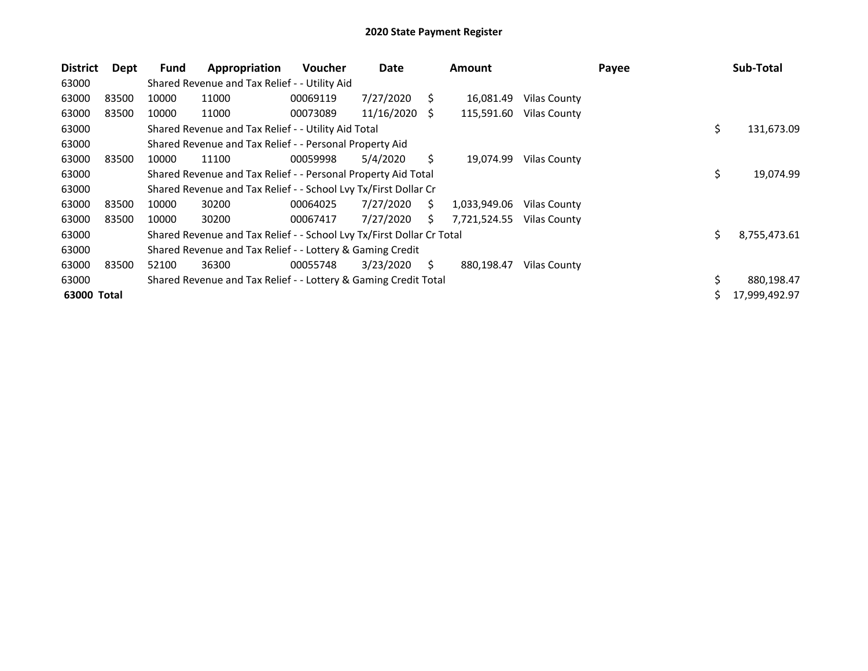| <b>District</b> | Dept  | Fund  | Appropriation                                                         | <b>Voucher</b> | Date       |    | <b>Amount</b> |                     | Payee |     | Sub-Total     |
|-----------------|-------|-------|-----------------------------------------------------------------------|----------------|------------|----|---------------|---------------------|-------|-----|---------------|
| 63000           |       |       | Shared Revenue and Tax Relief - - Utility Aid                         |                |            |    |               |                     |       |     |               |
| 63000           | 83500 | 10000 | 11000                                                                 | 00069119       | 7/27/2020  | S. | 16,081.49     | Vilas County        |       |     |               |
| 63000           | 83500 | 10000 | 11000                                                                 | 00073089       | 11/16/2020 | S  | 115,591.60    | Vilas County        |       |     |               |
| 63000           |       |       | Shared Revenue and Tax Relief - - Utility Aid Total                   |                |            |    |               |                     |       | \$  | 131,673.09    |
| 63000           |       |       | Shared Revenue and Tax Relief - - Personal Property Aid               |                |            |    |               |                     |       |     |               |
| 63000           | 83500 | 10000 | 11100                                                                 | 00059998       | 5/4/2020   | S. | 19,074.99     | Vilas County        |       |     |               |
| 63000           |       |       | Shared Revenue and Tax Relief - - Personal Property Aid Total         |                |            |    |               |                     |       | \$  | 19,074.99     |
| 63000           |       |       | Shared Revenue and Tax Relief - - School Lvy Tx/First Dollar Cr       |                |            |    |               |                     |       |     |               |
| 63000           | 83500 | 10000 | 30200                                                                 | 00064025       | 7/27/2020  | Ś. | 1,033,949.06  | Vilas County        |       |     |               |
| 63000           | 83500 | 10000 | 30200                                                                 | 00067417       | 7/27/2020  | S  | 7,721,524.55  | <b>Vilas County</b> |       |     |               |
| 63000           |       |       | Shared Revenue and Tax Relief - - School Lvy Tx/First Dollar Cr Total |                |            |    |               |                     |       | \$. | 8,755,473.61  |
| 63000           |       |       | Shared Revenue and Tax Relief - - Lottery & Gaming Credit             |                |            |    |               |                     |       |     |               |
| 63000           | 83500 | 52100 | 36300                                                                 | 00055748       | 3/23/2020  | Ŝ. | 880,198.47    | Vilas County        |       |     |               |
| 63000           |       |       | Shared Revenue and Tax Relief - - Lottery & Gaming Credit Total       |                |            |    |               |                     |       | \$  | 880,198.47    |
| 63000 Total     |       |       |                                                                       |                |            |    |               |                     |       |     | 17,999,492.97 |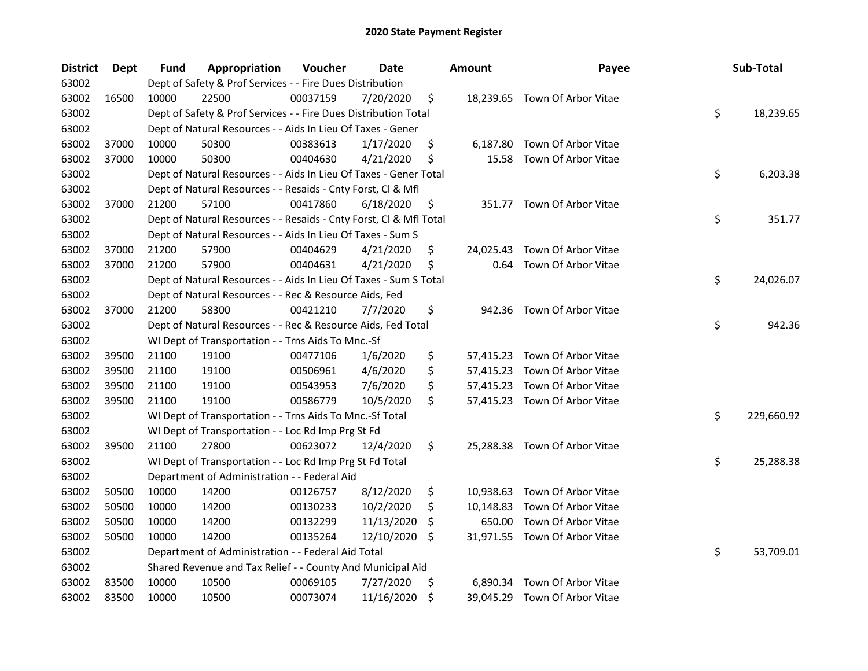| <b>District</b> | Dept  | Fund  | Appropriation                                                      | Voucher  | Date       |     | <b>Amount</b> | Payee                         | Sub-Total        |
|-----------------|-------|-------|--------------------------------------------------------------------|----------|------------|-----|---------------|-------------------------------|------------------|
| 63002           |       |       | Dept of Safety & Prof Services - - Fire Dues Distribution          |          |            |     |               |                               |                  |
| 63002           | 16500 | 10000 | 22500                                                              | 00037159 | 7/20/2020  | \$  |               | 18,239.65 Town Of Arbor Vitae |                  |
| 63002           |       |       | Dept of Safety & Prof Services - - Fire Dues Distribution Total    |          |            |     |               |                               | \$<br>18,239.65  |
| 63002           |       |       | Dept of Natural Resources - - Aids In Lieu Of Taxes - Gener        |          |            |     |               |                               |                  |
| 63002           | 37000 | 10000 | 50300                                                              | 00383613 | 1/17/2020  | \$  |               | 6,187.80 Town Of Arbor Vitae  |                  |
| 63002           | 37000 | 10000 | 50300                                                              | 00404630 | 4/21/2020  | \$  | 15.58         | Town Of Arbor Vitae           |                  |
| 63002           |       |       | Dept of Natural Resources - - Aids In Lieu Of Taxes - Gener Total  |          |            |     |               |                               | \$<br>6,203.38   |
| 63002           |       |       | Dept of Natural Resources - - Resaids - Cnty Forst, Cl & Mfl       |          |            |     |               |                               |                  |
| 63002           | 37000 | 21200 | 57100                                                              | 00417860 | 6/18/2020  | \$  |               | 351.77 Town Of Arbor Vitae    |                  |
| 63002           |       |       | Dept of Natural Resources - - Resaids - Cnty Forst, Cl & Mfl Total |          |            |     |               |                               | \$<br>351.77     |
| 63002           |       |       | Dept of Natural Resources - - Aids In Lieu Of Taxes - Sum S        |          |            |     |               |                               |                  |
| 63002           | 37000 | 21200 | 57900                                                              | 00404629 | 4/21/2020  | \$  | 24,025.43     | Town Of Arbor Vitae           |                  |
| 63002           | 37000 | 21200 | 57900                                                              | 00404631 | 4/21/2020  | \$  | 0.64          | Town Of Arbor Vitae           |                  |
| 63002           |       |       | Dept of Natural Resources - - Aids In Lieu Of Taxes - Sum S Total  |          |            |     |               |                               | \$<br>24,026.07  |
| 63002           |       |       | Dept of Natural Resources - - Rec & Resource Aids, Fed             |          |            |     |               |                               |                  |
| 63002           | 37000 | 21200 | 58300                                                              | 00421210 | 7/7/2020   | \$  | 942.36        | Town Of Arbor Vitae           |                  |
| 63002           |       |       | Dept of Natural Resources - - Rec & Resource Aids, Fed Total       |          |            |     |               |                               | \$<br>942.36     |
| 63002           |       |       | WI Dept of Transportation - - Trns Aids To Mnc.-Sf                 |          |            |     |               |                               |                  |
| 63002           | 39500 | 21100 | 19100                                                              | 00477106 | 1/6/2020   | \$  |               | 57,415.23 Town Of Arbor Vitae |                  |
| 63002           | 39500 | 21100 | 19100                                                              | 00506961 | 4/6/2020   | \$  |               | 57,415.23 Town Of Arbor Vitae |                  |
| 63002           | 39500 | 21100 | 19100                                                              | 00543953 | 7/6/2020   | \$  |               | 57,415.23 Town Of Arbor Vitae |                  |
| 63002           | 39500 | 21100 | 19100                                                              | 00586779 | 10/5/2020  | \$  |               | 57,415.23 Town Of Arbor Vitae |                  |
| 63002           |       |       | WI Dept of Transportation - - Trns Aids To Mnc.-Sf Total           |          |            |     |               |                               | \$<br>229,660.92 |
| 63002           |       |       | WI Dept of Transportation - - Loc Rd Imp Prg St Fd                 |          |            |     |               |                               |                  |
| 63002           | 39500 | 21100 | 27800                                                              | 00623072 | 12/4/2020  | \$  |               | 25,288.38 Town Of Arbor Vitae |                  |
| 63002           |       |       | WI Dept of Transportation - - Loc Rd Imp Prg St Fd Total           |          |            |     |               |                               | \$<br>25,288.38  |
| 63002           |       |       | Department of Administration - - Federal Aid                       |          |            |     |               |                               |                  |
| 63002           | 50500 | 10000 | 14200                                                              | 00126757 | 8/12/2020  | \$  |               | 10,938.63 Town Of Arbor Vitae |                  |
| 63002           | 50500 | 10000 | 14200                                                              | 00130233 | 10/2/2020  | \$  |               | 10,148.83 Town Of Arbor Vitae |                  |
| 63002           | 50500 | 10000 | 14200                                                              | 00132299 | 11/13/2020 | \$, | 650.00        | Town Of Arbor Vitae           |                  |
| 63002           | 50500 | 10000 | 14200                                                              | 00135264 | 12/10/2020 | \$. |               | 31,971.55 Town Of Arbor Vitae |                  |
| 63002           |       |       | Department of Administration - - Federal Aid Total                 |          |            |     |               |                               | \$<br>53,709.01  |
| 63002           |       |       | Shared Revenue and Tax Relief - - County And Municipal Aid         |          |            |     |               |                               |                  |
| 63002           | 83500 | 10000 | 10500                                                              | 00069105 | 7/27/2020  | \$  |               | 6,890.34 Town Of Arbor Vitae  |                  |
| 63002           | 83500 | 10000 | 10500                                                              | 00073074 | 11/16/2020 | \$  |               | 39,045.29 Town Of Arbor Vitae |                  |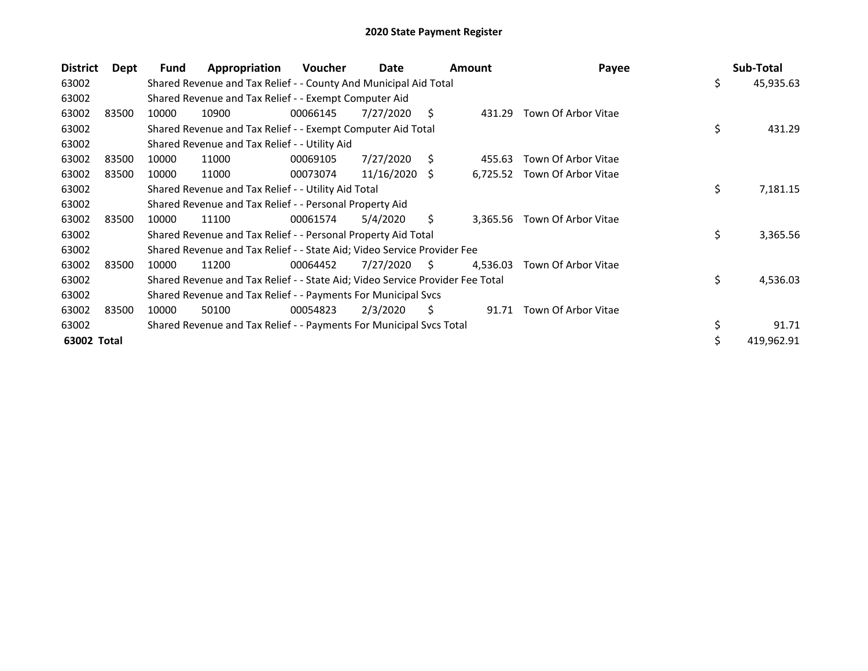| <b>District</b> | Dept  | Fund  | Appropriation                                                                 | Voucher  | Date          |    | Amount   | Payee                        | Sub-Total       |
|-----------------|-------|-------|-------------------------------------------------------------------------------|----------|---------------|----|----------|------------------------------|-----------------|
| 63002           |       |       | Shared Revenue and Tax Relief - - County And Municipal Aid Total              |          |               |    |          |                              | \$<br>45,935.63 |
| 63002           |       |       | Shared Revenue and Tax Relief - - Exempt Computer Aid                         |          |               |    |          |                              |                 |
| 63002           | 83500 | 10000 | 10900                                                                         | 00066145 | 7/27/2020     | S  | 431.29   | Town Of Arbor Vitae          |                 |
| 63002           |       |       | Shared Revenue and Tax Relief - - Exempt Computer Aid Total                   |          |               |    |          |                              | \$<br>431.29    |
| 63002           |       |       | Shared Revenue and Tax Relief - - Utility Aid                                 |          |               |    |          |                              |                 |
| 63002           | 83500 | 10000 | 11000                                                                         | 00069105 | 7/27/2020     | S  | 455.63   | Town Of Arbor Vitae          |                 |
| 63002           | 83500 | 10000 | 11000                                                                         | 00073074 | 11/16/2020 \$ |    |          | 6,725.52 Town Of Arbor Vitae |                 |
| 63002           |       |       | Shared Revenue and Tax Relief - - Utility Aid Total                           |          |               |    |          |                              | \$<br>7,181.15  |
| 63002           |       |       | Shared Revenue and Tax Relief - - Personal Property Aid                       |          |               |    |          |                              |                 |
| 63002           | 83500 | 10000 | 11100                                                                         | 00061574 | 5/4/2020      | S. |          | 3,365.56 Town Of Arbor Vitae |                 |
| 63002           |       |       | Shared Revenue and Tax Relief - - Personal Property Aid Total                 |          |               |    |          |                              | \$<br>3,365.56  |
| 63002           |       |       | Shared Revenue and Tax Relief - - State Aid; Video Service Provider Fee       |          |               |    |          |                              |                 |
| 63002           | 83500 | 10000 | 11200                                                                         | 00064452 | 7/27/2020     | S  | 4,536.03 | Town Of Arbor Vitae          |                 |
| 63002           |       |       | Shared Revenue and Tax Relief - - State Aid; Video Service Provider Fee Total |          |               |    |          |                              | \$<br>4,536.03  |
| 63002           |       |       | Shared Revenue and Tax Relief - - Payments For Municipal Svcs                 |          |               |    |          |                              |                 |
| 63002           | 83500 | 10000 | 50100                                                                         | 00054823 | 2/3/2020      | S. | 91.71    | Town Of Arbor Vitae          |                 |
| 63002           |       |       | Shared Revenue and Tax Relief - - Payments For Municipal Svcs Total           |          |               |    |          |                              | 91.71           |
| 63002 Total     |       |       |                                                                               |          |               |    |          |                              | 419,962.91      |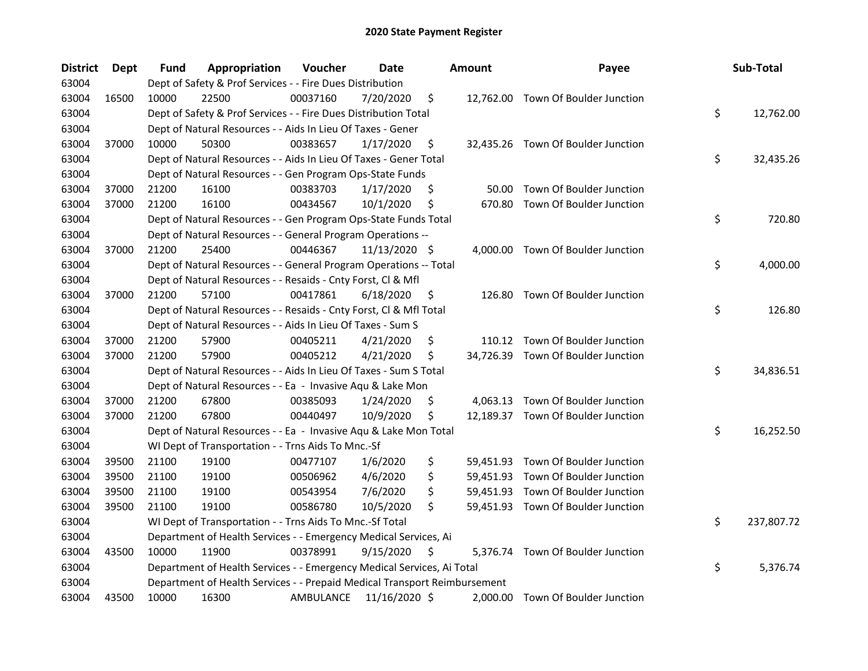| <b>District</b> | Dept  | Fund  | Appropriation                                                             | Voucher   | Date          |     | <b>Amount</b> | Payee                              | Sub-Total        |
|-----------------|-------|-------|---------------------------------------------------------------------------|-----------|---------------|-----|---------------|------------------------------------|------------------|
| 63004           |       |       | Dept of Safety & Prof Services - - Fire Dues Distribution                 |           |               |     |               |                                    |                  |
| 63004           | 16500 | 10000 | 22500                                                                     | 00037160  | 7/20/2020     | \$  |               | 12,762.00 Town Of Boulder Junction |                  |
| 63004           |       |       | Dept of Safety & Prof Services - - Fire Dues Distribution Total           |           |               |     |               |                                    | \$<br>12,762.00  |
| 63004           |       |       | Dept of Natural Resources - - Aids In Lieu Of Taxes - Gener               |           |               |     |               |                                    |                  |
| 63004           | 37000 | 10000 | 50300                                                                     | 00383657  | 1/17/2020     | \$  |               | 32,435.26 Town Of Boulder Junction |                  |
| 63004           |       |       | Dept of Natural Resources - - Aids In Lieu Of Taxes - Gener Total         |           |               |     |               |                                    | \$<br>32,435.26  |
| 63004           |       |       | Dept of Natural Resources - - Gen Program Ops-State Funds                 |           |               |     |               |                                    |                  |
| 63004           | 37000 | 21200 | 16100                                                                     | 00383703  | 1/17/2020     | \$  | 50.00         | Town Of Boulder Junction           |                  |
| 63004           | 37000 | 21200 | 16100                                                                     | 00434567  | 10/1/2020     | \$  | 670.80        | Town Of Boulder Junction           |                  |
| 63004           |       |       | Dept of Natural Resources - - Gen Program Ops-State Funds Total           |           |               |     |               |                                    | \$<br>720.80     |
| 63004           |       |       | Dept of Natural Resources - - General Program Operations --               |           |               |     |               |                                    |                  |
| 63004           | 37000 | 21200 | 25400                                                                     | 00446367  | 11/13/2020 \$ |     |               | 4,000.00 Town Of Boulder Junction  |                  |
| 63004           |       |       | Dept of Natural Resources - - General Program Operations -- Total         |           |               |     |               |                                    | \$<br>4,000.00   |
| 63004           |       |       | Dept of Natural Resources - - Resaids - Cnty Forst, Cl & Mfl              |           |               |     |               |                                    |                  |
| 63004           | 37000 | 21200 | 57100                                                                     | 00417861  | 6/18/2020     | \$, | 126.80        | Town Of Boulder Junction           |                  |
| 63004           |       |       | Dept of Natural Resources - - Resaids - Cnty Forst, Cl & Mfl Total        |           |               |     |               |                                    | \$<br>126.80     |
| 63004           |       |       | Dept of Natural Resources - - Aids In Lieu Of Taxes - Sum S               |           |               |     |               |                                    |                  |
| 63004           | 37000 | 21200 | 57900                                                                     | 00405211  | 4/21/2020     | \$  |               | 110.12 Town Of Boulder Junction    |                  |
| 63004           | 37000 | 21200 | 57900                                                                     | 00405212  | 4/21/2020     | \$  |               | 34,726.39 Town Of Boulder Junction |                  |
| 63004           |       |       | Dept of Natural Resources - - Aids In Lieu Of Taxes - Sum S Total         |           |               |     |               |                                    | \$<br>34,836.51  |
| 63004           |       |       | Dept of Natural Resources - - Ea - Invasive Aqu & Lake Mon                |           |               |     |               |                                    |                  |
| 63004           | 37000 | 21200 | 67800                                                                     | 00385093  | 1/24/2020     | \$  |               | 4,063.13 Town Of Boulder Junction  |                  |
| 63004           | 37000 | 21200 | 67800                                                                     | 00440497  | 10/9/2020     | \$  |               | 12,189.37 Town Of Boulder Junction |                  |
| 63004           |       |       | Dept of Natural Resources - - Ea - Invasive Aqu & Lake Mon Total          |           |               |     |               |                                    | \$<br>16,252.50  |
| 63004           |       |       | WI Dept of Transportation - - Trns Aids To Mnc.-Sf                        |           |               |     |               |                                    |                  |
| 63004           | 39500 | 21100 | 19100                                                                     | 00477107  | 1/6/2020      | \$  |               | 59,451.93 Town Of Boulder Junction |                  |
| 63004           | 39500 | 21100 | 19100                                                                     | 00506962  | 4/6/2020      | \$  |               | 59,451.93 Town Of Boulder Junction |                  |
| 63004           | 39500 | 21100 | 19100                                                                     | 00543954  | 7/6/2020      | \$  |               | 59,451.93 Town Of Boulder Junction |                  |
| 63004           | 39500 | 21100 | 19100                                                                     | 00586780  | 10/5/2020     | \$  |               | 59,451.93 Town Of Boulder Junction |                  |
| 63004           |       |       | WI Dept of Transportation - - Trns Aids To Mnc.-Sf Total                  |           |               |     |               |                                    | \$<br>237,807.72 |
| 63004           |       |       | Department of Health Services - - Emergency Medical Services, Ai          |           |               |     |               |                                    |                  |
| 63004           | 43500 | 10000 | 11900                                                                     | 00378991  | 9/15/2020     | \$  |               | 5,376.74 Town Of Boulder Junction  |                  |
| 63004           |       |       | Department of Health Services - - Emergency Medical Services, Ai Total    |           |               |     |               |                                    | \$<br>5,376.74   |
| 63004           |       |       | Department of Health Services - - Prepaid Medical Transport Reimbursement |           |               |     |               |                                    |                  |
| 63004           | 43500 | 10000 | 16300                                                                     | AMBULANCE | 11/16/2020 \$ |     |               | 2,000.00 Town Of Boulder Junction  |                  |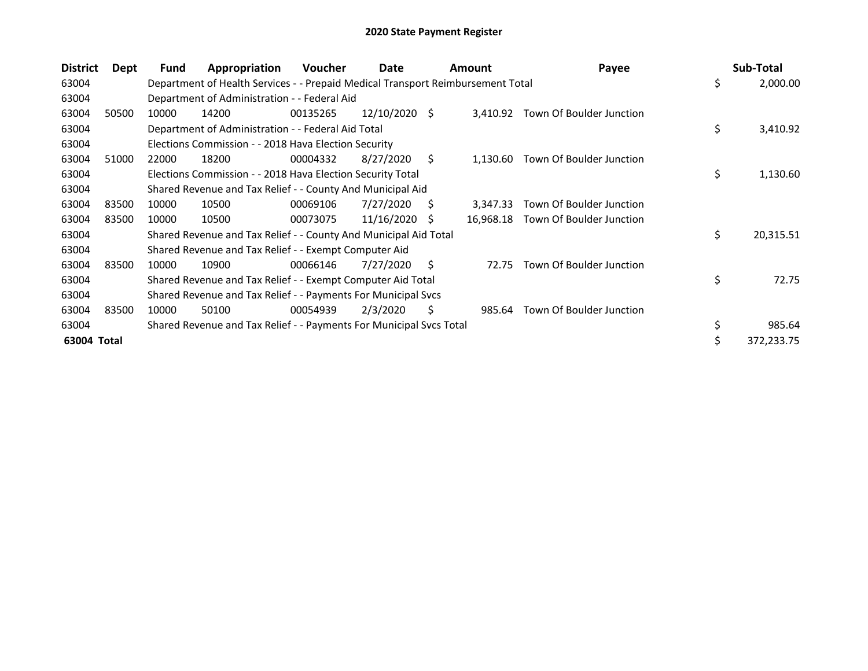| <b>District</b> | Dept  | Fund  | Appropriation                                                                   | Voucher  | Date            |     | <b>Amount</b> | Payee                    |    | Sub-Total  |
|-----------------|-------|-------|---------------------------------------------------------------------------------|----------|-----------------|-----|---------------|--------------------------|----|------------|
| 63004           |       |       | Department of Health Services - - Prepaid Medical Transport Reimbursement Total |          |                 |     |               |                          | \$ | 2,000.00   |
| 63004           |       |       | Department of Administration - - Federal Aid                                    |          |                 |     |               |                          |    |            |
| 63004           | 50500 | 10000 | 14200                                                                           | 00135265 | $12/10/2020$ \$ |     | 3,410.92      | Town Of Boulder Junction |    |            |
| 63004           |       |       | Department of Administration - - Federal Aid Total                              |          |                 |     |               |                          | \$ | 3,410.92   |
| 63004           |       |       | Elections Commission - - 2018 Hava Election Security                            |          |                 |     |               |                          |    |            |
| 63004           | 51000 | 22000 | 18200                                                                           | 00004332 | 8/27/2020       | S.  | 1,130.60      | Town Of Boulder Junction |    |            |
| 63004           |       |       | Elections Commission - - 2018 Hava Election Security Total                      |          |                 |     |               |                          | \$ | 1,130.60   |
| 63004           |       |       | Shared Revenue and Tax Relief - - County And Municipal Aid                      |          |                 |     |               |                          |    |            |
| 63004           | 83500 | 10000 | 10500                                                                           | 00069106 | 7/27/2020       | S   | 3,347.33      | Town Of Boulder Junction |    |            |
| 63004           | 83500 | 10000 | 10500                                                                           | 00073075 | 11/16/2020      | S   | 16,968.18     | Town Of Boulder Junction |    |            |
| 63004           |       |       | Shared Revenue and Tax Relief - - County And Municipal Aid Total                |          |                 |     |               |                          | \$ | 20,315.51  |
| 63004           |       |       | Shared Revenue and Tax Relief - - Exempt Computer Aid                           |          |                 |     |               |                          |    |            |
| 63004           | 83500 | 10000 | 10900                                                                           | 00066146 | 7/27/2020       | S.  | 72.75         | Town Of Boulder Junction |    |            |
| 63004           |       |       | Shared Revenue and Tax Relief - - Exempt Computer Aid Total                     |          |                 |     |               |                          | \$ | 72.75      |
| 63004           |       |       | Shared Revenue and Tax Relief - - Payments For Municipal Svcs                   |          |                 |     |               |                          |    |            |
| 63004           | 83500 | 10000 | 50100                                                                           | 00054939 | 2/3/2020        | \$. | 985.64        | Town Of Boulder Junction |    |            |
| 63004           |       |       | Shared Revenue and Tax Relief - - Payments For Municipal Svcs Total             |          |                 |     |               |                          | \$ | 985.64     |
| 63004 Total     |       |       |                                                                                 |          |                 |     |               |                          | Ś  | 372,233.75 |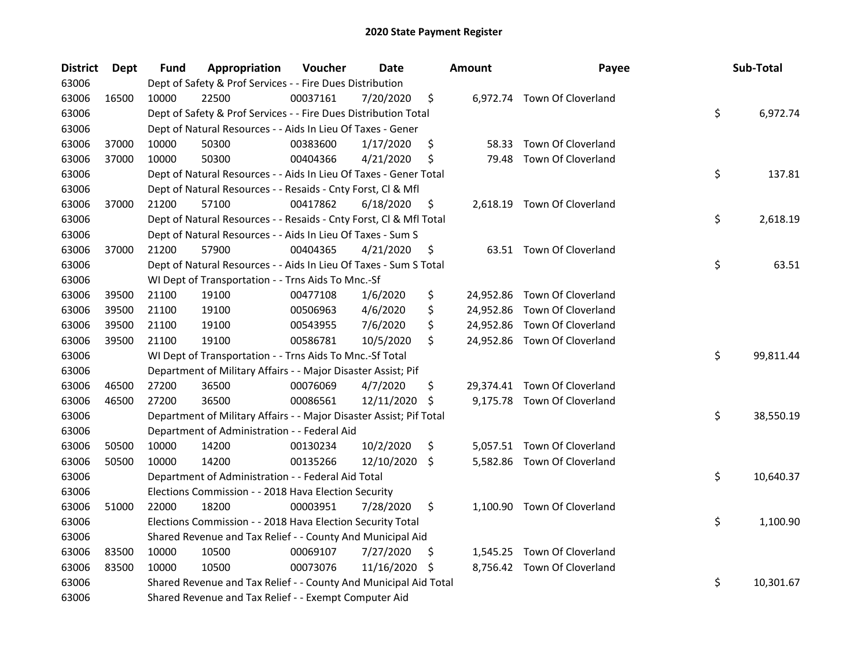| <b>District</b> | <b>Dept</b> | Fund  | Appropriation                                                       | Voucher  | <b>Date</b>   |                     | <b>Amount</b> | Payee                        | Sub-Total       |
|-----------------|-------------|-------|---------------------------------------------------------------------|----------|---------------|---------------------|---------------|------------------------------|-----------------|
| 63006           |             |       | Dept of Safety & Prof Services - - Fire Dues Distribution           |          |               |                     |               |                              |                 |
| 63006           | 16500       | 10000 | 22500                                                               | 00037161 | 7/20/2020     | \$                  |               | 6,972.74 Town Of Cloverland  |                 |
| 63006           |             |       | Dept of Safety & Prof Services - - Fire Dues Distribution Total     |          |               |                     |               |                              | \$<br>6,972.74  |
| 63006           |             |       | Dept of Natural Resources - - Aids In Lieu Of Taxes - Gener         |          |               |                     |               |                              |                 |
| 63006           | 37000       | 10000 | 50300                                                               | 00383600 | 1/17/2020     | \$                  |               | 58.33 Town Of Cloverland     |                 |
| 63006           | 37000       | 10000 | 50300                                                               | 00404366 | 4/21/2020     | \$                  | 79.48         | Town Of Cloverland           |                 |
| 63006           |             |       | Dept of Natural Resources - - Aids In Lieu Of Taxes - Gener Total   |          |               |                     |               |                              | \$<br>137.81    |
| 63006           |             |       | Dept of Natural Resources - - Resaids - Cnty Forst, Cl & Mfl        |          |               |                     |               |                              |                 |
| 63006           | 37000       | 21200 | 57100                                                               | 00417862 | 6/18/2020     | \$                  |               | 2,618.19 Town Of Cloverland  |                 |
| 63006           |             |       | Dept of Natural Resources - - Resaids - Cnty Forst, Cl & Mfl Total  |          |               |                     |               |                              | \$<br>2,618.19  |
| 63006           |             |       | Dept of Natural Resources - - Aids In Lieu Of Taxes - Sum S         |          |               |                     |               |                              |                 |
| 63006           | 37000       | 21200 | 57900                                                               | 00404365 | 4/21/2020     | \$                  |               | 63.51 Town Of Cloverland     |                 |
| 63006           |             |       | Dept of Natural Resources - - Aids In Lieu Of Taxes - Sum S Total   |          |               |                     |               |                              | \$<br>63.51     |
| 63006           |             |       | WI Dept of Transportation - - Trns Aids To Mnc.-Sf                  |          |               |                     |               |                              |                 |
| 63006           | 39500       | 21100 | 19100                                                               | 00477108 | 1/6/2020      | \$                  |               | 24,952.86 Town Of Cloverland |                 |
| 63006           | 39500       | 21100 | 19100                                                               | 00506963 | 4/6/2020      | \$                  |               | 24,952.86 Town Of Cloverland |                 |
| 63006           | 39500       | 21100 | 19100                                                               | 00543955 | 7/6/2020      | \$                  |               | 24,952.86 Town Of Cloverland |                 |
| 63006           | 39500       | 21100 | 19100                                                               | 00586781 | 10/5/2020     | \$                  |               | 24,952.86 Town Of Cloverland |                 |
| 63006           |             |       | WI Dept of Transportation - - Trns Aids To Mnc.-Sf Total            |          |               |                     |               |                              | \$<br>99,811.44 |
| 63006           |             |       | Department of Military Affairs - - Major Disaster Assist; Pif       |          |               |                     |               |                              |                 |
| 63006           | 46500       | 27200 | 36500                                                               | 00076069 | 4/7/2020      | \$                  |               | 29,374.41 Town Of Cloverland |                 |
| 63006           | 46500       | 27200 | 36500                                                               | 00086561 | 12/11/2020    | $\ddot{\mathsf{S}}$ |               | 9,175.78 Town Of Cloverland  |                 |
| 63006           |             |       | Department of Military Affairs - - Major Disaster Assist; Pif Total |          |               |                     |               |                              | \$<br>38,550.19 |
| 63006           |             |       | Department of Administration - - Federal Aid                        |          |               |                     |               |                              |                 |
| 63006           | 50500       | 10000 | 14200                                                               | 00130234 | 10/2/2020     | \$                  |               | 5,057.51 Town Of Cloverland  |                 |
| 63006           | 50500       | 10000 | 14200                                                               | 00135266 | 12/10/2020 \$ |                     |               | 5,582.86 Town Of Cloverland  |                 |
| 63006           |             |       | Department of Administration - - Federal Aid Total                  |          |               |                     |               |                              | \$<br>10,640.37 |
| 63006           |             |       | Elections Commission - - 2018 Hava Election Security                |          |               |                     |               |                              |                 |
| 63006           | 51000       | 22000 | 18200                                                               | 00003951 | 7/28/2020     | \$                  |               | 1,100.90 Town Of Cloverland  |                 |
| 63006           |             |       | Elections Commission - - 2018 Hava Election Security Total          |          |               |                     |               |                              | \$<br>1,100.90  |
| 63006           |             |       | Shared Revenue and Tax Relief - - County And Municipal Aid          |          |               |                     |               |                              |                 |
| 63006           | 83500       | 10000 | 10500                                                               | 00069107 | 7/27/2020     | \$.                 |               | 1,545.25 Town Of Cloverland  |                 |
| 63006           | 83500       | 10000 | 10500                                                               | 00073076 | 11/16/2020 \$ |                     |               | 8,756.42 Town Of Cloverland  |                 |
| 63006           |             |       | Shared Revenue and Tax Relief - - County And Municipal Aid Total    |          |               |                     |               |                              | \$<br>10,301.67 |
| 63006           |             |       | Shared Revenue and Tax Relief - - Exempt Computer Aid               |          |               |                     |               |                              |                 |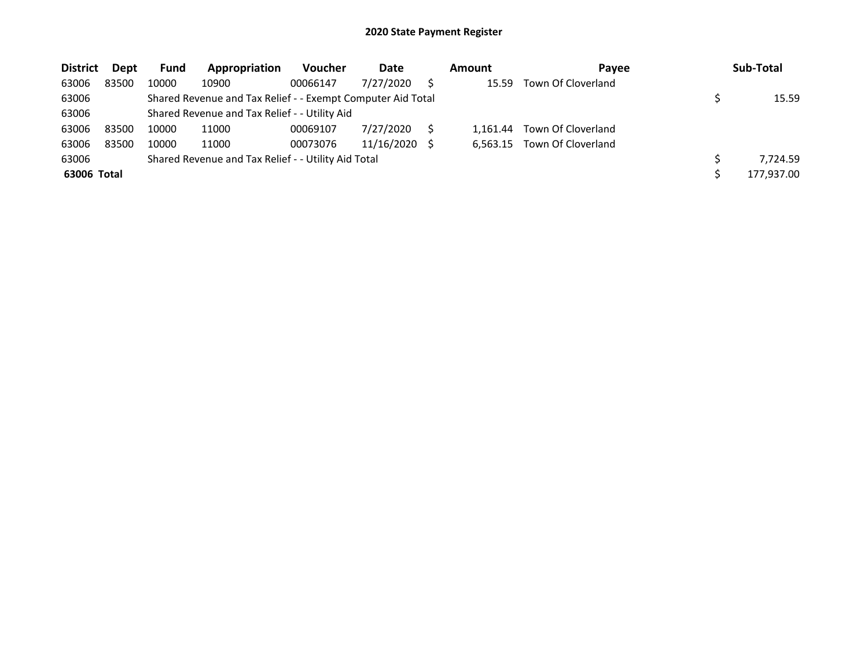| <b>District</b> | Dept  | Fund  | Appropriation                                               | <b>Voucher</b> | Date       | Amount   | Payee              | Sub-Total  |
|-----------------|-------|-------|-------------------------------------------------------------|----------------|------------|----------|--------------------|------------|
| 63006           | 83500 | 10000 | 10900                                                       | 00066147       | 7/27/2020  | 15.59    | Town Of Cloverland |            |
| 63006           |       |       | Shared Revenue and Tax Relief - - Exempt Computer Aid Total |                |            |          |                    | 15.59      |
| 63006           |       |       | Shared Revenue and Tax Relief - - Utility Aid               |                |            |          |                    |            |
| 63006           | 83500 | 10000 | 11000                                                       | 00069107       | 7/27/2020  | 1.161.44 | Town Of Cloverland |            |
| 63006           | 83500 | 10000 | 11000                                                       | 00073076       | 11/16/2020 | 6.563.15 | Town Of Cloverland |            |
| 63006           |       |       | Shared Revenue and Tax Relief - - Utility Aid Total         |                |            |          |                    | 7.724.59   |
| 63006 Total     |       |       |                                                             |                |            |          |                    | 177,937.00 |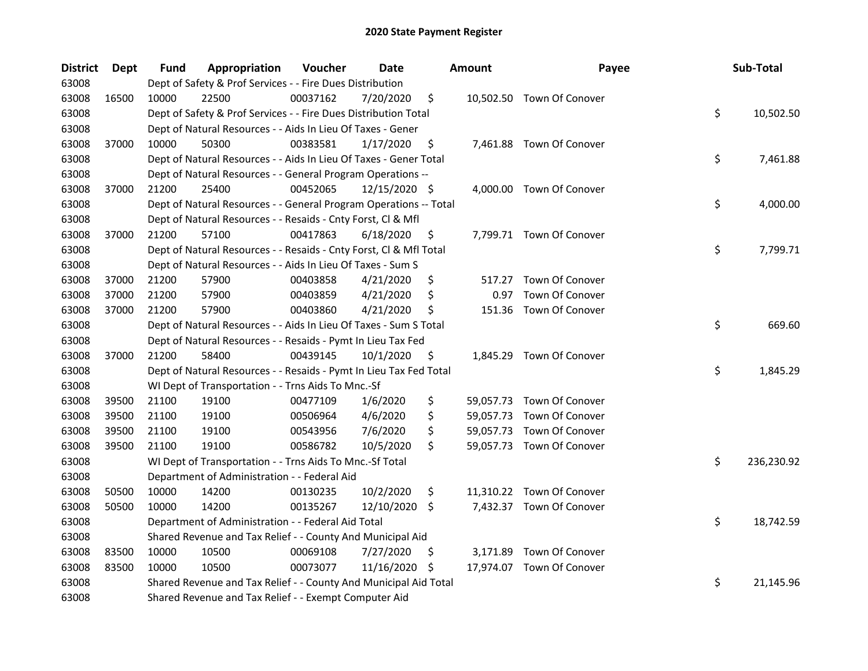| <b>District</b> | Dept  | Fund  | Appropriation                                                      | Voucher  | <b>Date</b>   |    | <b>Amount</b> | Payee                     | Sub-Total        |
|-----------------|-------|-------|--------------------------------------------------------------------|----------|---------------|----|---------------|---------------------------|------------------|
| 63008           |       |       | Dept of Safety & Prof Services - - Fire Dues Distribution          |          |               |    |               |                           |                  |
| 63008           | 16500 | 10000 | 22500                                                              | 00037162 | 7/20/2020     | \$ |               | 10,502.50 Town Of Conover |                  |
| 63008           |       |       | Dept of Safety & Prof Services - - Fire Dues Distribution Total    |          |               |    |               |                           | \$<br>10,502.50  |
| 63008           |       |       | Dept of Natural Resources - - Aids In Lieu Of Taxes - Gener        |          |               |    |               |                           |                  |
| 63008           | 37000 | 10000 | 50300                                                              | 00383581 | 1/17/2020     | \$ |               | 7,461.88 Town Of Conover  |                  |
| 63008           |       |       | Dept of Natural Resources - - Aids In Lieu Of Taxes - Gener Total  |          |               |    |               |                           | \$<br>7,461.88   |
| 63008           |       |       | Dept of Natural Resources - - General Program Operations --        |          |               |    |               |                           |                  |
| 63008           | 37000 | 21200 | 25400                                                              | 00452065 | 12/15/2020 \$ |    |               | 4,000.00 Town Of Conover  |                  |
| 63008           |       |       | Dept of Natural Resources - - General Program Operations -- Total  |          |               |    |               |                           | \$<br>4,000.00   |
| 63008           |       |       | Dept of Natural Resources - - Resaids - Cnty Forst, Cl & Mfl       |          |               |    |               |                           |                  |
| 63008           | 37000 | 21200 | 57100                                                              | 00417863 | 6/18/2020     | \$ |               | 7,799.71 Town Of Conover  |                  |
| 63008           |       |       | Dept of Natural Resources - - Resaids - Cnty Forst, Cl & Mfl Total |          |               |    |               |                           | \$<br>7,799.71   |
| 63008           |       |       | Dept of Natural Resources - - Aids In Lieu Of Taxes - Sum S        |          |               |    |               |                           |                  |
| 63008           | 37000 | 21200 | 57900                                                              | 00403858 | 4/21/2020     | \$ | 517.27        | Town Of Conover           |                  |
| 63008           | 37000 | 21200 | 57900                                                              | 00403859 | 4/21/2020     | S  | 0.97          | Town Of Conover           |                  |
| 63008           | 37000 | 21200 | 57900                                                              | 00403860 | 4/21/2020     | \$ | 151.36        | Town Of Conover           |                  |
| 63008           |       |       | Dept of Natural Resources - - Aids In Lieu Of Taxes - Sum S Total  |          |               |    |               |                           | \$<br>669.60     |
| 63008           |       |       | Dept of Natural Resources - - Resaids - Pymt In Lieu Tax Fed       |          |               |    |               |                           |                  |
| 63008           | 37000 | 21200 | 58400                                                              | 00439145 | 10/1/2020     | \$ |               | 1,845.29 Town Of Conover  |                  |
| 63008           |       |       | Dept of Natural Resources - - Resaids - Pymt In Lieu Tax Fed Total |          |               |    |               |                           | \$<br>1,845.29   |
| 63008           |       |       | WI Dept of Transportation - - Trns Aids To Mnc.-Sf                 |          |               |    |               |                           |                  |
| 63008           | 39500 | 21100 | 19100                                                              | 00477109 | 1/6/2020      | \$ |               | 59,057.73 Town Of Conover |                  |
| 63008           | 39500 | 21100 | 19100                                                              | 00506964 | 4/6/2020      | \$ |               | 59,057.73 Town Of Conover |                  |
| 63008           | 39500 | 21100 | 19100                                                              | 00543956 | 7/6/2020      | \$ |               | 59,057.73 Town Of Conover |                  |
| 63008           | 39500 | 21100 | 19100                                                              | 00586782 | 10/5/2020     | \$ |               | 59,057.73 Town Of Conover |                  |
| 63008           |       |       | WI Dept of Transportation - - Trns Aids To Mnc.-Sf Total           |          |               |    |               |                           | \$<br>236,230.92 |
| 63008           |       |       | Department of Administration - - Federal Aid                       |          |               |    |               |                           |                  |
| 63008           | 50500 | 10000 | 14200                                                              | 00130235 | 10/2/2020     | \$ |               | 11,310.22 Town Of Conover |                  |
| 63008           | 50500 | 10000 | 14200                                                              | 00135267 | 12/10/2020 \$ |    |               | 7,432.37 Town Of Conover  |                  |
| 63008           |       |       | Department of Administration - - Federal Aid Total                 |          |               |    |               |                           | \$<br>18,742.59  |
| 63008           |       |       | Shared Revenue and Tax Relief - - County And Municipal Aid         |          |               |    |               |                           |                  |
| 63008           | 83500 | 10000 | 10500                                                              | 00069108 | 7/27/2020     | Ş. |               | 3,171.89 Town Of Conover  |                  |
| 63008           | 83500 | 10000 | 10500                                                              | 00073077 | 11/16/2020    | \$ |               | 17,974.07 Town Of Conover |                  |
| 63008           |       |       | Shared Revenue and Tax Relief - - County And Municipal Aid Total   |          |               |    |               |                           | \$<br>21,145.96  |
| 63008           |       |       | Shared Revenue and Tax Relief - - Exempt Computer Aid              |          |               |    |               |                           |                  |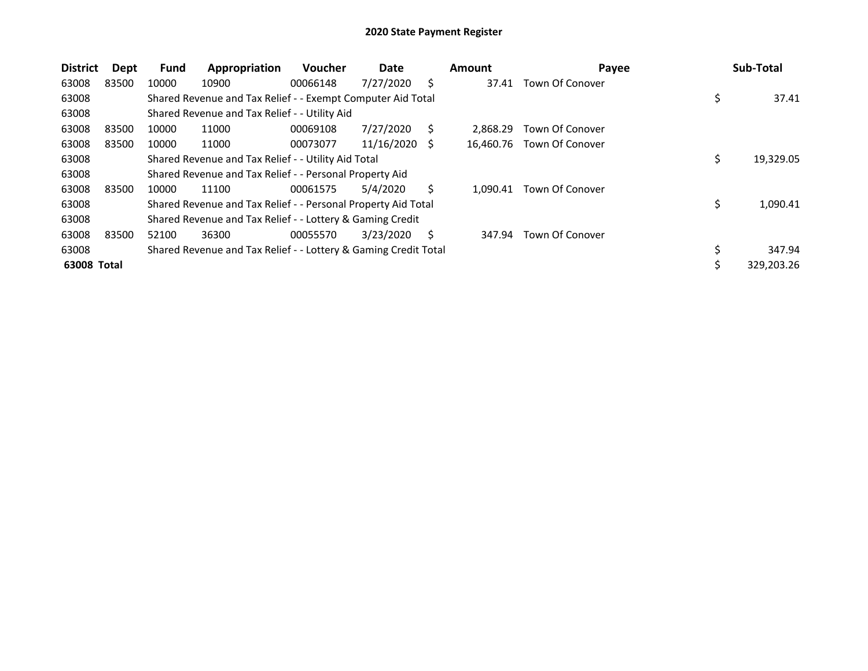| <b>District</b> | Dept  | Fund  | Appropriation                                                   | <b>Voucher</b> | Date       |   | <b>Amount</b> | Payee           |    | Sub-Total  |
|-----------------|-------|-------|-----------------------------------------------------------------|----------------|------------|---|---------------|-----------------|----|------------|
| 63008           | 83500 | 10000 | 10900                                                           | 00066148       | 7/27/2020  | Ś | 37.41         | Town Of Conover |    |            |
| 63008           |       |       | Shared Revenue and Tax Relief - - Exempt Computer Aid Total     |                |            |   |               |                 | \$ | 37.41      |
| 63008           |       |       | Shared Revenue and Tax Relief - - Utility Aid                   |                |            |   |               |                 |    |            |
| 63008           | 83500 | 10000 | 11000                                                           | 00069108       | 7/27/2020  | Ś | 2.868.29      | Town Of Conover |    |            |
| 63008           | 83500 | 10000 | 11000                                                           | 00073077       | 11/16/2020 | S | 16.460.76     | Town Of Conover |    |            |
| 63008           |       |       | Shared Revenue and Tax Relief - - Utility Aid Total             |                |            |   |               |                 | \$ | 19,329.05  |
| 63008           |       |       | Shared Revenue and Tax Relief - - Personal Property Aid         |                |            |   |               |                 |    |            |
| 63008           | 83500 | 10000 | 11100                                                           | 00061575       | 5/4/2020   |   | 1.090.41      | Town Of Conover |    |            |
| 63008           |       |       | Shared Revenue and Tax Relief - - Personal Property Aid Total   |                |            |   |               |                 | \$ | 1,090.41   |
| 63008           |       |       | Shared Revenue and Tax Relief - - Lottery & Gaming Credit       |                |            |   |               |                 |    |            |
| 63008           | 83500 | 52100 | 36300                                                           | 00055570       | 3/23/2020  | Ś | 347.94        | Town Of Conover |    |            |
| 63008           |       |       | Shared Revenue and Tax Relief - - Lottery & Gaming Credit Total |                |            |   |               |                 | ১  | 347.94     |
| 63008 Total     |       |       |                                                                 |                |            |   |               |                 |    | 329,203.26 |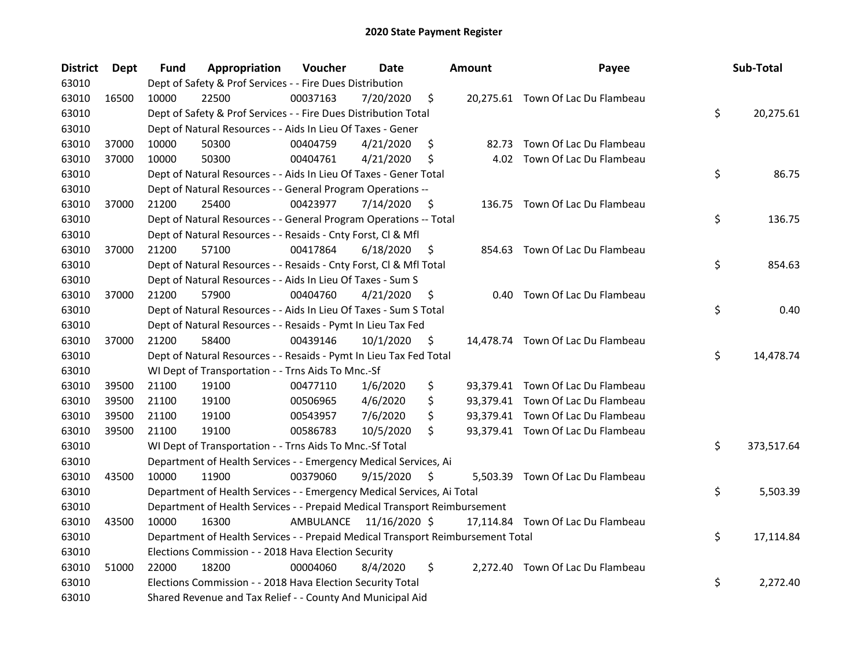| <b>District</b> | <b>Dept</b> | Fund  | Appropriation                                                                   | Voucher  | <b>Date</b>             |     | <b>Amount</b> | Payee                             | Sub-Total        |
|-----------------|-------------|-------|---------------------------------------------------------------------------------|----------|-------------------------|-----|---------------|-----------------------------------|------------------|
| 63010           |             |       | Dept of Safety & Prof Services - - Fire Dues Distribution                       |          |                         |     |               |                                   |                  |
| 63010           | 16500       | 10000 | 22500                                                                           | 00037163 | 7/20/2020               | \$  |               | 20,275.61 Town Of Lac Du Flambeau |                  |
| 63010           |             |       | Dept of Safety & Prof Services - - Fire Dues Distribution Total                 |          |                         |     |               |                                   | \$<br>20,275.61  |
| 63010           |             |       | Dept of Natural Resources - - Aids In Lieu Of Taxes - Gener                     |          |                         |     |               |                                   |                  |
| 63010           | 37000       | 10000 | 50300                                                                           | 00404759 | 4/21/2020               | \$  |               | 82.73 Town Of Lac Du Flambeau     |                  |
| 63010           | 37000       | 10000 | 50300                                                                           | 00404761 | 4/21/2020               | \$  |               | 4.02 Town Of Lac Du Flambeau      |                  |
| 63010           |             |       | Dept of Natural Resources - - Aids In Lieu Of Taxes - Gener Total               |          |                         |     |               |                                   | \$<br>86.75      |
| 63010           |             |       | Dept of Natural Resources - - General Program Operations --                     |          |                         |     |               |                                   |                  |
| 63010           | 37000       | 21200 | 25400                                                                           | 00423977 | 7/14/2020               | \$  |               | 136.75 Town Of Lac Du Flambeau    |                  |
| 63010           |             |       | Dept of Natural Resources - - General Program Operations -- Total               |          |                         |     |               |                                   | \$<br>136.75     |
| 63010           |             |       | Dept of Natural Resources - - Resaids - Cnty Forst, Cl & Mfl                    |          |                         |     |               |                                   |                  |
| 63010           | 37000       | 21200 | 57100                                                                           | 00417864 | 6/18/2020               | \$  |               | 854.63 Town Of Lac Du Flambeau    |                  |
| 63010           |             |       | Dept of Natural Resources - - Resaids - Cnty Forst, Cl & Mfl Total              |          |                         |     |               |                                   | \$<br>854.63     |
| 63010           |             |       | Dept of Natural Resources - - Aids In Lieu Of Taxes - Sum S                     |          |                         |     |               |                                   |                  |
| 63010           | 37000       | 21200 | 57900                                                                           | 00404760 | 4/21/2020               | \$. | 0.40          | Town Of Lac Du Flambeau           |                  |
| 63010           |             |       | Dept of Natural Resources - - Aids In Lieu Of Taxes - Sum S Total               |          |                         |     |               |                                   | \$<br>0.40       |
| 63010           |             |       | Dept of Natural Resources - - Resaids - Pymt In Lieu Tax Fed                    |          |                         |     |               |                                   |                  |
| 63010           | 37000       | 21200 | 58400                                                                           | 00439146 | 10/1/2020               | \$  |               | 14,478.74 Town Of Lac Du Flambeau |                  |
| 63010           |             |       | Dept of Natural Resources - - Resaids - Pymt In Lieu Tax Fed Total              |          |                         |     |               |                                   | \$<br>14,478.74  |
| 63010           |             |       | WI Dept of Transportation - - Trns Aids To Mnc.-Sf                              |          |                         |     |               |                                   |                  |
| 63010           | 39500       | 21100 | 19100                                                                           | 00477110 | 1/6/2020                | \$  |               | 93,379.41 Town Of Lac Du Flambeau |                  |
| 63010           | 39500       | 21100 | 19100                                                                           | 00506965 | 4/6/2020                | \$  |               | 93,379.41 Town Of Lac Du Flambeau |                  |
| 63010           | 39500       | 21100 | 19100                                                                           | 00543957 | 7/6/2020                | \$  |               | 93,379.41 Town Of Lac Du Flambeau |                  |
| 63010           | 39500       | 21100 | 19100                                                                           | 00586783 | 10/5/2020               | \$  |               | 93,379.41 Town Of Lac Du Flambeau |                  |
| 63010           |             |       | WI Dept of Transportation - - Trns Aids To Mnc.-Sf Total                        |          |                         |     |               |                                   | \$<br>373,517.64 |
| 63010           |             |       | Department of Health Services - - Emergency Medical Services, Ai                |          |                         |     |               |                                   |                  |
| 63010           | 43500       | 10000 | 11900                                                                           | 00379060 | 9/15/2020               | \$  |               | 5,503.39 Town Of Lac Du Flambeau  |                  |
| 63010           |             |       | Department of Health Services - - Emergency Medical Services, Ai Total          |          |                         |     |               |                                   | \$<br>5,503.39   |
| 63010           |             |       | Department of Health Services - - Prepaid Medical Transport Reimbursement       |          |                         |     |               |                                   |                  |
| 63010           | 43500       | 10000 | 16300                                                                           |          | AMBULANCE 11/16/2020 \$ |     |               | 17,114.84 Town Of Lac Du Flambeau |                  |
| 63010           |             |       | Department of Health Services - - Prepaid Medical Transport Reimbursement Total |          |                         |     |               |                                   | \$<br>17,114.84  |
| 63010           |             |       | Elections Commission - - 2018 Hava Election Security                            |          |                         |     |               |                                   |                  |
| 63010           | 51000       | 22000 | 18200                                                                           | 00004060 | 8/4/2020                | \$  |               | 2,272.40 Town Of Lac Du Flambeau  |                  |
| 63010           |             |       | Elections Commission - - 2018 Hava Election Security Total                      |          |                         |     |               |                                   | \$<br>2,272.40   |
| 63010           |             |       | Shared Revenue and Tax Relief - - County And Municipal Aid                      |          |                         |     |               |                                   |                  |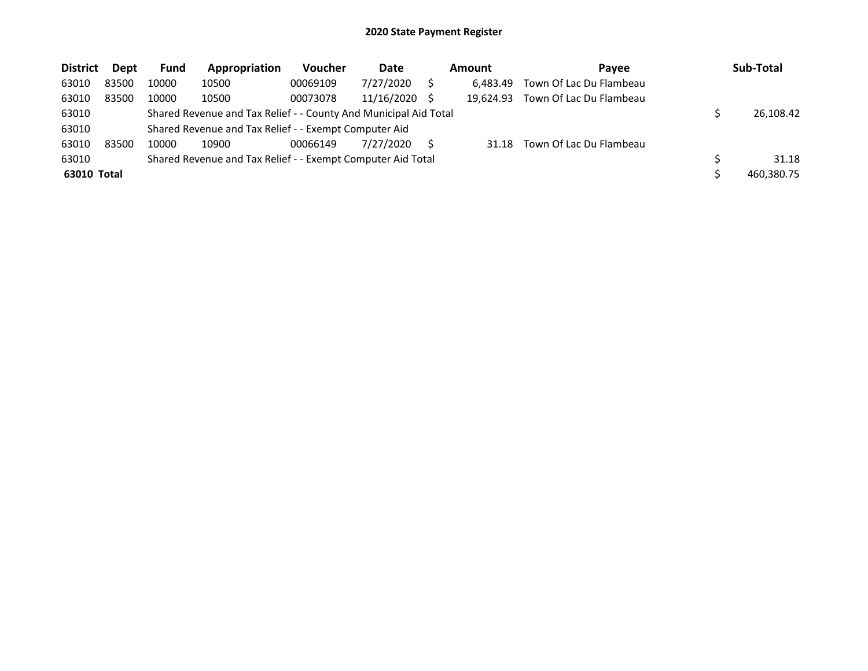| <b>District</b> | Dept  | <b>Fund</b> | Appropriation                                                    | Voucher  | Date            | Amount    | Payee                   | Sub-Total  |
|-----------------|-------|-------------|------------------------------------------------------------------|----------|-----------------|-----------|-------------------------|------------|
| 63010           | 83500 | 10000       | 10500                                                            | 00069109 | 7/27/2020       | 6.483.49  | Town Of Lac Du Flambeau |            |
| 63010           | 83500 | 10000       | 10500                                                            | 00073078 | $11/16/2020$ \$ | 19.624.93 | Town Of Lac Du Flambeau |            |
| 63010           |       |             | Shared Revenue and Tax Relief - - County And Municipal Aid Total |          |                 |           |                         | 26,108.42  |
| 63010           |       |             | Shared Revenue and Tax Relief - - Exempt Computer Aid            |          |                 |           |                         |            |
| 63010           | 83500 | 10000       | 10900                                                            | 00066149 | 7/27/2020       | 31.18     | Town Of Lac Du Flambeau |            |
| 63010           |       |             | Shared Revenue and Tax Relief - - Exempt Computer Aid Total      |          |                 |           |                         | 31.18      |
| 63010 Total     |       |             |                                                                  |          |                 |           |                         | 460,380.75 |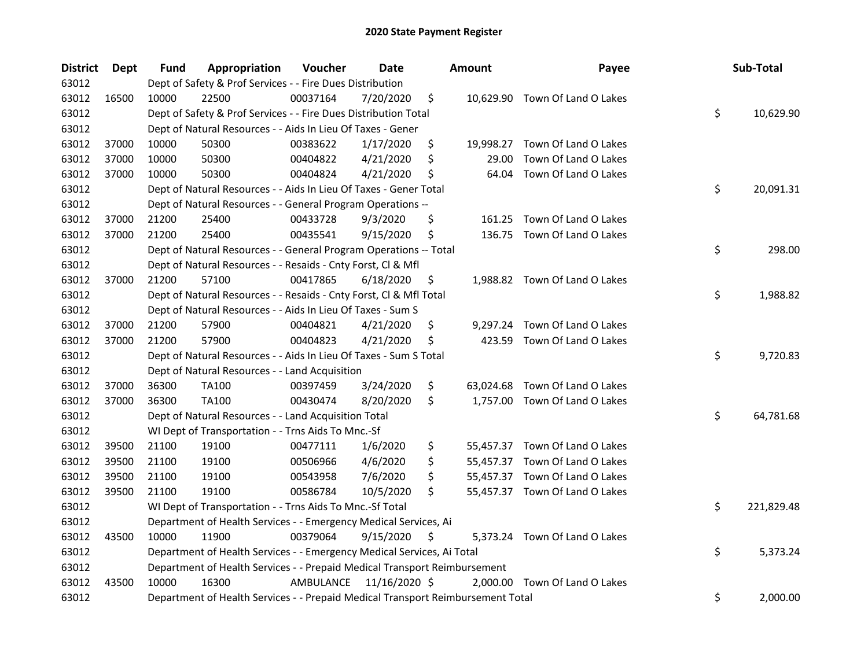| <b>District</b> | <b>Dept</b> | Fund  | Appropriation                                                                   | Voucher   | <b>Date</b>   |     | <b>Amount</b> | Payee                          | Sub-Total        |
|-----------------|-------------|-------|---------------------------------------------------------------------------------|-----------|---------------|-----|---------------|--------------------------------|------------------|
| 63012           |             |       | Dept of Safety & Prof Services - - Fire Dues Distribution                       |           |               |     |               |                                |                  |
| 63012           | 16500       | 10000 | 22500                                                                           | 00037164  | 7/20/2020     | \$  |               | 10,629.90 Town Of Land O Lakes |                  |
| 63012           |             |       | Dept of Safety & Prof Services - - Fire Dues Distribution Total                 |           |               |     |               |                                | \$<br>10,629.90  |
| 63012           |             |       | Dept of Natural Resources - - Aids In Lieu Of Taxes - Gener                     |           |               |     |               |                                |                  |
| 63012           | 37000       | 10000 | 50300                                                                           | 00383622  | 1/17/2020     | \$  | 19,998.27     | Town Of Land O Lakes           |                  |
| 63012           | 37000       | 10000 | 50300                                                                           | 00404822  | 4/21/2020     | \$  | 29.00         | Town Of Land O Lakes           |                  |
| 63012           | 37000       | 10000 | 50300                                                                           | 00404824  | 4/21/2020     | \$  | 64.04         | Town Of Land O Lakes           |                  |
| 63012           |             |       | Dept of Natural Resources - - Aids In Lieu Of Taxes - Gener Total               |           |               |     |               |                                | \$<br>20,091.31  |
| 63012           |             |       | Dept of Natural Resources - - General Program Operations --                     |           |               |     |               |                                |                  |
| 63012           | 37000       | 21200 | 25400                                                                           | 00433728  | 9/3/2020      | \$  | 161.25        | Town Of Land O Lakes           |                  |
| 63012           | 37000       | 21200 | 25400                                                                           | 00435541  | 9/15/2020     | \$  | 136.75        | Town Of Land O Lakes           |                  |
| 63012           |             |       | Dept of Natural Resources - - General Program Operations -- Total               |           |               |     |               |                                | \$<br>298.00     |
| 63012           |             |       | Dept of Natural Resources - - Resaids - Cnty Forst, Cl & Mfl                    |           |               |     |               |                                |                  |
| 63012           | 37000       | 21200 | 57100                                                                           | 00417865  | 6/18/2020     | \$. |               | 1,988.82 Town Of Land O Lakes  |                  |
| 63012           |             |       | Dept of Natural Resources - - Resaids - Cnty Forst, Cl & Mfl Total              |           |               |     |               |                                | \$<br>1,988.82   |
| 63012           |             |       | Dept of Natural Resources - - Aids In Lieu Of Taxes - Sum S                     |           |               |     |               |                                |                  |
| 63012           | 37000       | 21200 | 57900                                                                           | 00404821  | 4/21/2020     | \$  |               | 9,297.24 Town Of Land O Lakes  |                  |
| 63012           | 37000       | 21200 | 57900                                                                           | 00404823  | 4/21/2020     | \$  | 423.59        | Town Of Land O Lakes           |                  |
| 63012           |             |       | Dept of Natural Resources - - Aids In Lieu Of Taxes - Sum S Total               |           |               |     |               |                                | \$<br>9,720.83   |
| 63012           |             |       | Dept of Natural Resources - - Land Acquisition                                  |           |               |     |               |                                |                  |
| 63012           | 37000       | 36300 | TA100                                                                           | 00397459  | 3/24/2020     | \$  |               | 63,024.68 Town Of Land O Lakes |                  |
| 63012           | 37000       | 36300 | TA100                                                                           | 00430474  | 8/20/2020     | \$  |               | 1,757.00 Town Of Land O Lakes  |                  |
| 63012           |             |       | Dept of Natural Resources - - Land Acquisition Total                            |           |               |     |               |                                | \$<br>64,781.68  |
| 63012           |             |       | WI Dept of Transportation - - Trns Aids To Mnc.-Sf                              |           |               |     |               |                                |                  |
| 63012           | 39500       | 21100 | 19100                                                                           | 00477111  | 1/6/2020      | \$  |               | 55,457.37 Town Of Land O Lakes |                  |
| 63012           | 39500       | 21100 | 19100                                                                           | 00506966  | 4/6/2020      | \$  |               | 55,457.37 Town Of Land O Lakes |                  |
| 63012           | 39500       | 21100 | 19100                                                                           | 00543958  | 7/6/2020      | \$  |               | 55,457.37 Town Of Land O Lakes |                  |
| 63012           | 39500       | 21100 | 19100                                                                           | 00586784  | 10/5/2020     | \$  |               | 55,457.37 Town Of Land O Lakes |                  |
| 63012           |             |       | WI Dept of Transportation - - Trns Aids To Mnc.-Sf Total                        |           |               |     |               |                                | \$<br>221,829.48 |
| 63012           |             |       | Department of Health Services - - Emergency Medical Services, Ai                |           |               |     |               |                                |                  |
| 63012           | 43500       | 10000 | 11900                                                                           | 00379064  | 9/15/2020     | \$  |               | 5,373.24 Town Of Land O Lakes  |                  |
| 63012           |             |       | Department of Health Services - - Emergency Medical Services, Ai Total          |           |               |     |               |                                | \$<br>5,373.24   |
| 63012           |             |       | Department of Health Services - - Prepaid Medical Transport Reimbursement       |           |               |     |               |                                |                  |
| 63012           | 43500       | 10000 | 16300                                                                           | AMBULANCE | 11/16/2020 \$ |     |               | 2,000.00 Town Of Land O Lakes  |                  |
| 63012           |             |       | Department of Health Services - - Prepaid Medical Transport Reimbursement Total |           |               |     |               |                                | \$<br>2,000.00   |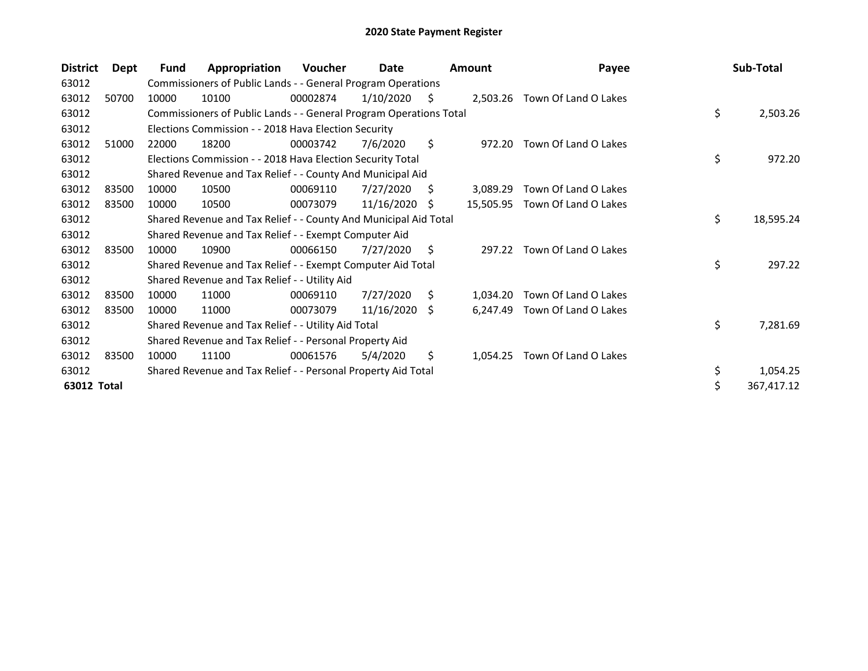| <b>District</b> | Dept  | <b>Fund</b> | Appropriation                                                      | <b>Voucher</b> | Date       |    | <b>Amount</b> | Payee                         | Sub-Total        |
|-----------------|-------|-------------|--------------------------------------------------------------------|----------------|------------|----|---------------|-------------------------------|------------------|
| 63012           |       |             | Commissioners of Public Lands - - General Program Operations       |                |            |    |               |                               |                  |
| 63012           | 50700 | 10000       | 10100                                                              | 00002874       | 1/10/2020  | S. |               | 2,503.26 Town Of Land O Lakes |                  |
| 63012           |       |             | Commissioners of Public Lands - - General Program Operations Total |                |            |    |               |                               | \$<br>2,503.26   |
| 63012           |       |             | Elections Commission - - 2018 Hava Election Security               |                |            |    |               |                               |                  |
| 63012           | 51000 | 22000       | 18200                                                              | 00003742       | 7/6/2020   | \$ | 972.20        | Town Of Land O Lakes          |                  |
| 63012           |       |             | Elections Commission - - 2018 Hava Election Security Total         |                |            |    |               |                               | \$<br>972.20     |
| 63012           |       |             | Shared Revenue and Tax Relief - - County And Municipal Aid         |                |            |    |               |                               |                  |
| 63012           | 83500 | 10000       | 10500                                                              | 00069110       | 7/27/2020  | S  | 3.089.29      | Town Of Land O Lakes          |                  |
| 63012           | 83500 | 10000       | 10500                                                              | 00073079       | 11/16/2020 | -S | 15,505.95     | Town Of Land O Lakes          |                  |
| 63012           |       |             | Shared Revenue and Tax Relief - - County And Municipal Aid Total   |                |            |    |               |                               | \$<br>18,595.24  |
| 63012           |       |             | Shared Revenue and Tax Relief - - Exempt Computer Aid              |                |            |    |               |                               |                  |
| 63012           | 83500 | 10000       | 10900                                                              | 00066150       | 7/27/2020  | \$ | 297.22        | Town Of Land O Lakes          |                  |
| 63012           |       |             | Shared Revenue and Tax Relief - - Exempt Computer Aid Total        |                |            |    |               |                               | \$<br>297.22     |
| 63012           |       |             | Shared Revenue and Tax Relief - - Utility Aid                      |                |            |    |               |                               |                  |
| 63012           | 83500 | 10000       | 11000                                                              | 00069110       | 7/27/2020  | \$ | 1,034.20      | Town Of Land O Lakes          |                  |
| 63012           | 83500 | 10000       | 11000                                                              | 00073079       | 11/16/2020 | S. | 6,247.49      | Town Of Land O Lakes          |                  |
| 63012           |       |             | Shared Revenue and Tax Relief - - Utility Aid Total                |                |            |    |               |                               | \$<br>7,281.69   |
| 63012           |       |             | Shared Revenue and Tax Relief - - Personal Property Aid            |                |            |    |               |                               |                  |
| 63012           | 83500 | 10000       | 11100                                                              | 00061576       | 5/4/2020   | \$ | 1,054.25      | Town Of Land O Lakes          |                  |
| 63012           |       |             | Shared Revenue and Tax Relief - - Personal Property Aid Total      |                |            |    |               |                               | \$<br>1,054.25   |
| 63012 Total     |       |             |                                                                    |                |            |    |               |                               | \$<br>367,417.12 |
|                 |       |             |                                                                    |                |            |    |               |                               |                  |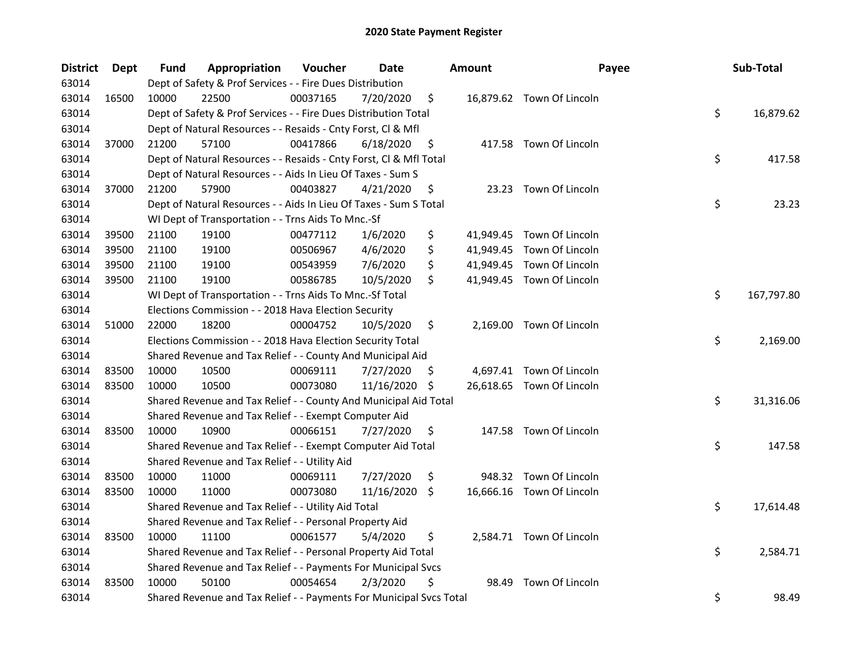| <b>District</b> | <b>Dept</b> | Fund  | Appropriation                                                       | Voucher  | Date          |     | <b>Amount</b> | Payee                     | Sub-Total        |
|-----------------|-------------|-------|---------------------------------------------------------------------|----------|---------------|-----|---------------|---------------------------|------------------|
| 63014           |             |       | Dept of Safety & Prof Services - - Fire Dues Distribution           |          |               |     |               |                           |                  |
| 63014           | 16500       | 10000 | 22500                                                               | 00037165 | 7/20/2020     | \$  |               | 16,879.62 Town Of Lincoln |                  |
| 63014           |             |       | Dept of Safety & Prof Services - - Fire Dues Distribution Total     |          |               |     |               |                           | \$<br>16,879.62  |
| 63014           |             |       | Dept of Natural Resources - - Resaids - Cnty Forst, Cl & Mfl        |          |               |     |               |                           |                  |
| 63014           | 37000       | 21200 | 57100                                                               | 00417866 | 6/18/2020     | \$  |               | 417.58 Town Of Lincoln    |                  |
| 63014           |             |       | Dept of Natural Resources - - Resaids - Cnty Forst, Cl & Mfl Total  |          |               |     |               |                           | \$<br>417.58     |
| 63014           |             |       | Dept of Natural Resources - - Aids In Lieu Of Taxes - Sum S         |          |               |     |               |                           |                  |
| 63014           | 37000       | 21200 | 57900                                                               | 00403827 | 4/21/2020     | \$  |               | 23.23 Town Of Lincoln     |                  |
| 63014           |             |       | Dept of Natural Resources - - Aids In Lieu Of Taxes - Sum S Total   |          |               |     |               |                           | \$<br>23.23      |
| 63014           |             |       | WI Dept of Transportation - - Trns Aids To Mnc.-Sf                  |          |               |     |               |                           |                  |
| 63014           | 39500       | 21100 | 19100                                                               | 00477112 | 1/6/2020      | \$  |               | 41,949.45 Town Of Lincoln |                  |
| 63014           | 39500       | 21100 | 19100                                                               | 00506967 | 4/6/2020      | \$  |               | 41,949.45 Town Of Lincoln |                  |
| 63014           | 39500       | 21100 | 19100                                                               | 00543959 | 7/6/2020      | \$  |               | 41,949.45 Town Of Lincoln |                  |
| 63014           | 39500       | 21100 | 19100                                                               | 00586785 | 10/5/2020     | \$  |               | 41,949.45 Town Of Lincoln |                  |
| 63014           |             |       | WI Dept of Transportation - - Trns Aids To Mnc.-Sf Total            |          |               |     |               |                           | \$<br>167,797.80 |
| 63014           |             |       | Elections Commission - - 2018 Hava Election Security                |          |               |     |               |                           |                  |
| 63014           | 51000       | 22000 | 18200                                                               | 00004752 | 10/5/2020     | \$  |               | 2,169.00 Town Of Lincoln  |                  |
| 63014           |             |       | Elections Commission - - 2018 Hava Election Security Total          |          |               |     |               |                           | \$<br>2,169.00   |
| 63014           |             |       | Shared Revenue and Tax Relief - - County And Municipal Aid          |          |               |     |               |                           |                  |
| 63014           | 83500       | 10000 | 10500                                                               | 00069111 | 7/27/2020     | \$. |               | 4,697.41 Town Of Lincoln  |                  |
| 63014           | 83500       | 10000 | 10500                                                               | 00073080 | 11/16/2020 \$ |     |               | 26,618.65 Town Of Lincoln |                  |
| 63014           |             |       | Shared Revenue and Tax Relief - - County And Municipal Aid Total    |          |               |     |               |                           | \$<br>31,316.06  |
| 63014           |             |       | Shared Revenue and Tax Relief - - Exempt Computer Aid               |          |               |     |               |                           |                  |
| 63014           | 83500       | 10000 | 10900                                                               | 00066151 | 7/27/2020     | \$  |               | 147.58 Town Of Lincoln    |                  |
| 63014           |             |       | Shared Revenue and Tax Relief - - Exempt Computer Aid Total         |          |               |     |               |                           | \$<br>147.58     |
| 63014           |             |       | Shared Revenue and Tax Relief - - Utility Aid                       |          |               |     |               |                           |                  |
| 63014           | 83500       | 10000 | 11000                                                               | 00069111 | 7/27/2020     | \$  |               | 948.32 Town Of Lincoln    |                  |
| 63014           | 83500       | 10000 | 11000                                                               | 00073080 | 11/16/2020    | \$  |               | 16,666.16 Town Of Lincoln |                  |
| 63014           |             |       | Shared Revenue and Tax Relief - - Utility Aid Total                 |          |               |     |               |                           | \$<br>17,614.48  |
| 63014           |             |       | Shared Revenue and Tax Relief - - Personal Property Aid             |          |               |     |               |                           |                  |
| 63014           | 83500       | 10000 | 11100                                                               | 00061577 | 5/4/2020      | \$  |               | 2,584.71 Town Of Lincoln  |                  |
| 63014           |             |       | Shared Revenue and Tax Relief - - Personal Property Aid Total       |          |               |     |               |                           | \$<br>2,584.71   |
| 63014           |             |       | Shared Revenue and Tax Relief - - Payments For Municipal Svcs       |          |               |     |               |                           |                  |
| 63014           | 83500       | 10000 | 50100                                                               | 00054654 | 2/3/2020      | \$  | 98.49         | Town Of Lincoln           |                  |
| 63014           |             |       | Shared Revenue and Tax Relief - - Payments For Municipal Svcs Total |          |               |     |               |                           | \$<br>98.49      |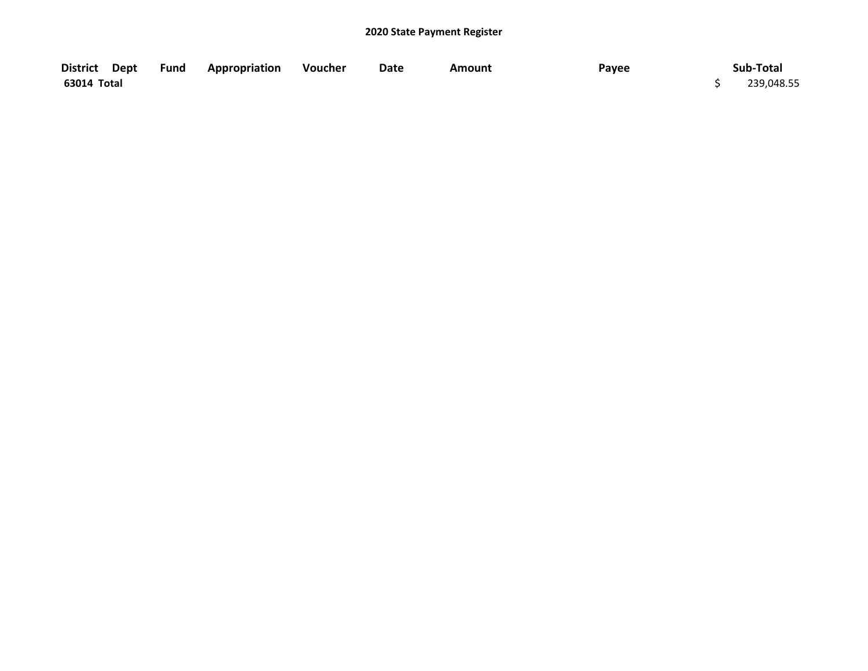| District Dept | <b>Fund Appropriation</b> | Voucher | Date | <b>Amount</b> | Payee | Sub-Total  |
|---------------|---------------------------|---------|------|---------------|-------|------------|
| 63014 Total   |                           |         |      |               |       | 239,048.55 |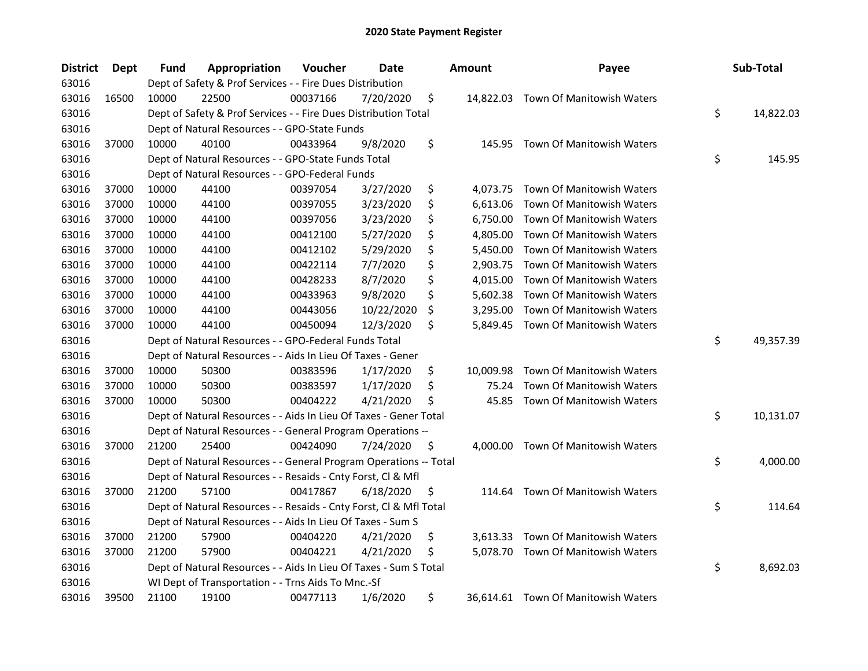| <b>District</b> | <b>Dept</b> | Fund  | Appropriation                                                      | Voucher  | Date       |     | <b>Amount</b> | Payee                               | Sub-Total       |
|-----------------|-------------|-------|--------------------------------------------------------------------|----------|------------|-----|---------------|-------------------------------------|-----------------|
| 63016           |             |       | Dept of Safety & Prof Services - - Fire Dues Distribution          |          |            |     |               |                                     |                 |
| 63016           | 16500       | 10000 | 22500                                                              | 00037166 | 7/20/2020  | \$  |               | 14,822.03 Town Of Manitowish Waters |                 |
| 63016           |             |       | Dept of Safety & Prof Services - - Fire Dues Distribution Total    |          |            |     |               |                                     | \$<br>14,822.03 |
| 63016           |             |       | Dept of Natural Resources - - GPO-State Funds                      |          |            |     |               |                                     |                 |
| 63016           | 37000       | 10000 | 40100                                                              | 00433964 | 9/8/2020   | \$  |               | 145.95 Town Of Manitowish Waters    |                 |
| 63016           |             |       | Dept of Natural Resources - - GPO-State Funds Total                |          |            |     |               |                                     | \$<br>145.95    |
| 63016           |             |       | Dept of Natural Resources - - GPO-Federal Funds                    |          |            |     |               |                                     |                 |
| 63016           | 37000       | 10000 | 44100                                                              | 00397054 | 3/27/2020  | \$  |               | 4,073.75 Town Of Manitowish Waters  |                 |
| 63016           | 37000       | 10000 | 44100                                                              | 00397055 | 3/23/2020  | \$  | 6,613.06      | Town Of Manitowish Waters           |                 |
| 63016           | 37000       | 10000 | 44100                                                              | 00397056 | 3/23/2020  | \$  | 6,750.00      | Town Of Manitowish Waters           |                 |
| 63016           | 37000       | 10000 | 44100                                                              | 00412100 | 5/27/2020  | \$  | 4,805.00      | Town Of Manitowish Waters           |                 |
| 63016           | 37000       | 10000 | 44100                                                              | 00412102 | 5/29/2020  | \$  | 5,450.00      | Town Of Manitowish Waters           |                 |
| 63016           | 37000       | 10000 | 44100                                                              | 00422114 | 7/7/2020   | \$  | 2,903.75      | Town Of Manitowish Waters           |                 |
| 63016           | 37000       | 10000 | 44100                                                              | 00428233 | 8/7/2020   | \$  | 4,015.00      | Town Of Manitowish Waters           |                 |
| 63016           | 37000       | 10000 | 44100                                                              | 00433963 | 9/8/2020   | \$  | 5,602.38      | Town Of Manitowish Waters           |                 |
| 63016           | 37000       | 10000 | 44100                                                              | 00443056 | 10/22/2020 | \$  | 3,295.00      | Town Of Manitowish Waters           |                 |
| 63016           | 37000       | 10000 | 44100                                                              | 00450094 | 12/3/2020  | \$  | 5,849.45      | Town Of Manitowish Waters           |                 |
| 63016           |             |       | Dept of Natural Resources - - GPO-Federal Funds Total              |          |            |     |               |                                     | \$<br>49,357.39 |
| 63016           |             |       | Dept of Natural Resources - - Aids In Lieu Of Taxes - Gener        |          |            |     |               |                                     |                 |
| 63016           | 37000       | 10000 | 50300                                                              | 00383596 | 1/17/2020  | \$  | 10,009.98     | Town Of Manitowish Waters           |                 |
| 63016           | 37000       | 10000 | 50300                                                              | 00383597 | 1/17/2020  | \$  | 75.24         | Town Of Manitowish Waters           |                 |
| 63016           | 37000       | 10000 | 50300                                                              | 00404222 | 4/21/2020  | \$  | 45.85         | Town Of Manitowish Waters           |                 |
| 63016           |             |       | Dept of Natural Resources - - Aids In Lieu Of Taxes - Gener Total  |          |            |     |               |                                     | \$<br>10,131.07 |
| 63016           |             |       | Dept of Natural Resources - - General Program Operations --        |          |            |     |               |                                     |                 |
| 63016           | 37000       | 21200 | 25400                                                              | 00424090 | 7/24/2020  | \$, |               | 4,000.00 Town Of Manitowish Waters  |                 |
| 63016           |             |       | Dept of Natural Resources - - General Program Operations -- Total  |          |            |     |               |                                     | \$<br>4,000.00  |
| 63016           |             |       | Dept of Natural Resources - - Resaids - Cnty Forst, Cl & Mfl       |          |            |     |               |                                     |                 |
| 63016           | 37000       | 21200 | 57100                                                              | 00417867 | 6/18/2020  | \$, |               | 114.64 Town Of Manitowish Waters    |                 |
| 63016           |             |       | Dept of Natural Resources - - Resaids - Cnty Forst, Cl & Mfl Total |          |            |     |               |                                     | \$<br>114.64    |
| 63016           |             |       | Dept of Natural Resources - - Aids In Lieu Of Taxes - Sum S        |          |            |     |               |                                     |                 |
| 63016           | 37000       | 21200 | 57900                                                              | 00404220 | 4/21/2020  | \$  | 3.613.33      | Town Of Manitowish Waters           |                 |
| 63016           | 37000       | 21200 | 57900                                                              | 00404221 | 4/21/2020  | \$  |               | 5,078.70 Town Of Manitowish Waters  |                 |
| 63016           |             |       | Dept of Natural Resources - - Aids In Lieu Of Taxes - Sum S Total  |          |            |     |               |                                     | \$<br>8,692.03  |
| 63016           |             |       | WI Dept of Transportation - - Trns Aids To Mnc.-Sf                 |          |            |     |               |                                     |                 |
| 63016           | 39500       | 21100 | 19100                                                              | 00477113 | 1/6/2020   | \$  |               | 36,614.61 Town Of Manitowish Waters |                 |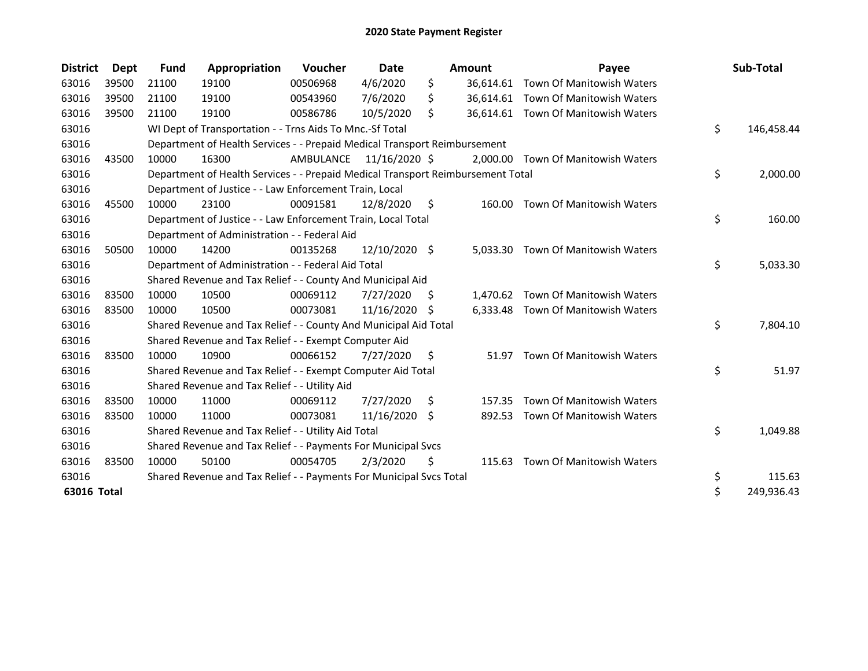| <b>District</b> | <b>Dept</b> | <b>Fund</b> | Appropriation                                                                   | <b>Voucher</b> | Date            |     | <b>Amount</b> | Payee                               | Sub-Total        |
|-----------------|-------------|-------------|---------------------------------------------------------------------------------|----------------|-----------------|-----|---------------|-------------------------------------|------------------|
| 63016           | 39500       | 21100       | 19100                                                                           | 00506968       | 4/6/2020        | \$  |               | 36,614.61 Town Of Manitowish Waters |                  |
| 63016           | 39500       | 21100       | 19100                                                                           | 00543960       | 7/6/2020        | Ś.  |               | 36,614.61 Town Of Manitowish Waters |                  |
| 63016           | 39500       | 21100       | 19100                                                                           | 00586786       | 10/5/2020       | \$  |               | 36,614.61 Town Of Manitowish Waters |                  |
| 63016           |             |             | WI Dept of Transportation - - Trns Aids To Mnc.-Sf Total                        |                |                 |     |               |                                     | \$<br>146,458.44 |
| 63016           |             |             | Department of Health Services - - Prepaid Medical Transport Reimbursement       |                |                 |     |               |                                     |                  |
| 63016           | 43500       | 10000       | 16300                                                                           | AMBULANCE      | 11/16/2020 \$   |     |               | 2,000.00 Town Of Manitowish Waters  |                  |
| 63016           |             |             | Department of Health Services - - Prepaid Medical Transport Reimbursement Total |                |                 |     |               |                                     | \$<br>2,000.00   |
| 63016           |             |             | Department of Justice - - Law Enforcement Train, Local                          |                |                 |     |               |                                     |                  |
| 63016           | 45500       | 10000       | 23100                                                                           | 00091581       | 12/8/2020       | \$  | 160.00        | Town Of Manitowish Waters           |                  |
| 63016           |             |             | Department of Justice - - Law Enforcement Train, Local Total                    |                |                 |     |               |                                     | \$<br>160.00     |
| 63016           |             |             | Department of Administration - - Federal Aid                                    |                |                 |     |               |                                     |                  |
| 63016           | 50500       | 10000       | 14200                                                                           | 00135268       | $12/10/2020$ \$ |     | 5.033.30      | <b>Town Of Manitowish Waters</b>    |                  |
| 63016           |             |             | Department of Administration - - Federal Aid Total                              |                |                 |     |               |                                     | \$<br>5,033.30   |
| 63016           |             |             | Shared Revenue and Tax Relief - - County And Municipal Aid                      |                |                 |     |               |                                     |                  |
| 63016           | 83500       | 10000       | 10500                                                                           | 00069112       | 7/27/2020       | \$. |               | 1,470.62 Town Of Manitowish Waters  |                  |
| 63016           | 83500       | 10000       | 10500                                                                           | 00073081       | 11/16/2020      | -S  |               | 6,333.48 Town Of Manitowish Waters  |                  |
| 63016           |             |             | Shared Revenue and Tax Relief - - County And Municipal Aid Total                |                |                 |     |               |                                     | \$<br>7,804.10   |
| 63016           |             |             | Shared Revenue and Tax Relief - - Exempt Computer Aid                           |                |                 |     |               |                                     |                  |
| 63016           | 83500       | 10000       | 10900                                                                           | 00066152       | 7/27/2020       | S.  | 51.97         | Town Of Manitowish Waters           |                  |
| 63016           |             |             | Shared Revenue and Tax Relief - - Exempt Computer Aid Total                     |                |                 |     |               |                                     | \$<br>51.97      |
| 63016           |             |             | Shared Revenue and Tax Relief - - Utility Aid                                   |                |                 |     |               |                                     |                  |
| 63016           | 83500       | 10000       | 11000                                                                           | 00069112       | 7/27/2020       | \$  | 157.35        | Town Of Manitowish Waters           |                  |
| 63016           | 83500       | 10000       | 11000                                                                           | 00073081       | 11/16/2020      | \$  | 892.53        | Town Of Manitowish Waters           |                  |
| 63016           |             |             | Shared Revenue and Tax Relief - - Utility Aid Total                             |                |                 |     |               |                                     | \$<br>1,049.88   |
| 63016           |             |             | Shared Revenue and Tax Relief - - Payments For Municipal Svcs                   |                |                 |     |               |                                     |                  |
| 63016           | 83500       | 10000       | 50100                                                                           | 00054705       | 2/3/2020        | \$  | 115.63        | Town Of Manitowish Waters           |                  |
| 63016           |             |             | Shared Revenue and Tax Relief - - Payments For Municipal Svcs Total             |                |                 |     |               |                                     | \$<br>115.63     |
| 63016 Total     |             |             |                                                                                 |                |                 |     |               |                                     | \$<br>249,936.43 |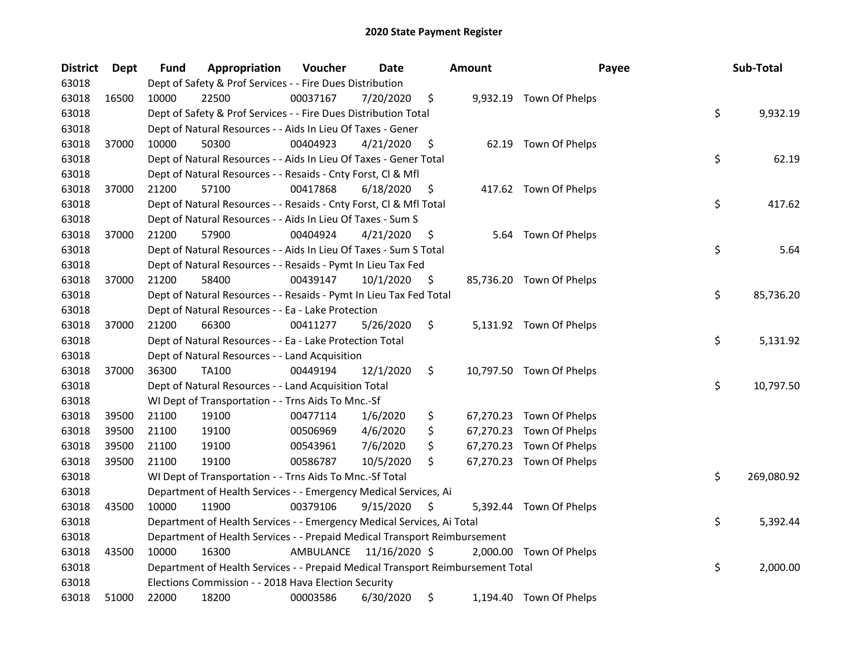| District | Dept  | Fund  | Appropriation                                                                   | Voucher  | Date                    |    | <b>Amount</b> | Payee                    | Sub-Total        |
|----------|-------|-------|---------------------------------------------------------------------------------|----------|-------------------------|----|---------------|--------------------------|------------------|
| 63018    |       |       | Dept of Safety & Prof Services - - Fire Dues Distribution                       |          |                         |    |               |                          |                  |
| 63018    | 16500 | 10000 | 22500                                                                           | 00037167 | 7/20/2020               | \$ |               | 9,932.19 Town Of Phelps  |                  |
| 63018    |       |       | Dept of Safety & Prof Services - - Fire Dues Distribution Total                 |          |                         |    |               |                          | \$<br>9,932.19   |
| 63018    |       |       | Dept of Natural Resources - - Aids In Lieu Of Taxes - Gener                     |          |                         |    |               |                          |                  |
| 63018    | 37000 | 10000 | 50300                                                                           | 00404923 | 4/21/2020               | \$ |               | 62.19 Town Of Phelps     |                  |
| 63018    |       |       | Dept of Natural Resources - - Aids In Lieu Of Taxes - Gener Total               |          |                         |    |               |                          | \$<br>62.19      |
| 63018    |       |       | Dept of Natural Resources - - Resaids - Cnty Forst, Cl & Mfl                    |          |                         |    |               |                          |                  |
| 63018    | 37000 | 21200 | 57100                                                                           | 00417868 | 6/18/2020               | \$ |               | 417.62 Town Of Phelps    |                  |
| 63018    |       |       | Dept of Natural Resources - - Resaids - Cnty Forst, Cl & Mfl Total              |          |                         |    |               |                          | \$<br>417.62     |
| 63018    |       |       | Dept of Natural Resources - - Aids In Lieu Of Taxes - Sum S                     |          |                         |    |               |                          |                  |
| 63018    | 37000 | 21200 | 57900                                                                           | 00404924 | 4/21/2020               | \$ |               | 5.64 Town Of Phelps      |                  |
| 63018    |       |       | Dept of Natural Resources - - Aids In Lieu Of Taxes - Sum S Total               |          |                         |    |               |                          | \$<br>5.64       |
| 63018    |       |       | Dept of Natural Resources - - Resaids - Pymt In Lieu Tax Fed                    |          |                         |    |               |                          |                  |
| 63018    | 37000 | 21200 | 58400                                                                           | 00439147 | 10/1/2020               | \$ |               | 85,736.20 Town Of Phelps |                  |
| 63018    |       |       | Dept of Natural Resources - - Resaids - Pymt In Lieu Tax Fed Total              |          |                         |    |               |                          | \$<br>85,736.20  |
| 63018    |       |       | Dept of Natural Resources - - Ea - Lake Protection                              |          |                         |    |               |                          |                  |
| 63018    | 37000 | 21200 | 66300                                                                           | 00411277 | 5/26/2020               | \$ |               | 5,131.92 Town Of Phelps  |                  |
| 63018    |       |       | Dept of Natural Resources - - Ea - Lake Protection Total                        |          |                         |    |               |                          | \$<br>5,131.92   |
| 63018    |       |       | Dept of Natural Resources - - Land Acquisition                                  |          |                         |    |               |                          |                  |
| 63018    | 37000 | 36300 | <b>TA100</b>                                                                    | 00449194 | 12/1/2020               | \$ |               | 10,797.50 Town Of Phelps |                  |
| 63018    |       |       | Dept of Natural Resources - - Land Acquisition Total                            |          |                         |    |               |                          | \$<br>10,797.50  |
| 63018    |       |       | WI Dept of Transportation - - Trns Aids To Mnc.-Sf                              |          |                         |    |               |                          |                  |
| 63018    | 39500 | 21100 | 19100                                                                           | 00477114 | 1/6/2020                | \$ |               | 67,270.23 Town Of Phelps |                  |
| 63018    | 39500 | 21100 | 19100                                                                           | 00506969 | 4/6/2020                | \$ |               | 67,270.23 Town Of Phelps |                  |
| 63018    | 39500 | 21100 | 19100                                                                           | 00543961 | 7/6/2020                | \$ |               | 67,270.23 Town Of Phelps |                  |
| 63018    | 39500 | 21100 | 19100                                                                           | 00586787 | 10/5/2020               | \$ |               | 67,270.23 Town Of Phelps |                  |
| 63018    |       |       | WI Dept of Transportation - - Trns Aids To Mnc.-Sf Total                        |          |                         |    |               |                          | \$<br>269,080.92 |
| 63018    |       |       | Department of Health Services - - Emergency Medical Services, Ai                |          |                         |    |               |                          |                  |
| 63018    | 43500 | 10000 | 11900                                                                           | 00379106 | 9/15/2020               | S  |               | 5,392.44 Town Of Phelps  |                  |
| 63018    |       |       | Department of Health Services - - Emergency Medical Services, Ai Total          |          |                         |    |               |                          | \$<br>5,392.44   |
| 63018    |       |       | Department of Health Services - - Prepaid Medical Transport Reimbursement       |          |                         |    |               |                          |                  |
| 63018    | 43500 | 10000 | 16300                                                                           |          | AMBULANCE 11/16/2020 \$ |    |               | 2,000.00 Town Of Phelps  |                  |
| 63018    |       |       | Department of Health Services - - Prepaid Medical Transport Reimbursement Total |          |                         |    |               |                          | \$<br>2,000.00   |
| 63018    |       |       | Elections Commission - - 2018 Hava Election Security                            |          |                         |    |               |                          |                  |
| 63018    | 51000 | 22000 | 18200                                                                           | 00003586 | 6/30/2020               | \$ |               | 1,194.40 Town Of Phelps  |                  |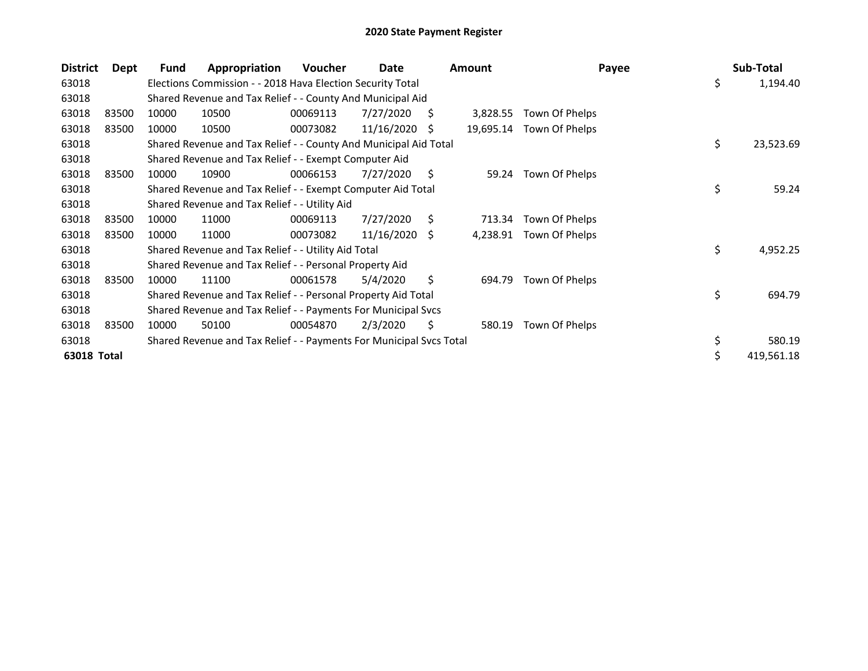| <b>District</b> | Dept  | Fund  | Appropriation                                                       | <b>Voucher</b> | Date       |    | <b>Amount</b> | Payee                    | Sub-Total        |
|-----------------|-------|-------|---------------------------------------------------------------------|----------------|------------|----|---------------|--------------------------|------------------|
| 63018           |       |       | Elections Commission - - 2018 Hava Election Security Total          |                |            |    |               |                          | \$<br>1,194.40   |
| 63018           |       |       | Shared Revenue and Tax Relief - - County And Municipal Aid          |                |            |    |               |                          |                  |
| 63018           | 83500 | 10000 | 10500                                                               | 00069113       | 7/27/2020  | S  | 3,828.55      | Town Of Phelps           |                  |
| 63018           | 83500 | 10000 | 10500                                                               | 00073082       | 11/16/2020 | S  |               | 19,695.14 Town Of Phelps |                  |
| 63018           |       |       | Shared Revenue and Tax Relief - - County And Municipal Aid Total    |                |            |    |               |                          | \$<br>23,523.69  |
| 63018           |       |       | Shared Revenue and Tax Relief - - Exempt Computer Aid               |                |            |    |               |                          |                  |
| 63018           | 83500 | 10000 | 10900                                                               | 00066153       | 7/27/2020  | S  | 59.24         | Town Of Phelps           |                  |
| 63018           |       |       | Shared Revenue and Tax Relief - - Exempt Computer Aid Total         |                |            |    |               |                          | \$<br>59.24      |
| 63018           |       |       | Shared Revenue and Tax Relief - - Utility Aid                       |                |            |    |               |                          |                  |
| 63018           | 83500 | 10000 | 11000                                                               | 00069113       | 7/27/2020  | S. | 713.34        | Town Of Phelps           |                  |
| 63018           | 83500 | 10000 | 11000                                                               | 00073082       | 11/16/2020 | S. | 4,238.91      | Town Of Phelps           |                  |
| 63018           |       |       | Shared Revenue and Tax Relief - - Utility Aid Total                 |                |            |    |               |                          | \$<br>4,952.25   |
| 63018           |       |       | Shared Revenue and Tax Relief - - Personal Property Aid             |                |            |    |               |                          |                  |
| 63018           | 83500 | 10000 | 11100                                                               | 00061578       | 5/4/2020   | \$ | 694.79        | Town Of Phelps           |                  |
| 63018           |       |       | Shared Revenue and Tax Relief - - Personal Property Aid Total       |                |            |    |               |                          | \$<br>694.79     |
| 63018           |       |       | Shared Revenue and Tax Relief - - Payments For Municipal Svcs       |                |            |    |               |                          |                  |
| 63018           | 83500 | 10000 | 50100                                                               | 00054870       | 2/3/2020   | Ş  | 580.19        | Town Of Phelps           |                  |
| 63018           |       |       | Shared Revenue and Tax Relief - - Payments For Municipal Svcs Total |                |            |    |               |                          | \$<br>580.19     |
| 63018 Total     |       |       |                                                                     |                |            |    |               |                          | \$<br>419,561.18 |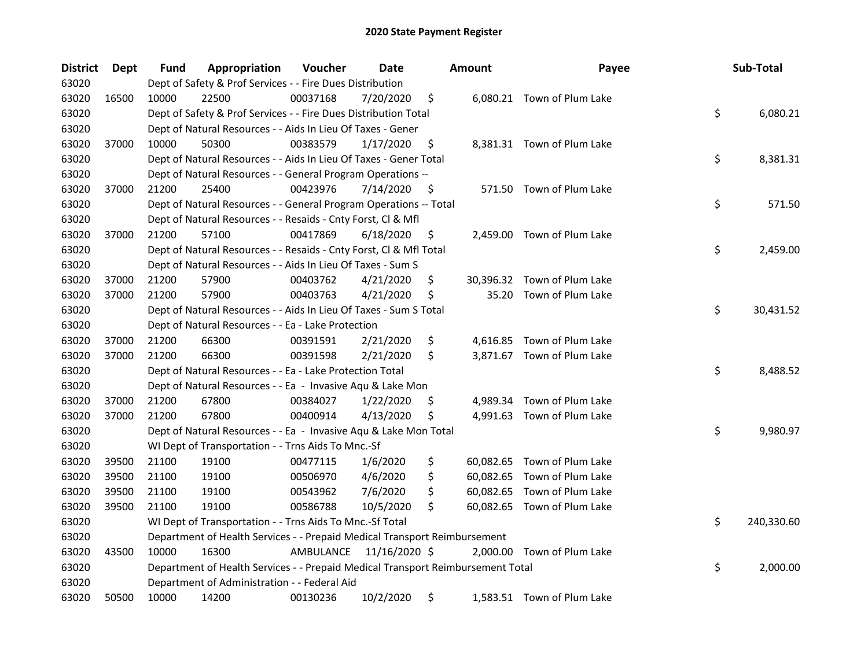| <b>District</b> | <b>Dept</b> | <b>Fund</b> | Appropriation                                                                   | Voucher   | Date          |    | <b>Amount</b> | Payee                       | Sub-Total        |
|-----------------|-------------|-------------|---------------------------------------------------------------------------------|-----------|---------------|----|---------------|-----------------------------|------------------|
| 63020           |             |             | Dept of Safety & Prof Services - - Fire Dues Distribution                       |           |               |    |               |                             |                  |
| 63020           | 16500       | 10000       | 22500                                                                           | 00037168  | 7/20/2020     | \$ |               | 6,080.21 Town of Plum Lake  |                  |
| 63020           |             |             | Dept of Safety & Prof Services - - Fire Dues Distribution Total                 |           |               |    |               |                             | \$<br>6,080.21   |
| 63020           |             |             | Dept of Natural Resources - - Aids In Lieu Of Taxes - Gener                     |           |               |    |               |                             |                  |
| 63020           | 37000       | 10000       | 50300                                                                           | 00383579  | 1/17/2020     | \$ |               | 8,381.31 Town of Plum Lake  |                  |
| 63020           |             |             | Dept of Natural Resources - - Aids In Lieu Of Taxes - Gener Total               |           |               |    |               |                             | \$<br>8,381.31   |
| 63020           |             |             | Dept of Natural Resources - - General Program Operations --                     |           |               |    |               |                             |                  |
| 63020           | 37000       | 21200       | 25400                                                                           | 00423976  | 7/14/2020     | \$ |               | 571.50 Town of Plum Lake    |                  |
| 63020           |             |             | Dept of Natural Resources - - General Program Operations -- Total               |           |               |    |               |                             | \$<br>571.50     |
| 63020           |             |             | Dept of Natural Resources - - Resaids - Cnty Forst, Cl & Mfl                    |           |               |    |               |                             |                  |
| 63020           | 37000       | 21200       | 57100                                                                           | 00417869  | 6/18/2020     | \$ |               | 2,459.00 Town of Plum Lake  |                  |
| 63020           |             |             | Dept of Natural Resources - - Resaids - Cnty Forst, Cl & Mfl Total              |           |               |    |               |                             | \$<br>2,459.00   |
| 63020           |             |             | Dept of Natural Resources - - Aids In Lieu Of Taxes - Sum S                     |           |               |    |               |                             |                  |
| 63020           | 37000       | 21200       | 57900                                                                           | 00403762  | 4/21/2020     | \$ | 30,396.32     | Town of Plum Lake           |                  |
| 63020           | 37000       | 21200       | 57900                                                                           | 00403763  | 4/21/2020     | \$ | 35.20         | Town of Plum Lake           |                  |
| 63020           |             |             | Dept of Natural Resources - - Aids In Lieu Of Taxes - Sum S Total               |           |               |    |               |                             | \$<br>30,431.52  |
| 63020           |             |             | Dept of Natural Resources - - Ea - Lake Protection                              |           |               |    |               |                             |                  |
| 63020           | 37000       | 21200       | 66300                                                                           | 00391591  | 2/21/2020     | \$ |               | 4,616.85 Town of Plum Lake  |                  |
| 63020           | 37000       | 21200       | 66300                                                                           | 00391598  | 2/21/2020     | Ŝ. |               | 3,871.67 Town of Plum Lake  |                  |
| 63020           |             |             | Dept of Natural Resources - - Ea - Lake Protection Total                        |           |               |    |               |                             | \$<br>8,488.52   |
| 63020           |             |             | Dept of Natural Resources - - Ea - Invasive Aqu & Lake Mon                      |           |               |    |               |                             |                  |
| 63020           | 37000       | 21200       | 67800                                                                           | 00384027  | 1/22/2020     | \$ |               | 4,989.34 Town of Plum Lake  |                  |
| 63020           | 37000       | 21200       | 67800                                                                           | 00400914  | 4/13/2020     | \$ |               | 4,991.63 Town of Plum Lake  |                  |
| 63020           |             |             | Dept of Natural Resources - - Ea - Invasive Aqu & Lake Mon Total                |           |               |    |               |                             | \$<br>9,980.97   |
| 63020           |             |             | WI Dept of Transportation - - Trns Aids To Mnc.-Sf                              |           |               |    |               |                             |                  |
| 63020           | 39500       | 21100       | 19100                                                                           | 00477115  | 1/6/2020      | \$ |               | 60,082.65 Town of Plum Lake |                  |
| 63020           | 39500       | 21100       | 19100                                                                           | 00506970  | 4/6/2020      | \$ |               | 60,082.65 Town of Plum Lake |                  |
| 63020           | 39500       | 21100       | 19100                                                                           | 00543962  | 7/6/2020      | \$ |               | 60,082.65 Town of Plum Lake |                  |
| 63020           | 39500       | 21100       | 19100                                                                           | 00586788  | 10/5/2020     | \$ |               | 60,082.65 Town of Plum Lake |                  |
| 63020           |             |             | WI Dept of Transportation - - Trns Aids To Mnc.-Sf Total                        |           |               |    |               |                             | \$<br>240,330.60 |
| 63020           |             |             | Department of Health Services - - Prepaid Medical Transport Reimbursement       |           |               |    |               |                             |                  |
| 63020           | 43500       | 10000       | 16300                                                                           | AMBULANCE | 11/16/2020 \$ |    |               | 2,000.00 Town of Plum Lake  |                  |
| 63020           |             |             | Department of Health Services - - Prepaid Medical Transport Reimbursement Total |           |               |    |               |                             | \$<br>2,000.00   |
| 63020           |             |             | Department of Administration - - Federal Aid                                    |           |               |    |               |                             |                  |
| 63020           | 50500       | 10000       | 14200                                                                           | 00130236  | 10/2/2020     | \$ |               | 1,583.51 Town of Plum Lake  |                  |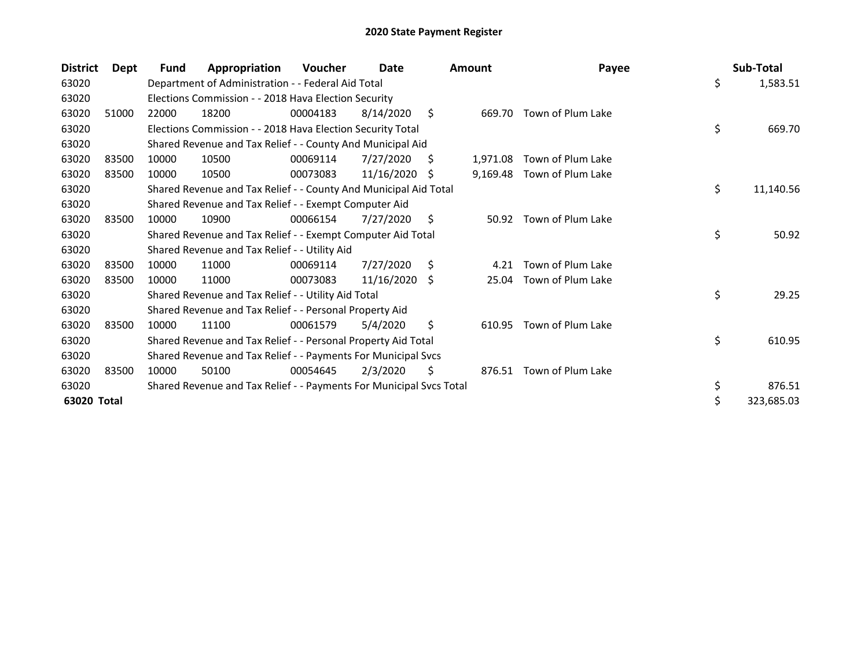| <b>District</b> | <b>Dept</b> | <b>Fund</b> | Appropriation                                                       | Voucher  | Date       |    | <b>Amount</b> | Payee             |     | Sub-Total  |
|-----------------|-------------|-------------|---------------------------------------------------------------------|----------|------------|----|---------------|-------------------|-----|------------|
| 63020           |             |             | Department of Administration - - Federal Aid Total                  |          |            |    |               |                   | \$  | 1,583.51   |
| 63020           |             |             | Elections Commission - - 2018 Hava Election Security                |          |            |    |               |                   |     |            |
| 63020           | 51000       | 22000       | 18200                                                               | 00004183 | 8/14/2020  | S. | 669.70        | Town of Plum Lake |     |            |
| 63020           |             |             | Elections Commission - - 2018 Hava Election Security Total          |          |            |    |               |                   | \$  | 669.70     |
| 63020           |             |             | Shared Revenue and Tax Relief - - County And Municipal Aid          |          |            |    |               |                   |     |            |
| 63020           | 83500       | 10000       | 10500                                                               | 00069114 | 7/27/2020  | S  | 1,971.08      | Town of Plum Lake |     |            |
| 63020           | 83500       | 10000       | 10500                                                               | 00073083 | 11/16/2020 | S  | 9,169.48      | Town of Plum Lake |     |            |
| 63020           |             |             | Shared Revenue and Tax Relief - - County And Municipal Aid Total    |          |            |    |               |                   | \$. | 11,140.56  |
| 63020           |             |             | Shared Revenue and Tax Relief - - Exempt Computer Aid               |          |            |    |               |                   |     |            |
| 63020           | 83500       | 10000       | 10900                                                               | 00066154 | 7/27/2020  | \$ | 50.92         | Town of Plum Lake |     |            |
| 63020           |             |             | Shared Revenue and Tax Relief - - Exempt Computer Aid Total         |          |            |    |               |                   | \$  | 50.92      |
| 63020           |             |             | Shared Revenue and Tax Relief - - Utility Aid                       |          |            |    |               |                   |     |            |
| 63020           | 83500       | 10000       | 11000                                                               | 00069114 | 7/27/2020  | S  | 4.21          | Town of Plum Lake |     |            |
| 63020           | 83500       | 10000       | 11000                                                               | 00073083 | 11/16/2020 | -S | 25.04         | Town of Plum Lake |     |            |
| 63020           |             |             | Shared Revenue and Tax Relief - - Utility Aid Total                 |          |            |    |               |                   | \$  | 29.25      |
| 63020           |             |             | Shared Revenue and Tax Relief - - Personal Property Aid             |          |            |    |               |                   |     |            |
| 63020           | 83500       | 10000       | 11100                                                               | 00061579 | 5/4/2020   | \$ | 610.95        | Town of Plum Lake |     |            |
| 63020           |             |             | Shared Revenue and Tax Relief - - Personal Property Aid Total       |          |            |    |               |                   | \$  | 610.95     |
| 63020           |             |             | Shared Revenue and Tax Relief - - Payments For Municipal Svcs       |          |            |    |               |                   |     |            |
| 63020           | 83500       | 10000       | 50100                                                               | 00054645 | 2/3/2020   | \$ | 876.51        | Town of Plum Lake |     |            |
| 63020           |             |             | Shared Revenue and Tax Relief - - Payments For Municipal Svcs Total |          |            |    |               |                   | \$  | 876.51     |
| 63020 Total     |             |             |                                                                     |          |            |    |               |                   |     | 323,685.03 |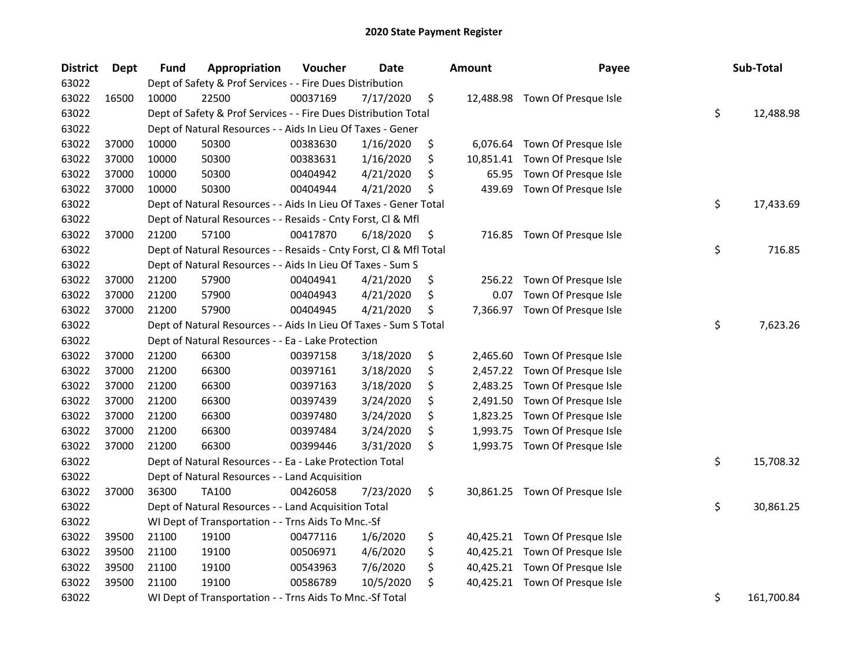| <b>District</b> | Dept  | Fund  | Appropriation                                                      | Voucher  | <b>Date</b> | <b>Amount</b>   | Payee                          | Sub-Total        |
|-----------------|-------|-------|--------------------------------------------------------------------|----------|-------------|-----------------|--------------------------------|------------------|
| 63022           |       |       | Dept of Safety & Prof Services - - Fire Dues Distribution          |          |             |                 |                                |                  |
| 63022           | 16500 | 10000 | 22500                                                              | 00037169 | 7/17/2020   | \$              | 12,488.98 Town Of Presque Isle |                  |
| 63022           |       |       | Dept of Safety & Prof Services - - Fire Dues Distribution Total    |          |             |                 |                                | \$<br>12,488.98  |
| 63022           |       |       | Dept of Natural Resources - - Aids In Lieu Of Taxes - Gener        |          |             |                 |                                |                  |
| 63022           | 37000 | 10000 | 50300                                                              | 00383630 | 1/16/2020   | \$              | 6,076.64 Town Of Presque Isle  |                  |
| 63022           | 37000 | 10000 | 50300                                                              | 00383631 | 1/16/2020   | \$<br>10,851.41 | Town Of Presque Isle           |                  |
| 63022           | 37000 | 10000 | 50300                                                              | 00404942 | 4/21/2020   | \$<br>65.95     | Town Of Presque Isle           |                  |
| 63022           | 37000 | 10000 | 50300                                                              | 00404944 | 4/21/2020   | \$<br>439.69    | Town Of Presque Isle           |                  |
| 63022           |       |       | Dept of Natural Resources - - Aids In Lieu Of Taxes - Gener Total  |          |             |                 |                                | \$<br>17,433.69  |
| 63022           |       |       | Dept of Natural Resources - - Resaids - Cnty Forst, Cl & Mfl       |          |             |                 |                                |                  |
| 63022           | 37000 | 21200 | 57100                                                              | 00417870 | 6/18/2020   | \$              | 716.85 Town Of Presque Isle    |                  |
| 63022           |       |       | Dept of Natural Resources - - Resaids - Cnty Forst, Cl & Mfl Total |          |             |                 |                                | \$<br>716.85     |
| 63022           |       |       | Dept of Natural Resources - - Aids In Lieu Of Taxes - Sum S        |          |             |                 |                                |                  |
| 63022           | 37000 | 21200 | 57900                                                              | 00404941 | 4/21/2020   | \$              | 256.22 Town Of Presque Isle    |                  |
| 63022           | 37000 | 21200 | 57900                                                              | 00404943 | 4/21/2020   | \$<br>0.07      | Town Of Presque Isle           |                  |
| 63022           | 37000 | 21200 | 57900                                                              | 00404945 | 4/21/2020   | \$<br>7,366.97  | Town Of Presque Isle           |                  |
| 63022           |       |       | Dept of Natural Resources - - Aids In Lieu Of Taxes - Sum S Total  |          |             |                 |                                | \$<br>7,623.26   |
| 63022           |       |       | Dept of Natural Resources - - Ea - Lake Protection                 |          |             |                 |                                |                  |
| 63022           | 37000 | 21200 | 66300                                                              | 00397158 | 3/18/2020   | \$<br>2,465.60  | Town Of Presque Isle           |                  |
| 63022           | 37000 | 21200 | 66300                                                              | 00397161 | 3/18/2020   | \$              | 2,457.22 Town Of Presque Isle  |                  |
| 63022           | 37000 | 21200 | 66300                                                              | 00397163 | 3/18/2020   | \$              | 2,483.25 Town Of Presque Isle  |                  |
| 63022           | 37000 | 21200 | 66300                                                              | 00397439 | 3/24/2020   | \$<br>2,491.50  | Town Of Presque Isle           |                  |
| 63022           | 37000 | 21200 | 66300                                                              | 00397480 | 3/24/2020   | \$<br>1,823.25  | Town Of Presque Isle           |                  |
| 63022           | 37000 | 21200 | 66300                                                              | 00397484 | 3/24/2020   | \$<br>1,993.75  | Town Of Presque Isle           |                  |
| 63022           | 37000 | 21200 | 66300                                                              | 00399446 | 3/31/2020   | \$              | 1,993.75 Town Of Presque Isle  |                  |
| 63022           |       |       | Dept of Natural Resources - - Ea - Lake Protection Total           |          |             |                 |                                | \$<br>15,708.32  |
| 63022           |       |       | Dept of Natural Resources - - Land Acquisition                     |          |             |                 |                                |                  |
| 63022           | 37000 | 36300 | <b>TA100</b>                                                       | 00426058 | 7/23/2020   | \$              | 30,861.25 Town Of Presque Isle |                  |
| 63022           |       |       | Dept of Natural Resources - - Land Acquisition Total               |          |             |                 |                                | \$<br>30,861.25  |
| 63022           |       |       | WI Dept of Transportation - - Trns Aids To Mnc.-Sf                 |          |             |                 |                                |                  |
| 63022           | 39500 | 21100 | 19100                                                              | 00477116 | 1/6/2020    | \$              | 40,425.21 Town Of Presque Isle |                  |
| 63022           | 39500 | 21100 | 19100                                                              | 00506971 | 4/6/2020    | \$              | 40,425.21 Town Of Presque Isle |                  |
| 63022           | 39500 | 21100 | 19100                                                              | 00543963 | 7/6/2020    | \$              | 40,425.21 Town Of Presque Isle |                  |
| 63022           | 39500 | 21100 | 19100                                                              | 00586789 | 10/5/2020   | \$              | 40,425.21 Town Of Presque Isle |                  |
| 63022           |       |       | WI Dept of Transportation - - Trns Aids To Mnc.-Sf Total           |          |             |                 |                                | \$<br>161,700.84 |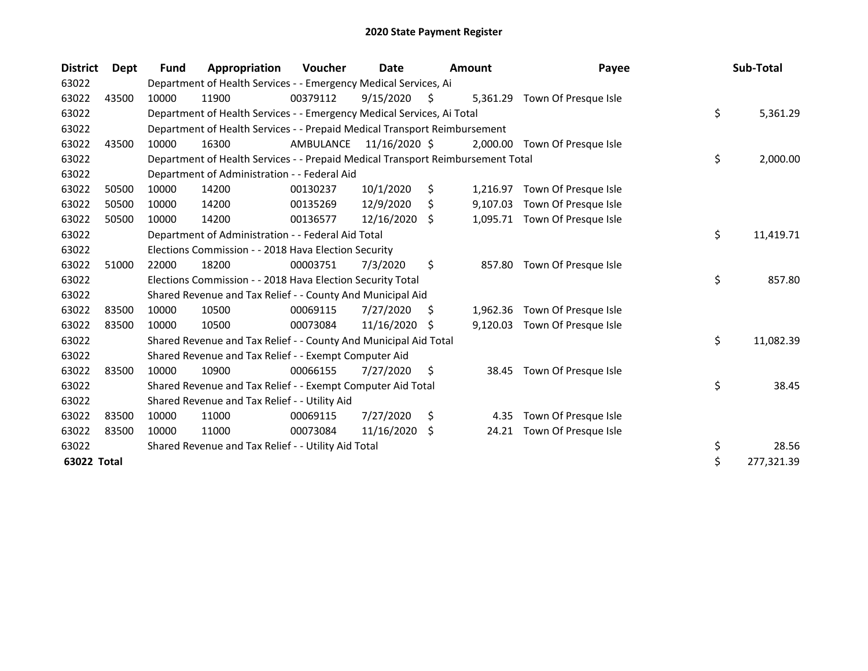| <b>District</b> | Dept  | Fund  | Appropriation                                                                   | Voucher   | Date          |     | <b>Amount</b> | Payee                         | Sub-Total        |
|-----------------|-------|-------|---------------------------------------------------------------------------------|-----------|---------------|-----|---------------|-------------------------------|------------------|
| 63022           |       |       | Department of Health Services - - Emergency Medical Services, Ai                |           |               |     |               |                               |                  |
| 63022           | 43500 | 10000 | 11900                                                                           | 00379112  | 9/15/2020     | \$. |               | 5,361.29 Town Of Presque Isle |                  |
| 63022           |       |       | Department of Health Services - - Emergency Medical Services, Ai Total          |           |               |     |               |                               | \$<br>5,361.29   |
| 63022           |       |       | Department of Health Services - - Prepaid Medical Transport Reimbursement       |           |               |     |               |                               |                  |
| 63022           | 43500 | 10000 | 16300                                                                           | AMBULANCE | 11/16/2020 \$ |     |               | 2,000.00 Town Of Presque Isle |                  |
| 63022           |       |       | Department of Health Services - - Prepaid Medical Transport Reimbursement Total |           |               |     |               |                               | \$<br>2,000.00   |
| 63022           |       |       | Department of Administration - - Federal Aid                                    |           |               |     |               |                               |                  |
| 63022           | 50500 | 10000 | 14200                                                                           | 00130237  | 10/1/2020     | \$  | 1,216.97      | Town Of Presque Isle          |                  |
| 63022           | 50500 | 10000 | 14200                                                                           | 00135269  | 12/9/2020     | \$  | 9,107.03      | Town Of Presque Isle          |                  |
| 63022           | 50500 | 10000 | 14200                                                                           | 00136577  | 12/16/2020    | Ŝ.  |               | 1,095.71 Town Of Presque Isle |                  |
| 63022           |       |       | Department of Administration - - Federal Aid Total                              |           |               |     |               |                               | \$<br>11,419.71  |
| 63022           |       |       | Elections Commission - - 2018 Hava Election Security                            |           |               |     |               |                               |                  |
| 63022           | 51000 | 22000 | 18200                                                                           | 00003751  | 7/3/2020      | \$  | 857.80        | Town Of Presque Isle          |                  |
| 63022           |       |       | Elections Commission - - 2018 Hava Election Security Total                      |           |               |     |               |                               | \$<br>857.80     |
| 63022           |       |       | Shared Revenue and Tax Relief - - County And Municipal Aid                      |           |               |     |               |                               |                  |
| 63022           | 83500 | 10000 | 10500                                                                           | 00069115  | 7/27/2020     | \$  | 1,962.36      | Town Of Presque Isle          |                  |
| 63022           | 83500 | 10000 | 10500                                                                           | 00073084  | 11/16/2020    | \$. | 9,120.03      | Town Of Presque Isle          |                  |
| 63022           |       |       | Shared Revenue and Tax Relief - - County And Municipal Aid Total                |           |               |     |               |                               | \$<br>11,082.39  |
| 63022           |       |       | Shared Revenue and Tax Relief - - Exempt Computer Aid                           |           |               |     |               |                               |                  |
| 63022           | 83500 | 10000 | 10900                                                                           | 00066155  | 7/27/2020     | S   | 38.45         | Town Of Presque Isle          |                  |
| 63022           |       |       | Shared Revenue and Tax Relief - - Exempt Computer Aid Total                     |           |               |     |               |                               | \$<br>38.45      |
| 63022           |       |       | Shared Revenue and Tax Relief - - Utility Aid                                   |           |               |     |               |                               |                  |
| 63022           | 83500 | 10000 | 11000                                                                           | 00069115  | 7/27/2020     | \$. | 4.35          | Town Of Presque Isle          |                  |
| 63022           | 83500 | 10000 | 11000                                                                           | 00073084  | 11/16/2020    | \$  | 24.21         | Town Of Presque Isle          |                  |
| 63022           |       |       | Shared Revenue and Tax Relief - - Utility Aid Total                             |           |               |     |               |                               | \$<br>28.56      |
| 63022 Total     |       |       |                                                                                 |           |               |     |               |                               | \$<br>277,321.39 |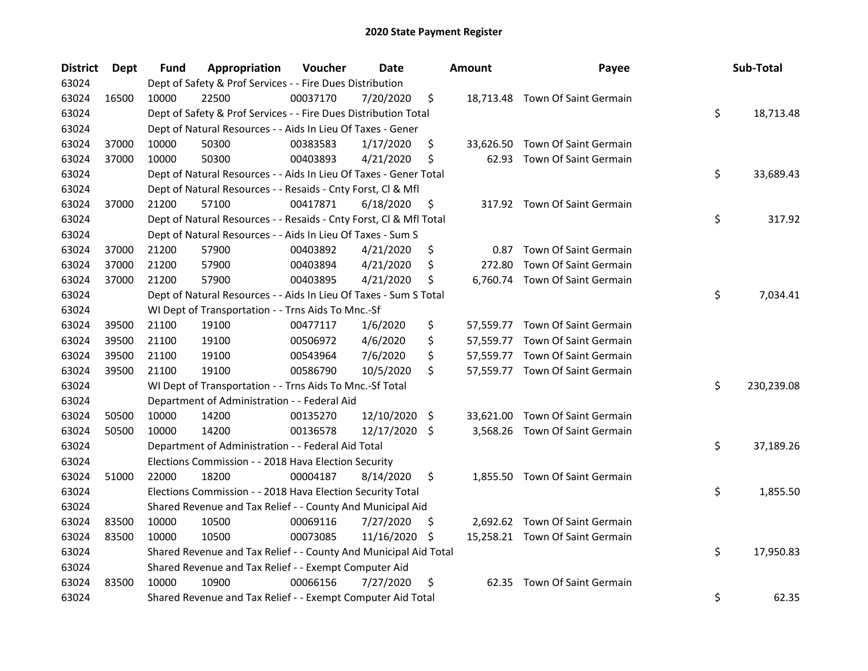| <b>District</b> | Dept  | Fund  | Appropriation                                                      | Voucher  | <b>Date</b>   |      | <b>Amount</b> | Payee                           | Sub-Total        |
|-----------------|-------|-------|--------------------------------------------------------------------|----------|---------------|------|---------------|---------------------------------|------------------|
| 63024           |       |       | Dept of Safety & Prof Services - - Fire Dues Distribution          |          |               |      |               |                                 |                  |
| 63024           | 16500 | 10000 | 22500                                                              | 00037170 | 7/20/2020     | \$   |               | 18,713.48 Town Of Saint Germain |                  |
| 63024           |       |       | Dept of Safety & Prof Services - - Fire Dues Distribution Total    |          |               |      |               |                                 | \$<br>18,713.48  |
| 63024           |       |       | Dept of Natural Resources - - Aids In Lieu Of Taxes - Gener        |          |               |      |               |                                 |                  |
| 63024           | 37000 | 10000 | 50300                                                              | 00383583 | 1/17/2020     | \$   | 33,626.50     | Town Of Saint Germain           |                  |
| 63024           | 37000 | 10000 | 50300                                                              | 00403893 | 4/21/2020     | \$   | 62.93         | Town Of Saint Germain           |                  |
| 63024           |       |       | Dept of Natural Resources - - Aids In Lieu Of Taxes - Gener Total  |          |               |      |               |                                 | \$<br>33,689.43  |
| 63024           |       |       | Dept of Natural Resources - - Resaids - Cnty Forst, Cl & Mfl       |          |               |      |               |                                 |                  |
| 63024           | 37000 | 21200 | 57100                                                              | 00417871 | 6/18/2020     | \$   |               | 317.92 Town Of Saint Germain    |                  |
| 63024           |       |       | Dept of Natural Resources - - Resaids - Cnty Forst, Cl & Mfl Total |          |               |      |               |                                 | \$<br>317.92     |
| 63024           |       |       | Dept of Natural Resources - - Aids In Lieu Of Taxes - Sum S        |          |               |      |               |                                 |                  |
| 63024           | 37000 | 21200 | 57900                                                              | 00403892 | 4/21/2020     | \$   | 0.87          | Town Of Saint Germain           |                  |
| 63024           | 37000 | 21200 | 57900                                                              | 00403894 | 4/21/2020     | \$   | 272.80        | Town Of Saint Germain           |                  |
| 63024           | 37000 | 21200 | 57900                                                              | 00403895 | 4/21/2020     | \$   | 6,760.74      | Town Of Saint Germain           |                  |
| 63024           |       |       | Dept of Natural Resources - - Aids In Lieu Of Taxes - Sum S Total  |          |               |      |               |                                 | \$<br>7,034.41   |
| 63024           |       |       | WI Dept of Transportation - - Trns Aids To Mnc.-Sf                 |          |               |      |               |                                 |                  |
| 63024           | 39500 | 21100 | 19100                                                              | 00477117 | 1/6/2020      | \$   |               | 57,559.77 Town Of Saint Germain |                  |
| 63024           | 39500 | 21100 | 19100                                                              | 00506972 | 4/6/2020      | \$   |               | 57,559.77 Town Of Saint Germain |                  |
| 63024           | 39500 | 21100 | 19100                                                              | 00543964 | 7/6/2020      | \$   |               | 57,559.77 Town Of Saint Germain |                  |
| 63024           | 39500 | 21100 | 19100                                                              | 00586790 | 10/5/2020     | \$   |               | 57,559.77 Town Of Saint Germain |                  |
| 63024           |       |       | WI Dept of Transportation - - Trns Aids To Mnc.-Sf Total           |          |               |      |               |                                 | \$<br>230,239.08 |
| 63024           |       |       | Department of Administration - - Federal Aid                       |          |               |      |               |                                 |                  |
| 63024           | 50500 | 10000 | 14200                                                              | 00135270 | 12/10/2020    | - \$ |               | 33,621.00 Town Of Saint Germain |                  |
| 63024           | 50500 | 10000 | 14200                                                              | 00136578 | 12/17/2020 \$ |      |               | 3,568.26 Town Of Saint Germain  |                  |
| 63024           |       |       | Department of Administration - - Federal Aid Total                 |          |               |      |               |                                 | \$<br>37,189.26  |
| 63024           |       |       | Elections Commission - - 2018 Hava Election Security               |          |               |      |               |                                 |                  |
| 63024           | 51000 | 22000 | 18200                                                              | 00004187 | 8/14/2020     | \$   |               | 1,855.50 Town Of Saint Germain  |                  |
| 63024           |       |       | Elections Commission - - 2018 Hava Election Security Total         |          |               |      |               |                                 | \$<br>1,855.50   |
| 63024           |       |       | Shared Revenue and Tax Relief - - County And Municipal Aid         |          |               |      |               |                                 |                  |
| 63024           | 83500 | 10000 | 10500                                                              | 00069116 | 7/27/2020     | \$   |               | 2,692.62 Town Of Saint Germain  |                  |
| 63024           | 83500 | 10000 | 10500                                                              | 00073085 | 11/16/2020    | S    |               | 15,258.21 Town Of Saint Germain |                  |
| 63024           |       |       | Shared Revenue and Tax Relief - - County And Municipal Aid Total   |          |               |      |               |                                 | \$<br>17,950.83  |
| 63024           |       |       | Shared Revenue and Tax Relief - - Exempt Computer Aid              |          |               |      |               |                                 |                  |
| 63024           | 83500 | 10000 | 10900                                                              | 00066156 | 7/27/2020     | \$   |               | 62.35 Town Of Saint Germain     |                  |
| 63024           |       |       | Shared Revenue and Tax Relief - - Exempt Computer Aid Total        |          |               |      |               |                                 | \$<br>62.35      |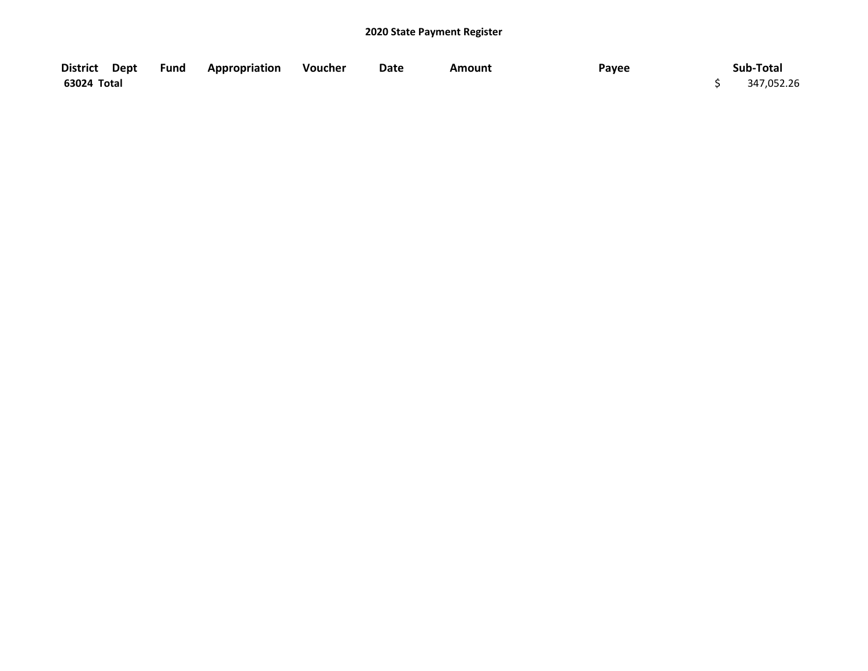| District Dept Fund Appropriation |  | Voucher | Date | <b>Amount</b> | Payee | Sub-Total  |
|----------------------------------|--|---------|------|---------------|-------|------------|
| 63024 Total                      |  |         |      |               |       | 347,052.26 |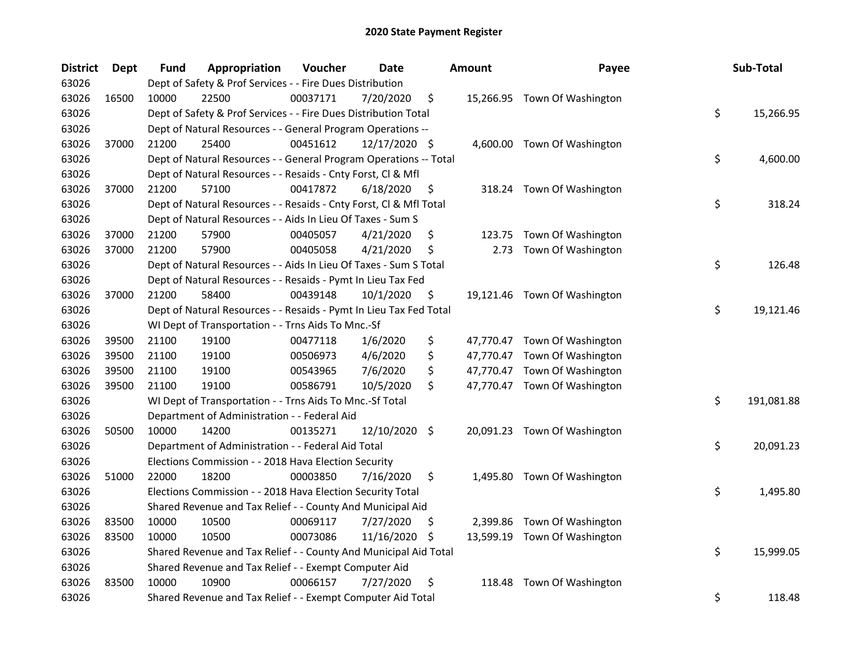| <b>District</b> | Dept  | Fund  | Appropriation                                                      | Voucher  | <b>Date</b>   |     | <b>Amount</b> | Payee                        | Sub-Total        |
|-----------------|-------|-------|--------------------------------------------------------------------|----------|---------------|-----|---------------|------------------------------|------------------|
| 63026           |       |       | Dept of Safety & Prof Services - - Fire Dues Distribution          |          |               |     |               |                              |                  |
| 63026           | 16500 | 10000 | 22500                                                              | 00037171 | 7/20/2020     | \$  |               | 15,266.95 Town Of Washington |                  |
| 63026           |       |       | Dept of Safety & Prof Services - - Fire Dues Distribution Total    |          |               |     |               |                              | \$<br>15,266.95  |
| 63026           |       |       | Dept of Natural Resources - - General Program Operations --        |          |               |     |               |                              |                  |
| 63026           | 37000 | 21200 | 25400                                                              | 00451612 | 12/17/2020 \$ |     |               | 4,600.00 Town Of Washington  |                  |
| 63026           |       |       | Dept of Natural Resources - - General Program Operations -- Total  |          |               |     |               |                              | \$<br>4,600.00   |
| 63026           |       |       | Dept of Natural Resources - - Resaids - Cnty Forst, Cl & Mfl       |          |               |     |               |                              |                  |
| 63026           | 37000 | 21200 | 57100                                                              | 00417872 | 6/18/2020     | \$  |               | 318.24 Town Of Washington    |                  |
| 63026           |       |       | Dept of Natural Resources - - Resaids - Cnty Forst, Cl & Mfl Total |          |               |     |               |                              | \$<br>318.24     |
| 63026           |       |       | Dept of Natural Resources - - Aids In Lieu Of Taxes - Sum S        |          |               |     |               |                              |                  |
| 63026           | 37000 | 21200 | 57900                                                              | 00405057 | 4/21/2020     | \$  | 123.75        | Town Of Washington           |                  |
| 63026           | 37000 | 21200 | 57900                                                              | 00405058 | 4/21/2020     | \$  | 2.73          | Town Of Washington           |                  |
| 63026           |       |       | Dept of Natural Resources - - Aids In Lieu Of Taxes - Sum S Total  |          |               |     |               |                              | \$<br>126.48     |
| 63026           |       |       | Dept of Natural Resources - - Resaids - Pymt In Lieu Tax Fed       |          |               |     |               |                              |                  |
| 63026           | 37000 | 21200 | 58400                                                              | 00439148 | 10/1/2020     | \$  |               | 19,121.46 Town Of Washington |                  |
| 63026           |       |       | Dept of Natural Resources - - Resaids - Pymt In Lieu Tax Fed Total |          |               |     |               |                              | \$<br>19,121.46  |
| 63026           |       |       | WI Dept of Transportation - - Trns Aids To Mnc.-Sf                 |          |               |     |               |                              |                  |
| 63026           | 39500 | 21100 | 19100                                                              | 00477118 | 1/6/2020      | \$  |               | 47,770.47 Town Of Washington |                  |
| 63026           | 39500 | 21100 | 19100                                                              | 00506973 | 4/6/2020      | \$  |               | 47,770.47 Town Of Washington |                  |
| 63026           | 39500 | 21100 | 19100                                                              | 00543965 | 7/6/2020      | \$  |               | 47,770.47 Town Of Washington |                  |
| 63026           | 39500 | 21100 | 19100                                                              | 00586791 | 10/5/2020     | \$  |               | 47,770.47 Town Of Washington |                  |
| 63026           |       |       | WI Dept of Transportation - - Trns Aids To Mnc.-Sf Total           |          |               |     |               |                              | \$<br>191,081.88 |
| 63026           |       |       | Department of Administration - - Federal Aid                       |          |               |     |               |                              |                  |
| 63026           | 50500 | 10000 | 14200                                                              | 00135271 | 12/10/2020 \$ |     |               | 20,091.23 Town Of Washington |                  |
| 63026           |       |       | Department of Administration - - Federal Aid Total                 |          |               |     |               |                              | \$<br>20,091.23  |
| 63026           |       |       | Elections Commission - - 2018 Hava Election Security               |          |               |     |               |                              |                  |
| 63026           | 51000 | 22000 | 18200                                                              | 00003850 | 7/16/2020     | \$  |               | 1,495.80 Town Of Washington  |                  |
| 63026           |       |       | Elections Commission - - 2018 Hava Election Security Total         |          |               |     |               |                              | \$<br>1,495.80   |
| 63026           |       |       | Shared Revenue and Tax Relief - - County And Municipal Aid         |          |               |     |               |                              |                  |
| 63026           | 83500 | 10000 | 10500                                                              | 00069117 | 7/27/2020     | \$. |               | 2,399.86 Town Of Washington  |                  |
| 63026           | 83500 | 10000 | 10500                                                              | 00073086 | 11/16/2020    | -\$ |               | 13,599.19 Town Of Washington |                  |
| 63026           |       |       | Shared Revenue and Tax Relief - - County And Municipal Aid Total   |          |               |     |               |                              | \$<br>15,999.05  |
| 63026           |       |       | Shared Revenue and Tax Relief - - Exempt Computer Aid              |          |               |     |               |                              |                  |
| 63026           | 83500 | 10000 | 10900                                                              | 00066157 | 7/27/2020     | \$  | 118.48        | Town Of Washington           |                  |
| 63026           |       |       | Shared Revenue and Tax Relief - - Exempt Computer Aid Total        |          |               |     |               |                              | \$<br>118.48     |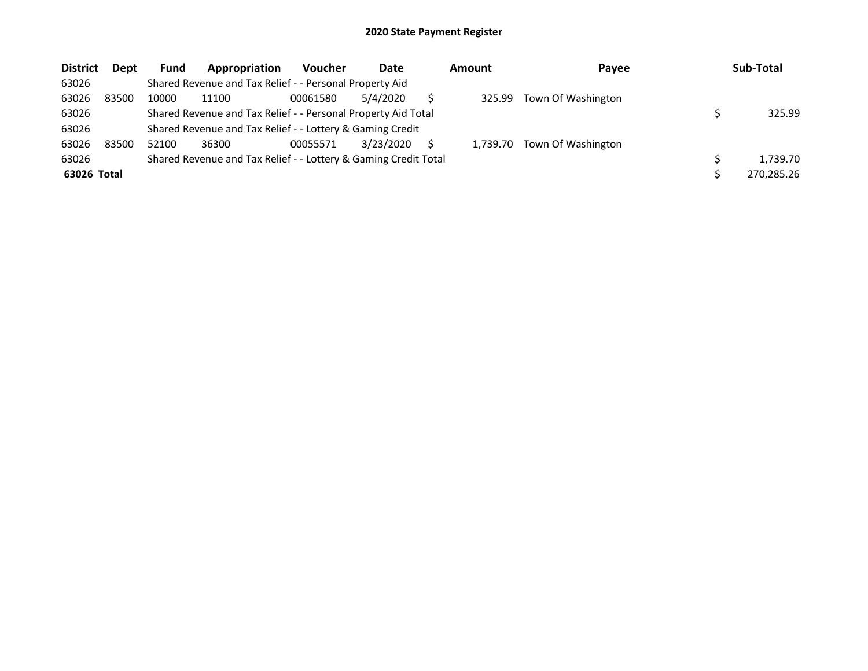| <b>District</b> | <b>Dept</b> | <b>Fund</b> | Appropriation                                                   | <b>Voucher</b> | Date      | <b>Amount</b> | Payee              | Sub-Total  |
|-----------------|-------------|-------------|-----------------------------------------------------------------|----------------|-----------|---------------|--------------------|------------|
| 63026           |             |             | Shared Revenue and Tax Relief - - Personal Property Aid         |                |           |               |                    |            |
| 63026           | 83500       | 10000       | 11100                                                           | 00061580       | 5/4/2020  | 325.99        | Town Of Washington |            |
| 63026           |             |             | Shared Revenue and Tax Relief - - Personal Property Aid Total   |                |           |               |                    | 325.99     |
| 63026           |             |             | Shared Revenue and Tax Relief - - Lottery & Gaming Credit       |                |           |               |                    |            |
| 63026           | 83500       | 52100       | 36300                                                           | 00055571       | 3/23/2020 | 1.739.70      | Town Of Washington |            |
| 63026           |             |             | Shared Revenue and Tax Relief - - Lottery & Gaming Credit Total |                |           |               |                    | 1.739.70   |
| 63026 Total     |             |             |                                                                 |                |           |               |                    | 270,285.26 |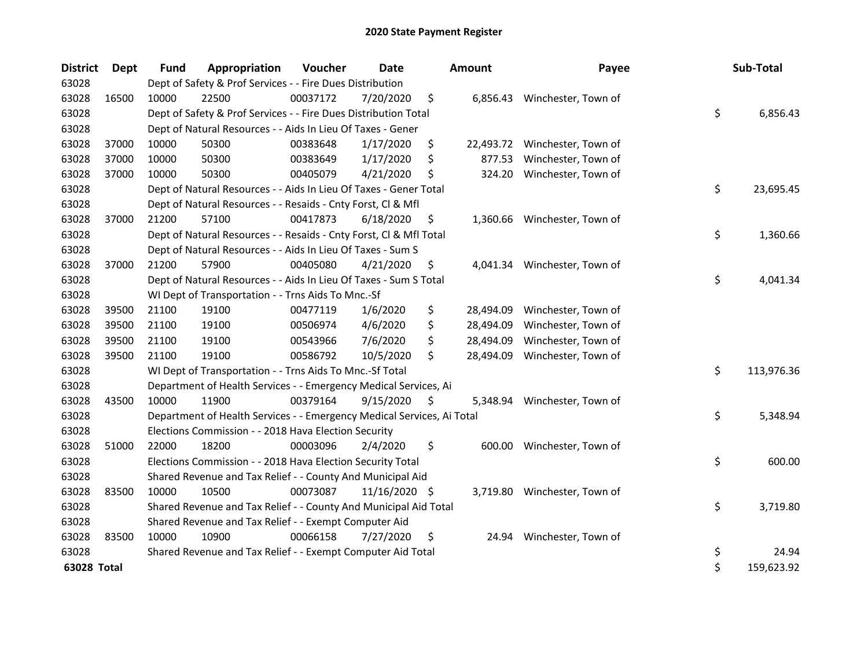| <b>District</b> | Dept  | <b>Fund</b> | Appropriation                                                          | Voucher  | <b>Date</b>     |    | <b>Amount</b> | Payee                        | Sub-Total        |
|-----------------|-------|-------------|------------------------------------------------------------------------|----------|-----------------|----|---------------|------------------------------|------------------|
| 63028           |       |             | Dept of Safety & Prof Services - - Fire Dues Distribution              |          |                 |    |               |                              |                  |
| 63028           | 16500 | 10000       | 22500                                                                  | 00037172 | 7/20/2020       | \$ |               | 6,856.43 Winchester, Town of |                  |
| 63028           |       |             | Dept of Safety & Prof Services - - Fire Dues Distribution Total        |          |                 |    |               |                              | \$<br>6,856.43   |
| 63028           |       |             | Dept of Natural Resources - - Aids In Lieu Of Taxes - Gener            |          |                 |    |               |                              |                  |
| 63028           | 37000 | 10000       | 50300                                                                  | 00383648 | 1/17/2020       | \$ | 22,493.72     | Winchester, Town of          |                  |
| 63028           | 37000 | 10000       | 50300                                                                  | 00383649 | 1/17/2020       | \$ | 877.53        | Winchester, Town of          |                  |
| 63028           | 37000 | 10000       | 50300                                                                  | 00405079 | 4/21/2020       | \$ | 324.20        | Winchester, Town of          |                  |
| 63028           |       |             | Dept of Natural Resources - - Aids In Lieu Of Taxes - Gener Total      |          |                 |    |               |                              | \$<br>23,695.45  |
| 63028           |       |             | Dept of Natural Resources - - Resaids - Cnty Forst, Cl & Mfl           |          |                 |    |               |                              |                  |
| 63028           | 37000 | 21200       | 57100                                                                  | 00417873 | 6/18/2020       | S. | 1,360.66      | Winchester, Town of          |                  |
| 63028           |       |             | Dept of Natural Resources - - Resaids - Cnty Forst, Cl & Mfl Total     |          |                 |    |               |                              | \$<br>1,360.66   |
| 63028           |       |             | Dept of Natural Resources - - Aids In Lieu Of Taxes - Sum S            |          |                 |    |               |                              |                  |
| 63028           | 37000 | 21200       | 57900                                                                  | 00405080 | 4/21/2020       | \$ |               | 4,041.34 Winchester, Town of |                  |
| 63028           |       |             | Dept of Natural Resources - - Aids In Lieu Of Taxes - Sum S Total      |          |                 |    |               |                              | \$<br>4,041.34   |
| 63028           |       |             | WI Dept of Transportation - - Trns Aids To Mnc.-Sf                     |          |                 |    |               |                              |                  |
| 63028           | 39500 | 21100       | 19100                                                                  | 00477119 | 1/6/2020        | \$ | 28,494.09     | Winchester, Town of          |                  |
| 63028           | 39500 | 21100       | 19100                                                                  | 00506974 | 4/6/2020        | \$ | 28,494.09     | Winchester, Town of          |                  |
| 63028           | 39500 | 21100       | 19100                                                                  | 00543966 | 7/6/2020        | \$ | 28,494.09     | Winchester, Town of          |                  |
| 63028           | 39500 | 21100       | 19100                                                                  | 00586792 | 10/5/2020       | \$ | 28,494.09     | Winchester, Town of          |                  |
| 63028           |       |             | WI Dept of Transportation - - Trns Aids To Mnc.-Sf Total               |          |                 |    |               |                              | \$<br>113,976.36 |
| 63028           |       |             | Department of Health Services - - Emergency Medical Services, Ai       |          |                 |    |               |                              |                  |
| 63028           | 43500 | 10000       | 11900                                                                  | 00379164 | 9/15/2020       | \$ | 5,348.94      | Winchester, Town of          |                  |
| 63028           |       |             | Department of Health Services - - Emergency Medical Services, Ai Total |          |                 |    |               |                              | \$<br>5,348.94   |
| 63028           |       |             | Elections Commission - - 2018 Hava Election Security                   |          |                 |    |               |                              |                  |
| 63028           | 51000 | 22000       | 18200                                                                  | 00003096 | 2/4/2020        | \$ | 600.00        | Winchester, Town of          |                  |
| 63028           |       |             | Elections Commission - - 2018 Hava Election Security Total             |          |                 |    |               |                              | \$<br>600.00     |
| 63028           |       |             | Shared Revenue and Tax Relief - - County And Municipal Aid             |          |                 |    |               |                              |                  |
| 63028           | 83500 | 10000       | 10500                                                                  | 00073087 | $11/16/2020$ \$ |    |               | 3,719.80 Winchester, Town of |                  |
| 63028           |       |             | Shared Revenue and Tax Relief - - County And Municipal Aid Total       |          |                 |    |               |                              | \$<br>3,719.80   |
| 63028           |       |             | Shared Revenue and Tax Relief - - Exempt Computer Aid                  |          |                 |    |               |                              |                  |
| 63028           | 83500 | 10000       | 10900                                                                  | 00066158 | 7/27/2020       | \$ | 24.94         | Winchester, Town of          |                  |
| 63028           |       |             | Shared Revenue and Tax Relief - - Exempt Computer Aid Total            |          |                 |    |               |                              | \$<br>24.94      |
| 63028 Total     |       |             |                                                                        |          |                 |    |               |                              | \$<br>159,623.92 |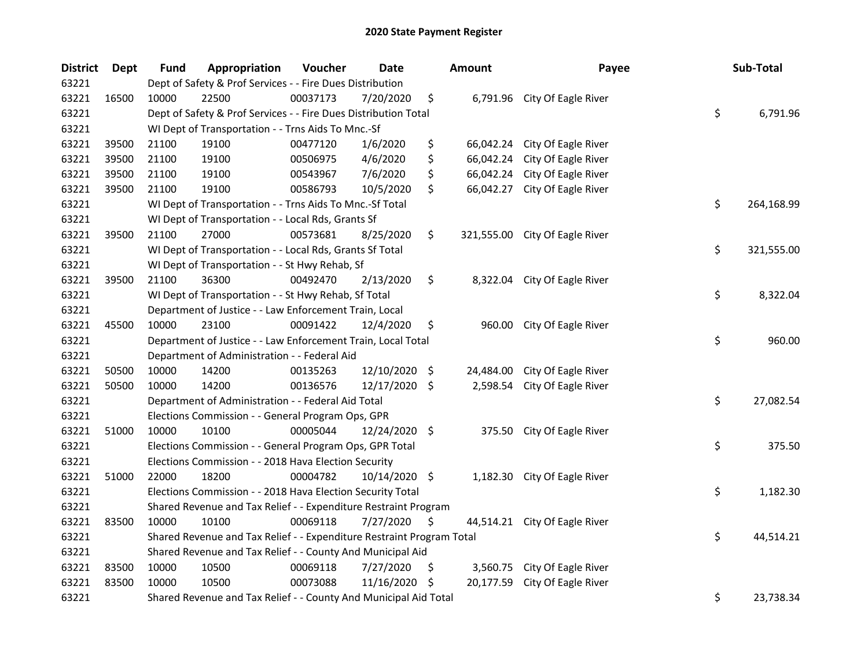| <b>District</b> | Dept  | <b>Fund</b> | Appropriation                                                         | Voucher  | <b>Date</b>   |      | <b>Amount</b> | Payee                         | Sub-Total        |
|-----------------|-------|-------------|-----------------------------------------------------------------------|----------|---------------|------|---------------|-------------------------------|------------------|
| 63221           |       |             | Dept of Safety & Prof Services - - Fire Dues Distribution             |          |               |      |               |                               |                  |
| 63221           | 16500 | 10000       | 22500                                                                 | 00037173 | 7/20/2020     | \$   |               | 6,791.96 City Of Eagle River  |                  |
| 63221           |       |             | Dept of Safety & Prof Services - - Fire Dues Distribution Total       |          |               |      |               |                               | \$<br>6,791.96   |
| 63221           |       |             | WI Dept of Transportation - - Trns Aids To Mnc.-Sf                    |          |               |      |               |                               |                  |
| 63221           | 39500 | 21100       | 19100                                                                 | 00477120 | 1/6/2020      | \$   | 66,042.24     | City Of Eagle River           |                  |
| 63221           | 39500 | 21100       | 19100                                                                 | 00506975 | 4/6/2020      | \$   | 66,042.24     | City Of Eagle River           |                  |
| 63221           | 39500 | 21100       | 19100                                                                 | 00543967 | 7/6/2020      | \$   | 66,042.24     | City Of Eagle River           |                  |
| 63221           | 39500 | 21100       | 19100                                                                 | 00586793 | 10/5/2020     | \$   | 66,042.27     | City Of Eagle River           |                  |
| 63221           |       |             | WI Dept of Transportation - - Trns Aids To Mnc.-Sf Total              |          |               |      |               |                               | \$<br>264,168.99 |
| 63221           |       |             | WI Dept of Transportation - - Local Rds, Grants Sf                    |          |               |      |               |                               |                  |
| 63221           | 39500 | 21100       | 27000                                                                 | 00573681 | 8/25/2020     | \$   | 321,555.00    | City Of Eagle River           |                  |
| 63221           |       |             | WI Dept of Transportation - - Local Rds, Grants Sf Total              |          |               |      |               |                               | \$<br>321,555.00 |
| 63221           |       |             | WI Dept of Transportation - - St Hwy Rehab, Sf                        |          |               |      |               |                               |                  |
| 63221           | 39500 | 21100       | 36300                                                                 | 00492470 | 2/13/2020     | \$   | 8,322.04      | City Of Eagle River           |                  |
| 63221           |       |             | WI Dept of Transportation - - St Hwy Rehab, Sf Total                  |          |               |      |               |                               | \$<br>8,322.04   |
| 63221           |       |             | Department of Justice - - Law Enforcement Train, Local                |          |               |      |               |                               |                  |
| 63221           | 45500 | 10000       | 23100                                                                 | 00091422 | 12/4/2020     | \$   | 960.00        | City Of Eagle River           |                  |
| 63221           |       |             | Department of Justice - - Law Enforcement Train, Local Total          |          |               |      |               |                               | \$<br>960.00     |
| 63221           |       |             | Department of Administration - - Federal Aid                          |          |               |      |               |                               |                  |
| 63221           | 50500 | 10000       | 14200                                                                 | 00135263 | 12/10/2020    | - \$ | 24,484.00     | City Of Eagle River           |                  |
| 63221           | 50500 | 10000       | 14200                                                                 | 00136576 | 12/17/2020 \$ |      | 2,598.54      | City Of Eagle River           |                  |
| 63221           |       |             | Department of Administration - - Federal Aid Total                    |          |               |      |               |                               | \$<br>27,082.54  |
| 63221           |       |             | Elections Commission - - General Program Ops, GPR                     |          |               |      |               |                               |                  |
| 63221           | 51000 | 10000       | 10100                                                                 | 00005044 | 12/24/2020 \$ |      | 375.50        | City Of Eagle River           |                  |
| 63221           |       |             | Elections Commission - - General Program Ops, GPR Total               |          |               |      |               |                               | \$<br>375.50     |
| 63221           |       |             | Elections Commission - - 2018 Hava Election Security                  |          |               |      |               |                               |                  |
| 63221           | 51000 | 22000       | 18200                                                                 | 00004782 | 10/14/2020 \$ |      |               | 1,182.30 City Of Eagle River  |                  |
| 63221           |       |             | Elections Commission - - 2018 Hava Election Security Total            |          |               |      |               |                               | \$<br>1,182.30   |
| 63221           |       |             | Shared Revenue and Tax Relief - - Expenditure Restraint Program       |          |               |      |               |                               |                  |
| 63221           | 83500 | 10000       | 10100                                                                 | 00069118 | 7/27/2020     | \$,  |               | 44,514.21 City Of Eagle River |                  |
| 63221           |       |             | Shared Revenue and Tax Relief - - Expenditure Restraint Program Total |          |               |      |               |                               | \$<br>44,514.21  |
| 63221           |       |             | Shared Revenue and Tax Relief - - County And Municipal Aid            |          |               |      |               |                               |                  |
| 63221           | 83500 | 10000       | 10500                                                                 | 00069118 | 7/27/2020     | \$   | 3,560.75      | City Of Eagle River           |                  |
| 63221           | 83500 | 10000       | 10500                                                                 | 00073088 | 11/16/2020    | -S   | 20,177.59     | City Of Eagle River           |                  |
| 63221           |       |             | Shared Revenue and Tax Relief - - County And Municipal Aid Total      |          |               |      |               |                               | \$<br>23,738.34  |